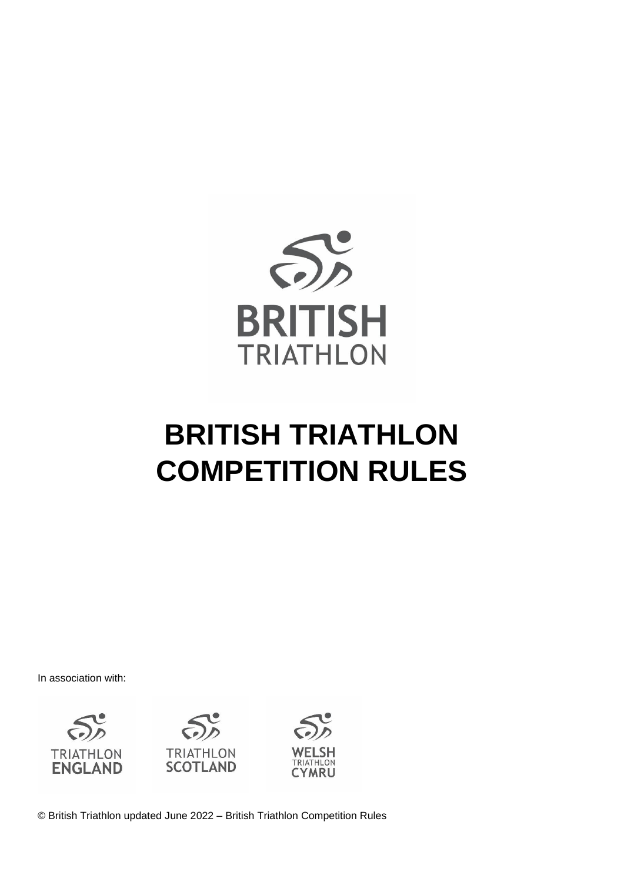

# **BRITISH TRIATHLON COMPETITION RULES**

In association with:







© British Triathlon updated June 2022 – British Triathlon Competition Rules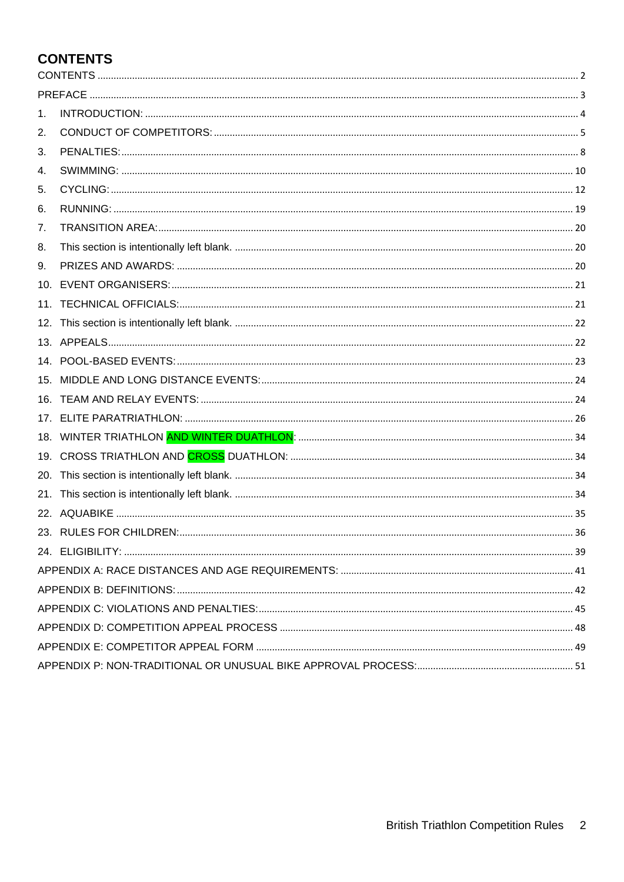## <span id="page-1-0"></span>**CONTENTS**

| 1.              |  |
|-----------------|--|
| 2.              |  |
| 3.              |  |
| 4.              |  |
| 5.              |  |
| 6.              |  |
| 7.              |  |
| 8.              |  |
| 9.              |  |
| 10 <sub>1</sub> |  |
| 11.             |  |
|                 |  |
|                 |  |
|                 |  |
|                 |  |
|                 |  |
|                 |  |
|                 |  |
|                 |  |
| 20.             |  |
| 21.             |  |
|                 |  |
|                 |  |
|                 |  |
|                 |  |
|                 |  |
|                 |  |
|                 |  |
|                 |  |
|                 |  |
|                 |  |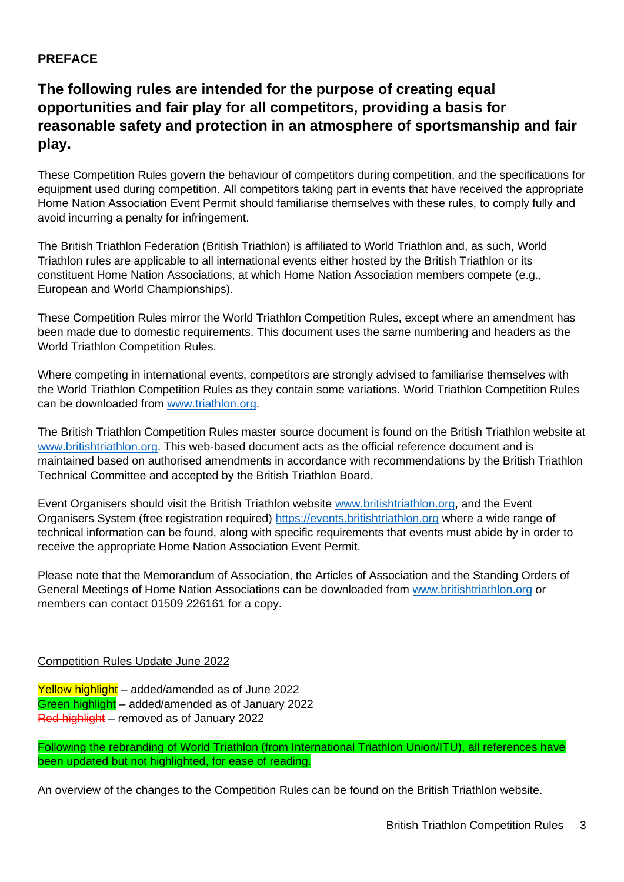### <span id="page-2-0"></span>**PREFACE**

## **The following rules are intended for the purpose of creating equal opportunities and fair play for all competitors, providing a basis for reasonable safety and protection in an atmosphere of sportsmanship and fair play.**

These Competition Rules govern the behaviour of competitors during competition, and the specifications for equipment used during competition. All competitors taking part in events that have received the appropriate Home Nation Association Event Permit should familiarise themselves with these rules, to comply fully and avoid incurring a penalty for infringement.

The British Triathlon Federation (British Triathlon) is affiliated to World Triathlon and, as such, World Triathlon rules are applicable to all international events either hosted by the British Triathlon or its constituent Home Nation Associations, at which Home Nation Association members compete (e.g., European and World Championships).

These Competition Rules mirror the World Triathlon Competition Rules, except where an amendment has been made due to domestic requirements. This document uses the same numbering and headers as the World Triathlon Competition Rules.

Where competing in international events, competitors are strongly advised to familiarise themselves with the World Triathlon Competition Rules as they contain some variations. World Triathlon Competition Rules can be downloaded from [www.triathlon.org.](http://www.triathlon.org/)

The British Triathlon Competition Rules master source document is found on the British Triathlon website at [www.britishtriathlon.org.](http://www.britishtriathlon.org/) This web-based document acts as the official reference document and is maintained based on authorised amendments in accordance with recommendations by the British Triathlon Technical Committee and accepted by the British Triathlon Board.

Event Organisers should visit the British Triathlon website [www.britishtriathlon.org,](http://www.britishtriathlon.org/) and the Event Organisers System (free registration required) [https://events.britishtriathlon.org](https://events.britishtriathlon.org/) where a wide range of technical information can be found, along with specific requirements that events must abide by in order to receive the appropriate Home Nation Association Event Permit.

Please note that the Memorandum of Association, the Articles of Association and the Standing Orders of General Meetings of Home Nation Associations can be downloaded from [www.britishtriathlon.org](http://www.britishtriathlon.org/) or members can contact 01509 226161 for a copy.

### Competition Rules Update June 2022

Yellow highlight – added/amended as of June 2022 Green highlight – added/amended as of January 2022 Red highlight – removed as of January 2022

Following the rebranding of World Triathlon (from International Triathlon Union/ITU), all references have been updated but not highlighted, for ease of reading.

An overview of the changes to the Competition Rules can be found on the British Triathlon website.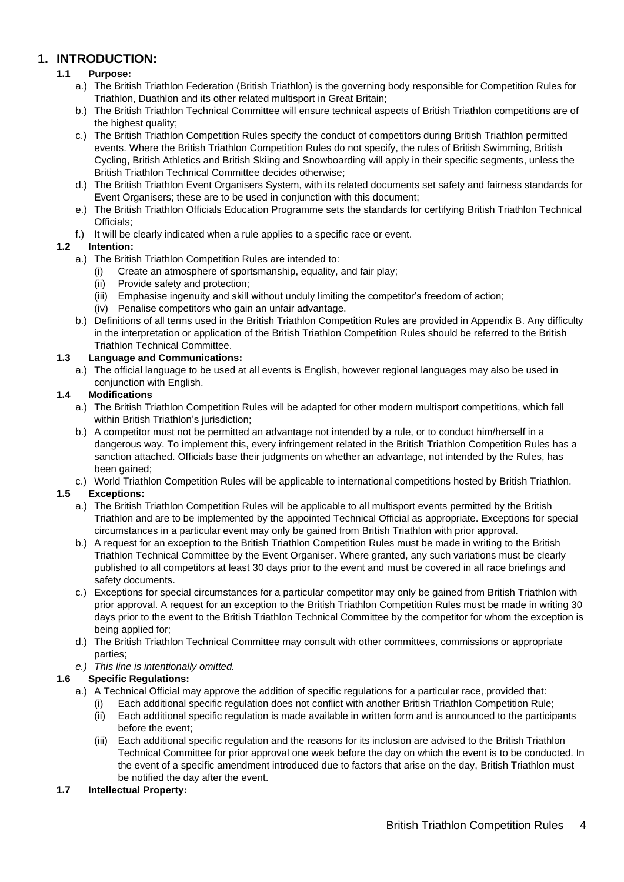### <span id="page-3-0"></span>**1. INTRODUCTION:**

#### **1.1 Purpose:**

- a.) The British Triathlon Federation (British Triathlon) is the governing body responsible for Competition Rules for Triathlon, Duathlon and its other related multisport in Great Britain;
- b.) The British Triathlon Technical Committee will ensure technical aspects of British Triathlon competitions are of the highest quality;
- c.) The British Triathlon Competition Rules specify the conduct of competitors during British Triathlon permitted events. Where the British Triathlon Competition Rules do not specify, the rules of British Swimming, British Cycling, British Athletics and British Skiing and Snowboarding will apply in their specific segments, unless the British Triathlon Technical Committee decides otherwise;
- d.) The British Triathlon Event Organisers System, with its related documents set safety and fairness standards for Event Organisers; these are to be used in conjunction with this document;
- e.) The British Triathlon Officials Education Programme sets the standards for certifying British Triathlon Technical Officials;
- f.) It will be clearly indicated when a rule applies to a specific race or event.

#### **1.2 Intention:**

- a.) The British Triathlon Competition Rules are intended to:
	- (i) Create an atmosphere of sportsmanship, equality, and fair play;
	- (ii) Provide safety and protection;
	- (iii) Emphasise ingenuity and skill without unduly limiting the competitor's freedom of action;
	- (iv) Penalise competitors who gain an unfair advantage.
- b.) Definitions of all terms used in the British Triathlon Competition Rules are provided in Appendix B. Any difficulty in the interpretation or application of the British Triathlon Competition Rules should be referred to the British Triathlon Technical Committee.

#### **1.3 Language and Communications:**

a.) The official language to be used at all events is English, however regional languages may also be used in conjunction with English.

#### **1.4 Modifications**

- a.) The British Triathlon Competition Rules will be adapted for other modern multisport competitions, which fall within British Triathlon's jurisdiction:
- b.) A competitor must not be permitted an advantage not intended by a rule, or to conduct him/herself in a dangerous way. To implement this, every infringement related in the British Triathlon Competition Rules has a sanction attached. Officials base their judgments on whether an advantage, not intended by the Rules, has been gained:
- c.) World Triathlon Competition Rules will be applicable to international competitions hosted by British Triathlon.

#### **1.5 Exceptions:**

- a.) The British Triathlon Competition Rules will be applicable to all multisport events permitted by the British Triathlon and are to be implemented by the appointed Technical Official as appropriate. Exceptions for special circumstances in a particular event may only be gained from British Triathlon with prior approval.
- b.) A request for an exception to the British Triathlon Competition Rules must be made in writing to the British Triathlon Technical Committee by the Event Organiser. Where granted, any such variations must be clearly published to all competitors at least 30 days prior to the event and must be covered in all race briefings and safety documents.
- c.) Exceptions for special circumstances for a particular competitor may only be gained from British Triathlon with prior approval. A request for an exception to the British Triathlon Competition Rules must be made in writing 30 days prior to the event to the British Triathlon Technical Committee by the competitor for whom the exception is being applied for;
- d.) The British Triathlon Technical Committee may consult with other committees, commissions or appropriate parties;
- *e.) This line is intentionally omitted.*

#### **1.6 Specific Regulations:**

- a.) A Technical Official may approve the addition of specific regulations for a particular race, provided that:
	- (i) Each additional specific regulation does not conflict with another British Triathlon Competition Rule;
	- (ii) Each additional specific regulation is made available in written form and is announced to the participants before the event;
	- (iii) Each additional specific regulation and the reasons for its inclusion are advised to the British Triathlon Technical Committee for prior approval one week before the day on which the event is to be conducted. In the event of a specific amendment introduced due to factors that arise on the day, British Triathlon must be notified the day after the event.

#### **1.7 Intellectual Property:**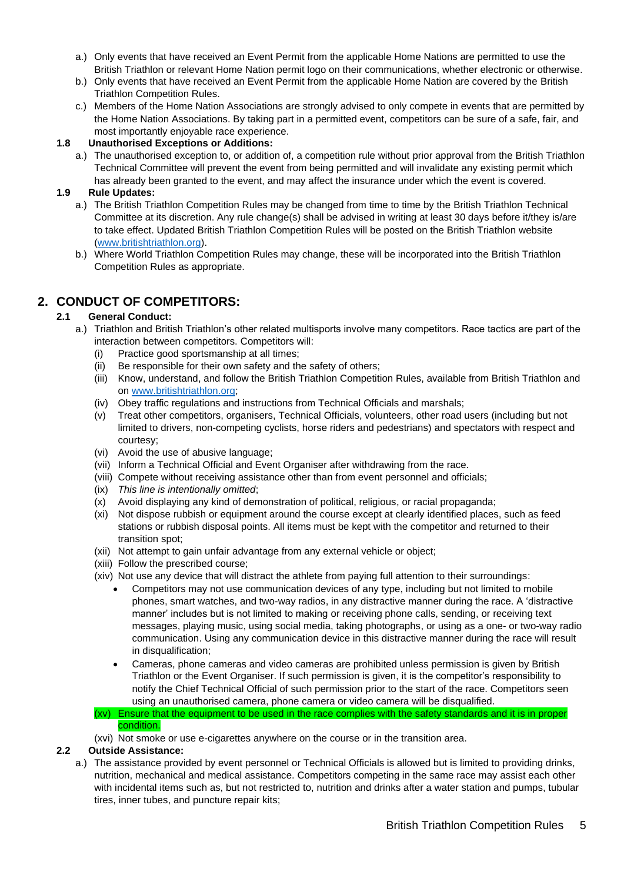- a.) Only events that have received an Event Permit from the applicable Home Nations are permitted to use the British Triathlon or relevant Home Nation permit logo on their communications, whether electronic or otherwise.
- b.) Only events that have received an Event Permit from the applicable Home Nation are covered by the British Triathlon Competition Rules.
- c.) Members of the Home Nation Associations are strongly advised to only compete in events that are permitted by the Home Nation Associations. By taking part in a permitted event, competitors can be sure of a safe, fair, and most importantly enjoyable race experience.

#### **1.8 Unauthorised Exceptions or Additions:**

a.) The unauthorised exception to, or addition of, a competition rule without prior approval from the British Triathlon Technical Committee will prevent the event from being permitted and will invalidate any existing permit which has already been granted to the event, and may affect the insurance under which the event is covered.

#### **1.9 Rule Updates:**

- a.) The British Triathlon Competition Rules may be changed from time to time by the British Triathlon Technical Committee at its discretion. Any rule change(s) shall be advised in writing at least 30 days before it/they is/are to take effect. Updated British Triathlon Competition Rules will be posted on the British Triathlon website [\(www.britishtriathlon.org\)](http://www.britishtriathlon.org/).
- b.) Where World Triathlon Competition Rules may change, these will be incorporated into the British Triathlon Competition Rules as appropriate.

### <span id="page-4-0"></span>**2. CONDUCT OF COMPETITORS:**

#### **2.1 General Conduct:**

- a.) Triathlon and British Triathlon's other related multisports involve many competitors. Race tactics are part of the interaction between competitors. Competitors will:
	- (i) Practice good sportsmanship at all times;
	- (ii) Be responsible for their own safety and the safety of others;
	- (iii) Know, understand, and follow the British Triathlon Competition Rules, available from British Triathlon and on [www.britishtriathlon.org;](http://www.britishtriathlon.org/)
	- (iv) Obey traffic regulations and instructions from Technical Officials and marshals;
	- (v) Treat other competitors, organisers, Technical Officials, volunteers, other road users (including but not limited to drivers, non-competing cyclists, horse riders and pedestrians) and spectators with respect and courtesy;
	- (vi) Avoid the use of abusive language;
	- (vii) Inform a Technical Official and Event Organiser after withdrawing from the race.
	- (viii) Compete without receiving assistance other than from event personnel and officials;
	- (ix) *This line is intentionally omitted*;
	- (x) Avoid displaying any kind of demonstration of political, religious, or racial propaganda;
	- (xi) Not dispose rubbish or equipment around the course except at clearly identified places, such as feed stations or rubbish disposal points. All items must be kept with the competitor and returned to their transition spot;
	- (xii) Not attempt to gain unfair advantage from any external vehicle or object;
	- (xiii) Follow the prescribed course;
	- (xiv) Not use any device that will distract the athlete from paying full attention to their surroundings:
		- Competitors may not use communication devices of any type, including but not limited to mobile phones, smart watches, and two-way radios, in any distractive manner during the race. A 'distractive manner' includes but is not limited to making or receiving phone calls, sending, or receiving text messages, playing music, using social media, taking photographs, or using as a one- or two-way radio communication. Using any communication device in this distractive manner during the race will result in disqualification;
		- Cameras, phone cameras and video cameras are prohibited unless permission is given by British Triathlon or the Event Organiser. If such permission is given, it is the competitor's responsibility to notify the Chief Technical Official of such permission prior to the start of the race. Competitors seen using an unauthorised camera, phone camera or video camera will be disqualified.
	- (xv) Ensure that the equipment to be used in the race complies with the safety standards and it is in proper condition.
	- (xvi) Not smoke or use e-cigarettes anywhere on the course or in the transition area.

#### **2.2 Outside Assistance:**

a.) The assistance provided by event personnel or Technical Officials is allowed but is limited to providing drinks, nutrition, mechanical and medical assistance. Competitors competing in the same race may assist each other with incidental items such as, but not restricted to, nutrition and drinks after a water station and pumps, tubular tires, inner tubes, and puncture repair kits;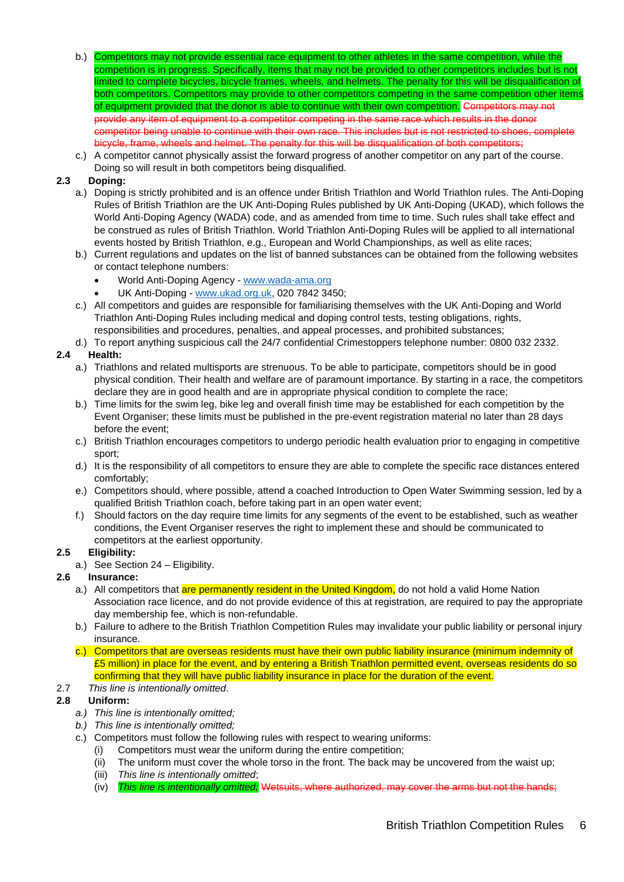- b.) Competitors may not provide essential race equipment to other athletes in the same competition, while the competition is in progress. Specifically, items that may not be provided to other competitors includes but is not limited to complete bicycles, bicycle frames, wheels, and helmets. The penalty for this will be disqualification of both competitors. Competitors may provide to other competitors competing in the same competition other items of equipment provided that the donor is able to continue with their own competition. Competitors may not provide any item of equipment to a competitor competing in the same race which results in the donor competitor being unable to continue with their own race. This includes but is not restricted to shoes, com bicycle, frame, wheels and helmet. The penalty for this will be disqualification of both competitors;
- c.) A competitor cannot physically assist the forward progress of another competitor on any part of the course. Doing so will result in both competitors being disqualified.

#### **2.3 Doping:**

- a.) Doping is strictly prohibited and is an offence under British Triathlon and World Triathlon rules. The Anti-Doping Rules of British Triathlon are the UK Anti-Doping Rules published by UK Anti-Doping (UKAD), which follows the World Anti-Doping Agency (WADA) code, and as amended from time to time. Such rules shall take effect and be construed as rules of British Triathlon. World Triathlon Anti-Doping Rules will be applied to all international events hosted by British Triathlon, e.g., European and World Championships, as well as elite races;
- b.) Current regulations and updates on the list of banned substances can be obtained from the following websites or contact telephone numbers:
	- World Anti-Doping Agency [www.wada-ama.org](http://www.wada-ama.org/)
	- UK Anti-Doping [www.ukad.org.uk,](http://www.ukad.org.uk/) 020 7842 3450;
- c.) All competitors and guides are responsible for familiarising themselves with the UK Anti-Doping and World Triathlon Anti-Doping Rules including medical and doping control tests, testing obligations, rights, responsibilities and procedures, penalties, and appeal processes, and prohibited substances;
- d.) To report anything suspicious call the 24/7 confidential Crimestoppers telephone number: 0800 032 2332.

#### **2.4 Health:**

- a.) Triathlons and related multisports are strenuous. To be able to participate, competitors should be in good physical condition. Their health and welfare are of paramount importance. By starting in a race, the competitors declare they are in good health and are in appropriate physical condition to complete the race;
- b.) Time limits for the swim leg, bike leg and overall finish time may be established for each competition by the Event Organiser; these limits must be published in the pre-event registration material no later than 28 days before the event;
- c.) British Triathlon encourages competitors to undergo periodic health evaluation prior to engaging in competitive sport;
- d.) It is the responsibility of all competitors to ensure they are able to complete the specific race distances entered comfortably;
- e.) Competitors should, where possible, attend a coached Introduction to Open Water Swimming session, led by a qualified British Triathlon coach, before taking part in an open water event;
- f.) Should factors on the day require time limits for any segments of the event to be established, such as weather conditions, the Event Organiser reserves the right to implement these and should be communicated to competitors at the earliest opportunity.

#### **2.5 Eligibility:**

a.) See Section 24 – Eligibility.

#### **2.6 Insurance:**

- a.) All competitors that are permanently resident in the United Kingdom, do not hold a valid Home Nation Association race licence, and do not provide evidence of this at registration, are required to pay the appropriate day membership fee, which is non-refundable.
- b.) Failure to adhere to the British Triathlon Competition Rules may invalidate your public liability or personal injury insurance.
- c.) Competitors that are overseas residents must have their own public liability insurance (minimum indemnity of £5 million) in place for the event, and by entering a British Triathlon permitted event, overseas residents do so confirming that they will have public liability insurance in place for the duration of the event.
- 2.7 *This line is intentionally omitted*.

#### **2.8 Uniform:**

- *a.) This line is intentionally omitted;*
- *b.) This line is intentionally omitted;*
- c.) Competitors must follow the following rules with respect to wearing uniforms:
	- (i) Competitors must wear the uniform during the entire competition;
	- (ii) The uniform must cover the whole torso in the front. The back may be uncovered from the waist up;
	- (iii) *This line is intentionally omitted*;
	- (iv) *This line is intentionally omitted;* Wetsuits, where authorized, may cover the arms but not the hands;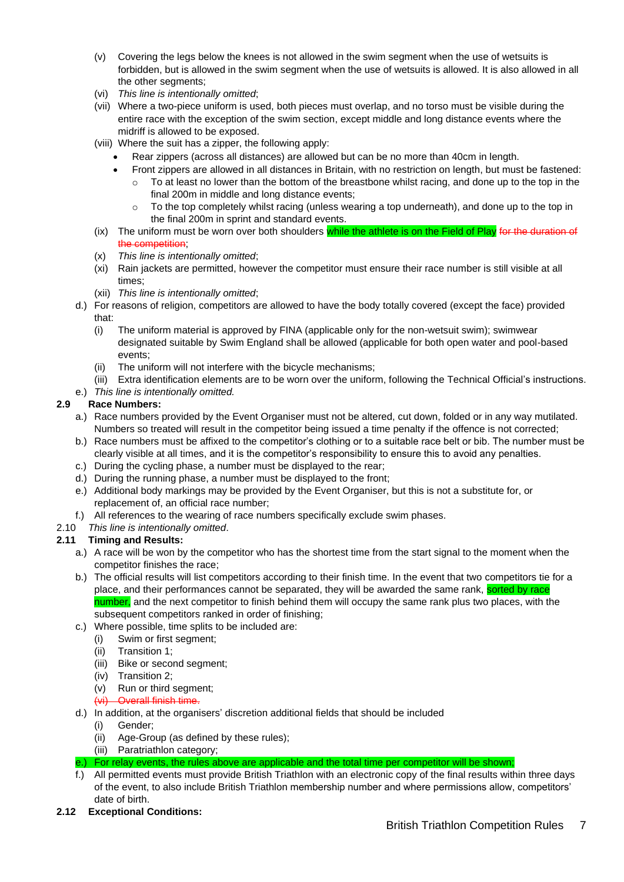- (v) Covering the legs below the knees is not allowed in the swim segment when the use of wetsuits is forbidden, but is allowed in the swim segment when the use of wetsuits is allowed. It is also allowed in all the other segments;
- (vi) *This line is intentionally omitted*;
- (vii) Where a two-piece uniform is used, both pieces must overlap, and no torso must be visible during the entire race with the exception of the swim section, except middle and long distance events where the midriff is allowed to be exposed.
- (viii) Where the suit has a zipper, the following apply:
	- Rear zippers (across all distances) are allowed but can be no more than 40cm in length.
	- Front zippers are allowed in all distances in Britain, with no restriction on length, but must be fastened:
		- To at least no lower than the bottom of the breastbone whilst racing, and done up to the top in the final 200m in middle and long distance events;
		- o To the top completely whilst racing (unless wearing a top underneath), and done up to the top in the final 200m in sprint and standard events.
- $(ix)$  The uniform must be worn over both shoulders while the athlete is on the Field of Play for the duration of the competition;
- (x) *This line is intentionally omitted*;
- (xi) Rain jackets are permitted, however the competitor must ensure their race number is still visible at all times;
- (xii) *This line is intentionally omitted*;
- d.) For reasons of religion, competitors are allowed to have the body totally covered (except the face) provided that:
	- (i) The uniform material is approved by FINA (applicable only for the non-wetsuit swim); swimwear designated suitable by Swim England shall be allowed (applicable for both open water and pool-based events;
	- (ii) The uniform will not interfere with the bicycle mechanisms;
	- (iii) Extra identification elements are to be worn over the uniform, following the Technical Official's instructions.
- e.) *This line is intentionally omitted.*

#### **2.9 Race Numbers:**

- a.) Race numbers provided by the Event Organiser must not be altered, cut down, folded or in any way mutilated. Numbers so treated will result in the competitor being issued a time penalty if the offence is not corrected;
- b.) Race numbers must be affixed to the competitor's clothing or to a suitable race belt or bib. The number must be clearly visible at all times, and it is the competitor's responsibility to ensure this to avoid any penalties.
- c.) During the cycling phase, a number must be displayed to the rear;
- d.) During the running phase, a number must be displayed to the front;
- e.) Additional body markings may be provided by the Event Organiser, but this is not a substitute for, or replacement of, an official race number;
- f.) All references to the wearing of race numbers specifically exclude swim phases.
- 2.10 *This line is intentionally omitted*.

#### **2.11 Timing and Results:**

- a.) A race will be won by the competitor who has the shortest time from the start signal to the moment when the competitor finishes the race;
- b.) The official results will list competitors according to their finish time. In the event that two competitors tie for a place, and their performances cannot be separated, they will be awarded the same rank, sorted by race number, and the next competitor to finish behind them will occupy the same rank plus two places, with the subsequent competitors ranked in order of finishing:
- c.) Where possible, time splits to be included are:
	- (i) Swim or first segment;
		- (ii) Transition 1;
	- (iii) Bike or second segment;
	- (iv) Transition 2;
	- (v) Run or third segment;
	- (vi) Overall finish time.
- d.) In addition, at the organisers' discretion additional fields that should be included
	- (i) Gender;
		- (ii) Age-Group (as defined by these rules);
		- (iii) Paratriathlon category;
- e.) For relay events, the rules above are applicable and the total time per competitor will be shown;
- f.) All permitted events must provide British Triathlon with an electronic copy of the final results within three days of the event, to also include British Triathlon membership number and where permissions allow, competitors' date of birth.
- **2.12 Exceptional Conditions:**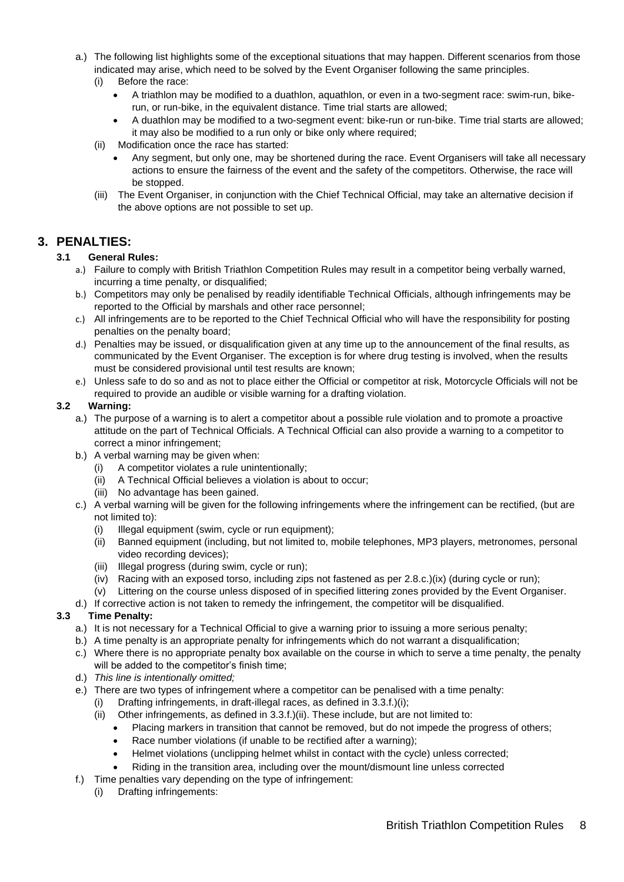- a.) The following list highlights some of the exceptional situations that may happen. Different scenarios from those indicated may arise, which need to be solved by the Event Organiser following the same principles.
	- (i) Before the race:
		- A triathlon may be modified to a duathlon, aquathlon, or even in a two-segment race: swim-run, bikerun, or run-bike, in the equivalent distance. Time trial starts are allowed;
		- A duathlon may be modified to a two-segment event: bike-run or run-bike. Time trial starts are allowed; it may also be modified to a run only or bike only where required;
	- (ii) Modification once the race has started:
		- Any segment, but only one, may be shortened during the race. Event Organisers will take all necessary actions to ensure the fairness of the event and the safety of the competitors. Otherwise, the race will be stopped.
	- (iii) The Event Organiser, in conjunction with the Chief Technical Official, may take an alternative decision if the above options are not possible to set up.

### <span id="page-7-0"></span>**3. PENALTIES:**

#### **3.1 General Rules:**

- a.) Failure to comply with British Triathlon Competition Rules may result in a competitor being verbally warned, incurring a time penalty, or disqualified;
- b.) Competitors may only be penalised by readily identifiable Technical Officials, although infringements may be reported to the Official by marshals and other race personnel;
- c.) All infringements are to be reported to the Chief Technical Official who will have the responsibility for posting penalties on the penalty board;
- d.) Penalties may be issued, or disqualification given at any time up to the announcement of the final results, as communicated by the Event Organiser. The exception is for where drug testing is involved, when the results must be considered provisional until test results are known;
- e.) Unless safe to do so and as not to place either the Official or competitor at risk, Motorcycle Officials will not be required to provide an audible or visible warning for a drafting violation.

#### **3.2 Warning:**

- a.) The purpose of a warning is to alert a competitor about a possible rule violation and to promote a proactive attitude on the part of Technical Officials. A Technical Official can also provide a warning to a competitor to correct a minor infringement;
- b.) A verbal warning may be given when:
	- (i) A competitor violates a rule unintentionally;
	- (ii) A Technical Official believes a violation is about to occur;
	- (iii) No advantage has been gained.
- c.) A verbal warning will be given for the following infringements where the infringement can be rectified, (but are not limited to):
	- (i) Illegal equipment (swim, cycle or run equipment);
	- (ii) Banned equipment (including, but not limited to, mobile telephones, MP3 players, metronomes, personal video recording devices);
	- (iii) Illegal progress (during swim, cycle or run);
	- (iv) Racing with an exposed torso, including zips not fastened as per 2.8.c.)(ix) (during cycle or run);
	- (v) Littering on the course unless disposed of in specified littering zones provided by the Event Organiser.
- d.) If corrective action is not taken to remedy the infringement, the competitor will be disqualified.

#### **3.3 Time Penalty:**

- a.) It is not necessary for a Technical Official to give a warning prior to issuing a more serious penalty;
- b.) A time penalty is an appropriate penalty for infringements which do not warrant a disqualification;
- c.) Where there is no appropriate penalty box available on the course in which to serve a time penalty, the penalty will be added to the competitor's finish time;
- d.) *This line is intentionally omitted;*
- e.) There are two types of infringement where a competitor can be penalised with a time penalty:
	- (i) Drafting infringements, in draft-illegal races, as defined in  $3.3.f.$ )(i);
	- (ii) Other infringements, as defined in 3.3.f.)(ii). These include, but are not limited to:
		- Placing markers in transition that cannot be removed, but do not impede the progress of others;
		- Race number violations (if unable to be rectified after a warning):
		- Helmet violations (unclipping helmet whilst in contact with the cycle) unless corrected;
		- Riding in the transition area, including over the mount/dismount line unless corrected
- f.) Time penalties vary depending on the type of infringement:
	- (i) Drafting infringements: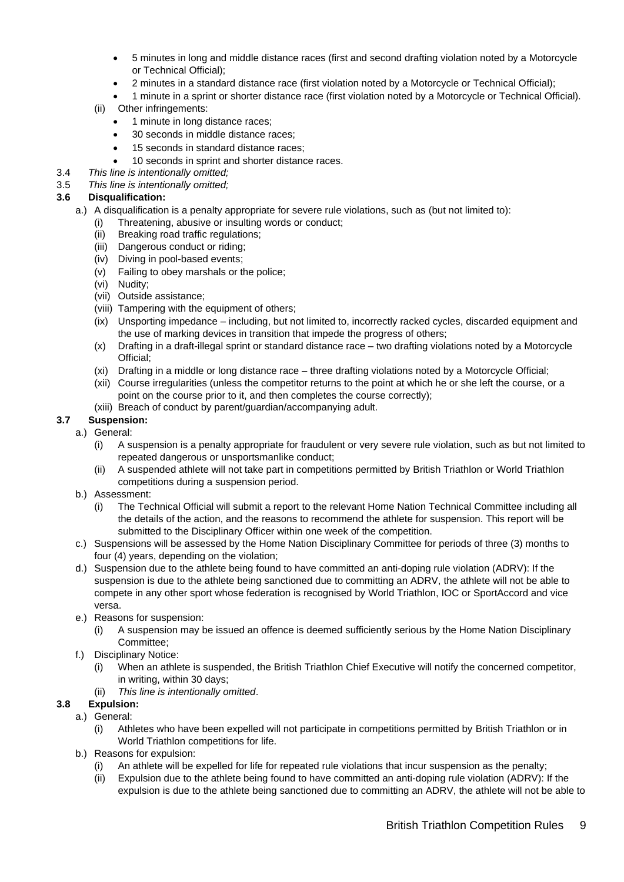- 5 minutes in long and middle distance races (first and second drafting violation noted by a Motorcycle or Technical Official);
- 2 minutes in a standard distance race (first violation noted by a Motorcycle or Technical Official);
- 1 minute in a sprint or shorter distance race (first violation noted by a Motorcycle or Technical Official).

#### (ii) Other infringements:

- 1 minute in long distance races;
- 30 seconds in middle distance races;
- 15 seconds in standard distance races;
- 10 seconds in sprint and shorter distance races.
- 3.4 *This line is intentionally omitted;*
- 3.5 *This line is intentionally omitted;*

#### **3.6 Disqualification:**

- a.) A disqualification is a penalty appropriate for severe rule violations, such as (but not limited to):
	- (i) Threatening, abusive or insulting words or conduct;
	- (ii) Breaking road traffic regulations;
	- (iii) Dangerous conduct or riding;
	- (iv) Diving in pool-based events;
	- (v) Failing to obey marshals or the police;
	- (vi) Nudity;
	- (vii) Outside assistance;
	- (viii) Tampering with the equipment of others;
	- (ix) Unsporting impedance including, but not limited to, incorrectly racked cycles, discarded equipment and the use of marking devices in transition that impede the progress of others;
	- (x) Drafting in a draft-illegal sprint or standard distance race two drafting violations noted by a Motorcycle Official;
	- (xi) Drafting in a middle or long distance race three drafting violations noted by a Motorcycle Official;
	- (xii) Course irregularities (unless the competitor returns to the point at which he or she left the course, or a point on the course prior to it, and then completes the course correctly);
	- (xiii) Breach of conduct by parent/guardian/accompanying adult.

### **3.7 Suspension:**

- a.) General:
	- (i) A suspension is a penalty appropriate for fraudulent or very severe rule violation, such as but not limited to repeated dangerous or unsportsmanlike conduct;
	- (ii) A suspended athlete will not take part in competitions permitted by British Triathlon or World Triathlon competitions during a suspension period.
	- b.) Assessment:
		- (i) The Technical Official will submit a report to the relevant Home Nation Technical Committee including all the details of the action, and the reasons to recommend the athlete for suspension. This report will be submitted to the Disciplinary Officer within one week of the competition.
	- c.) Suspensions will be assessed by the Home Nation Disciplinary Committee for periods of three (3) months to four (4) years, depending on the violation;
	- d.) Suspension due to the athlete being found to have committed an anti-doping rule violation (ADRV): If the suspension is due to the athlete being sanctioned due to committing an ADRV, the athlete will not be able to compete in any other sport whose federation is recognised by World Triathlon, IOC or SportAccord and vice versa.
	- e.) Reasons for suspension:
		- (i) A suspension may be issued an offence is deemed sufficiently serious by the Home Nation Disciplinary Committee;
	- f.) Disciplinary Notice:
		- (i) When an athlete is suspended, the British Triathlon Chief Executive will notify the concerned competitor, in writing, within 30 days;
		- (ii) *This line is intentionally omitted*.
- **3.8 Expulsion:**
	- a.) General:
		- (i) Athletes who have been expelled will not participate in competitions permitted by British Triathlon or in World Triathlon competitions for life.
	- b.) Reasons for expulsion:
		- (i) An athlete will be expelled for life for repeated rule violations that incur suspension as the penalty;
		- (ii) Expulsion due to the athlete being found to have committed an anti-doping rule violation (ADRV): If the expulsion is due to the athlete being sanctioned due to committing an ADRV, the athlete will not be able to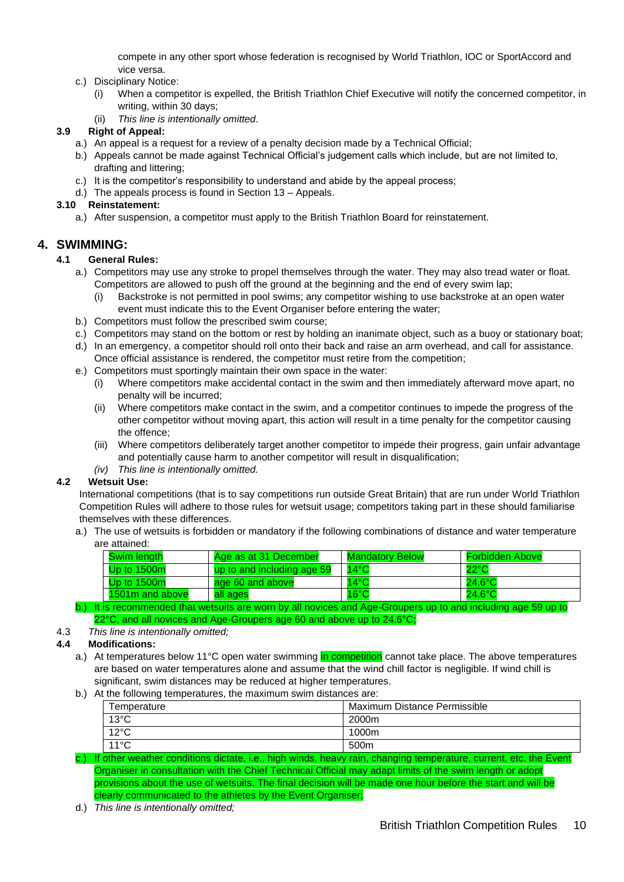compete in any other sport whose federation is recognised by World Triathlon, IOC or SportAccord and vice versa.

- c.) Disciplinary Notice:
	- (i) When a competitor is expelled, the British Triathlon Chief Executive will notify the concerned competitor, in writing, within 30 days;
	- (ii) *This line is intentionally omitted*.

#### **3.9 Right of Appeal:**

- a.) An appeal is a request for a review of a penalty decision made by a Technical Official;
- b.) Appeals cannot be made against Technical Official's judgement calls which include, but are not limited to, drafting and littering;
- c.) It is the competitor's responsibility to understand and abide by the appeal process;
- d.) The appeals process is found in Section 13 Appeals.

#### **3.10 Reinstatement:**

a.) After suspension, a competitor must apply to the British Triathlon Board for reinstatement.

#### <span id="page-9-0"></span>**4. SWIMMING:**

#### **4.1 General Rules:**

- a.) Competitors may use any stroke to propel themselves through the water. They may also tread water or float. Competitors are allowed to push off the ground at the beginning and the end of every swim lap;
	- (i) Backstroke is not permitted in pool swims; any competitor wishing to use backstroke at an open water event must indicate this to the Event Organiser before entering the water;
- b.) Competitors must follow the prescribed swim course;
- c.) Competitors may stand on the bottom or rest by holding an inanimate object, such as a buoy or stationary boat;
- d.) In an emergency, a competitor should roll onto their back and raise an arm overhead, and call for assistance. Once official assistance is rendered, the competitor must retire from the competition;
- e.) Competitors must sportingly maintain their own space in the water:
	- (i) Where competitors make accidental contact in the swim and then immediately afterward move apart, no penalty will be incurred;
	- (ii) Where competitors make contact in the swim, and a competitor continues to impede the progress of the other competitor without moving apart, this action will result in a time penalty for the competitor causing the offence;
	- (iii) Where competitors deliberately target another competitor to impede their progress, gain unfair advantage and potentially cause harm to another competitor will result in disqualification;
	- *(iv) This line is intentionally omitted.*

#### **4.2 Wetsuit Use:**

International competitions (that is to say competitions run outside Great Britain) that are run under World Triathlon Competition Rules will adhere to those rules for wetsuit usage; competitors taking part in these should familiarise themselves with these differences.

a.) The use of wetsuits is forbidden or mandatory if the following combinations of distance and water temperature are attained:

| Swim lenath     | Age as at 31 December      | <b>Mandatory Below</b> | <b>Forbidden Above</b> |
|-----------------|----------------------------|------------------------|------------------------|
| Up to $1500m$   | up to and including age 59 | $14^{\circ}$ C         | $22^{\circ}$ C         |
| Up to $1500m$   | age 60 and above           | $14^{\circ}$ C         | $24.6^{\circ}$ C       |
| 1501m and above | all ages                   | $16^{\circ}$ C         | $24.6^{\circ}$ C       |

b.) It is recommended that wetsuits are worn by all novices and Age-Groupers up to and including age 59 up to 22°C, and all novices and Age-Groupers age 60 and above up to 24.6°C;

#### 4.3 *This line is intentionally omitted;*

#### **4.4 Modifications:**

- a.) At temperatures below 11°C open water swimming in competition cannot take place. The above temperatures are based on water temperatures alone and assume that the wind chill factor is negligible. If wind chill is significant, swim distances may be reduced at higher temperatures.
- b.) At the following temperatures, the maximum swim distances are:

| Temperature    | Maximum Distance Permissible |
|----------------|------------------------------|
| $13^{\circ}$ C | 2000m                        |
| $12^{\circ}$ C | 1000m                        |
| $11^{\circ}$ C | 500 <sub>m</sub>             |

c.) If other weather conditions dictate, i.e., high winds, heavy rain, changing temperature, current, etc. the Event Organiser in consultation with the Chief Technical Official may adapt limits of the swim length or adopt provisions about the use of wetsuits. The final decision will be made one hour before the start and will be clearly communicated to the athletes by the Event Organiser;

d.) *This line is intentionally omitted;*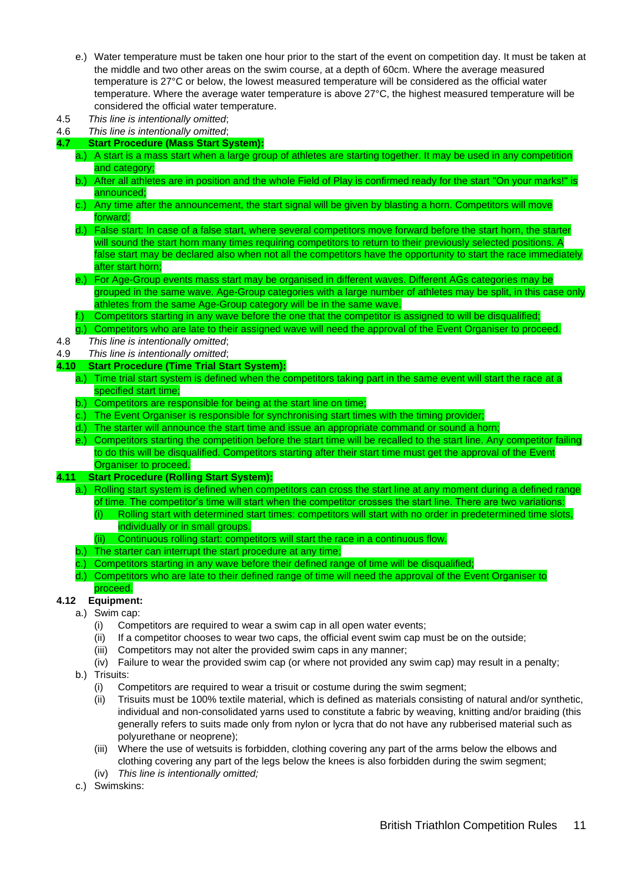- e.) Water temperature must be taken one hour prior to the start of the event on competition day. It must be taken at the middle and two other areas on the swim course, at a depth of 60cm. Where the average measured temperature is 27°C or below, the lowest measured temperature will be considered as the official water temperature. Where the average water temperature is above 27°C, the highest measured temperature will be considered the official water temperature.
- 4.5 *This line is intentionally omitted*;
- 4.6 *This line is intentionally omitted*;
- **4.7 Start Procedure (Mass Start System):**
	- a.) A start is a mass start when a large group of athletes are starting together. It may be used in any competition and category;
	- b.) After all athletes are in position and the whole Field of Play is confirmed ready for the start "On your marks!" is announced;
	- c.) Any time after the announcement, the start signal will be given by blasting a horn. Competitors will move forward;
	- d.) False start: In case of a false start, where several competitors move forward before the start horn, the starter will sound the start horn many times requiring competitors to return to their previously selected positions. A false start may be declared also when not all the competitors have the opportunity to start the race immediately after start horn;
	- e.) For Age-Group events mass start may be organised in different waves. Different AGs categories may be grouped in the same wave. Age-Group categories with a large number of athletes may be split, in this case only athletes from the same Age-Group category will be in the same wave.
	- Competitors starting in any wave before the one that the competitor is assigned to will be disqualified;
- g.) Competitors who are late to their assigned wave will need the approval of the Event Organiser to proceed. 4.8 *This line is intentionally omitted*;
- 4.9 *This line is intentionally omitted*;

#### **4.10 Start Procedure (Time Trial Start System):**

- a.) Time trial start system is defined when the competitors taking part in the same event will start the race at a specified start time;
- b.) Competitors are responsible for being at the start line on time;
- c.) The Event Organiser is responsible for synchronising start times with the timing provider;
- d.) The starter will announce the start time and issue an appropriate command or sound a horn;
- e.) Competitors starting the competition before the start time will be recalled to the start line. Any competitor failing to do this will be disqualified. Competitors starting after their start time must get the approval of the Event Organiser to proceed.
- **4.11 Start Procedure (Rolling Start System):**
	- a.) Rolling start system is defined when competitors can cross the start line at any moment during a defined range of time. The competitor's time will start when the competitor crosses the start line. There are two variations:
		- (i) Rolling start with determined start times: competitors will start with no order in predetermined time slots, individually or in small groups.
		- (ii) Continuous rolling start: competitors will start the race in a continuous flow.
	- b.) The starter can interrupt the start procedure at any time;
	- c.) Competitors starting in any wave before their defined range of time will be disqualified;
	- d.) Competitors who are late to their defined range of time will need the approval of the Event Organiser to

#### proceed. **4.12 Equipment:**

- a.) Swim cap:
	- (i) Competitors are required to wear a swim cap in all open water events;
	- (ii) If a competitor chooses to wear two caps, the official event swim cap must be on the outside;
	- (iii) Competitors may not alter the provided swim caps in any manner;
	- (iv) Failure to wear the provided swim cap (or where not provided any swim cap) may result in a penalty;
- b.) Trisuits:
	- (i) Competitors are required to wear a trisuit or costume during the swim segment;
	- (ii) Trisuits must be 100% textile material, which is defined as materials consisting of natural and/or synthetic, individual and non-consolidated yarns used to constitute a fabric by weaving, knitting and/or braiding (this generally refers to suits made only from nylon or lycra that do not have any rubberised material such as polyurethane or neoprene);
	- (iii) Where the use of wetsuits is forbidden, clothing covering any part of the arms below the elbows and clothing covering any part of the legs below the knees is also forbidden during the swim segment;
	- (iv) *This line is intentionally omitted;*
- c.) Swimskins: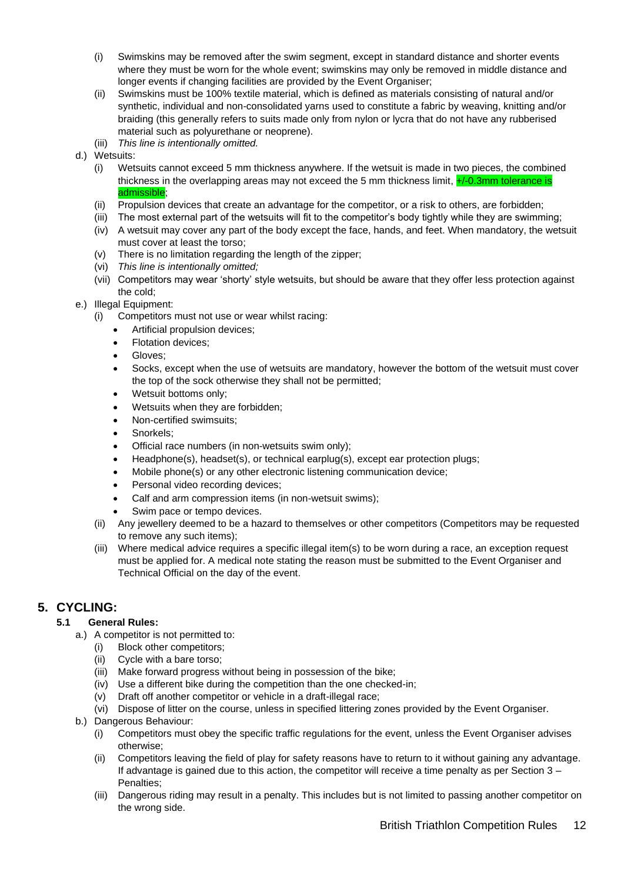- (i) Swimskins may be removed after the swim segment, except in standard distance and shorter events where they must be worn for the whole event; swimskins may only be removed in middle distance and longer events if changing facilities are provided by the Event Organiser;
- (ii) Swimskins must be 100% textile material, which is defined as materials consisting of natural and/or synthetic, individual and non-consolidated yarns used to constitute a fabric by weaving, knitting and/or braiding (this generally refers to suits made only from nylon or lycra that do not have any rubberised material such as polyurethane or neoprene).
- (iii) *This line is intentionally omitted.*
- d.) Wetsuits:
	- (i) Wetsuits cannot exceed 5 mm thickness anywhere. If the wetsuit is made in two pieces, the combined thickness in the overlapping areas may not exceed the 5 mm thickness limit,  $\frac{1}{2}$ -0.3mm tolerance is admissible;
	- (ii) Propulsion devices that create an advantage for the competitor, or a risk to others, are forbidden;
	- (iii) The most external part of the wetsuits will fit to the competitor's body tightly while they are swimming;
	- (iv) A wetsuit may cover any part of the body except the face, hands, and feet. When mandatory, the wetsuit must cover at least the torso;
	- (v) There is no limitation regarding the length of the zipper;
	- (vi) *This line is intentionally omitted;*
	- (vii) Competitors may wear 'shorty' style wetsuits, but should be aware that they offer less protection against the cold;
- e.) Illegal Equipment:
	- (i) Competitors must not use or wear whilst racing:
		- Artificial propulsion devices;
		- Flotation devices;
		- Gloves:
		- Socks, except when the use of wetsuits are mandatory, however the bottom of the wetsuit must cover the top of the sock otherwise they shall not be permitted;
		- Wetsuit bottoms only;
		- Wetsuits when they are forbidden;
		- Non-certified swimsuits;
		- Snorkels:
		- Official race numbers (in non-wetsuits swim only);
		- Headphone(s), headset(s), or technical earplug(s), except ear protection plugs;
		- Mobile phone(s) or any other electronic listening communication device;
		- Personal video recording devices;
		- Calf and arm compression items (in non-wetsuit swims);
		- Swim pace or tempo devices.
	- (ii) Any jewellery deemed to be a hazard to themselves or other competitors (Competitors may be requested to remove any such items);
	- (iii) Where medical advice requires a specific illegal item(s) to be worn during a race, an exception request must be applied for. A medical note stating the reason must be submitted to the Event Organiser and Technical Official on the day of the event.

### <span id="page-11-0"></span>**5. CYCLING:**

#### **5.1 General Rules:**

- a.) A competitor is not permitted to:
	- (i) Block other competitors;
	- (ii) Cycle with a bare torso;
	- (iii) Make forward progress without being in possession of the bike;
	- (iv) Use a different bike during the competition than the one checked-in;
	- (v) Draft off another competitor or vehicle in a draft-illegal race;
	- (vi) Dispose of litter on the course, unless in specified littering zones provided by the Event Organiser.
- b.) Dangerous Behaviour:
	- (i) Competitors must obey the specific traffic regulations for the event, unless the Event Organiser advises otherwise;
	- (ii) Competitors leaving the field of play for safety reasons have to return to it without gaining any advantage. If advantage is gained due to this action, the competitor will receive a time penalty as per Section 3 – Penalties;
	- (iii) Dangerous riding may result in a penalty. This includes but is not limited to passing another competitor on the wrong side.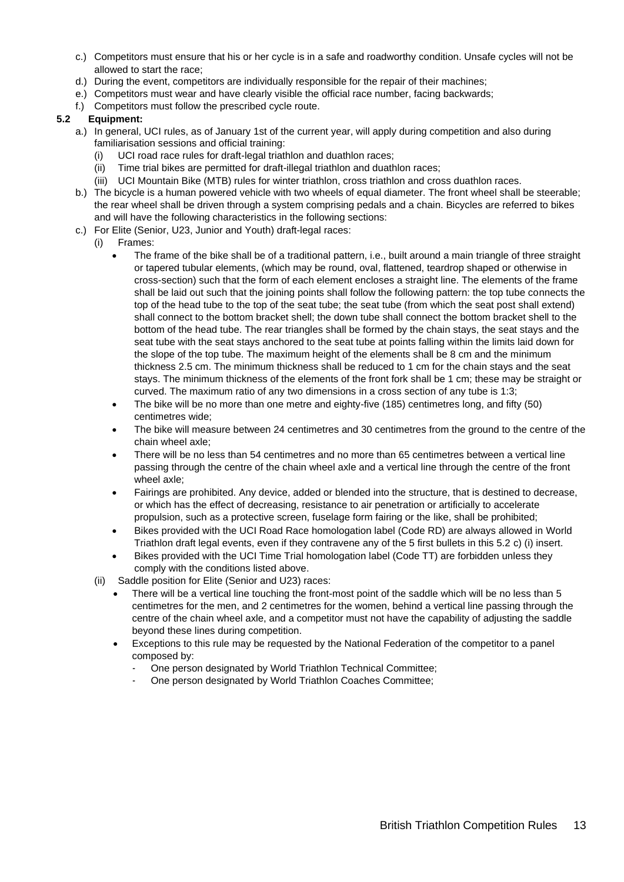- c.) Competitors must ensure that his or her cycle is in a safe and roadworthy condition. Unsafe cycles will not be allowed to start the race;
- d.) During the event, competitors are individually responsible for the repair of their machines;
- e.) Competitors must wear and have clearly visible the official race number, facing backwards;
- f.) Competitors must follow the prescribed cycle route.

#### **5.2 Equipment:**

- a.) In general, UCI rules, as of January 1st of the current year, will apply during competition and also during familiarisation sessions and official training:
	- (i) UCI road race rules for draft-legal triathlon and duathlon races;
	- (ii) Time trial bikes are permitted for draft-illegal triathlon and duathlon races;
	- (iii) UCI Mountain Bike (MTB) rules for winter triathlon, cross triathlon and cross duathlon races.
- b.) The bicycle is a human powered vehicle with two wheels of equal diameter. The front wheel shall be steerable; the rear wheel shall be driven through a system comprising pedals and a chain. Bicycles are referred to bikes and will have the following characteristics in the following sections:
- c.) For Elite (Senior, U23, Junior and Youth) draft-legal races:
	- (i) Frames:
		- The frame of the bike shall be of a traditional pattern, i.e., built around a main triangle of three straight or tapered tubular elements, (which may be round, oval, flattened, teardrop shaped or otherwise in cross-section) such that the form of each element encloses a straight line. The elements of the frame shall be laid out such that the joining points shall follow the following pattern: the top tube connects the top of the head tube to the top of the seat tube; the seat tube (from which the seat post shall extend) shall connect to the bottom bracket shell; the down tube shall connect the bottom bracket shell to the bottom of the head tube. The rear triangles shall be formed by the chain stays, the seat stays and the seat tube with the seat stays anchored to the seat tube at points falling within the limits laid down for the slope of the top tube. The maximum height of the elements shall be 8 cm and the minimum thickness 2.5 cm. The minimum thickness shall be reduced to 1 cm for the chain stays and the seat stays. The minimum thickness of the elements of the front fork shall be 1 cm; these may be straight or curved. The maximum ratio of any two dimensions in a cross section of any tube is 1:3;
		- The bike will be no more than one metre and eighty-five (185) centimetres long, and fifty (50) centimetres wide;
		- The bike will measure between 24 centimetres and 30 centimetres from the ground to the centre of the chain wheel axle;
		- There will be no less than 54 centimetres and no more than 65 centimetres between a vertical line passing through the centre of the chain wheel axle and a vertical line through the centre of the front wheel axle;
		- Fairings are prohibited. Any device, added or blended into the structure, that is destined to decrease, or which has the effect of decreasing, resistance to air penetration or artificially to accelerate propulsion, such as a protective screen, fuselage form fairing or the like, shall be prohibited;
		- Bikes provided with the UCI Road Race homologation label (Code RD) are always allowed in World Triathlon draft legal events, even if they contravene any of the 5 first bullets in this 5.2 c) (i) insert.
		- Bikes provided with the UCI Time Trial homologation label (Code TT) are forbidden unless they comply with the conditions listed above.
	- (ii) Saddle position for Elite (Senior and U23) races:
		- There will be a vertical line touching the front-most point of the saddle which will be no less than 5 centimetres for the men, and 2 centimetres for the women, behind a vertical line passing through the centre of the chain wheel axle, and a competitor must not have the capability of adjusting the saddle beyond these lines during competition.
		- Exceptions to this rule may be requested by the National Federation of the competitor to a panel composed by:
			- One person designated by World Triathlon Technical Committee;
			- One person designated by World Triathlon Coaches Committee;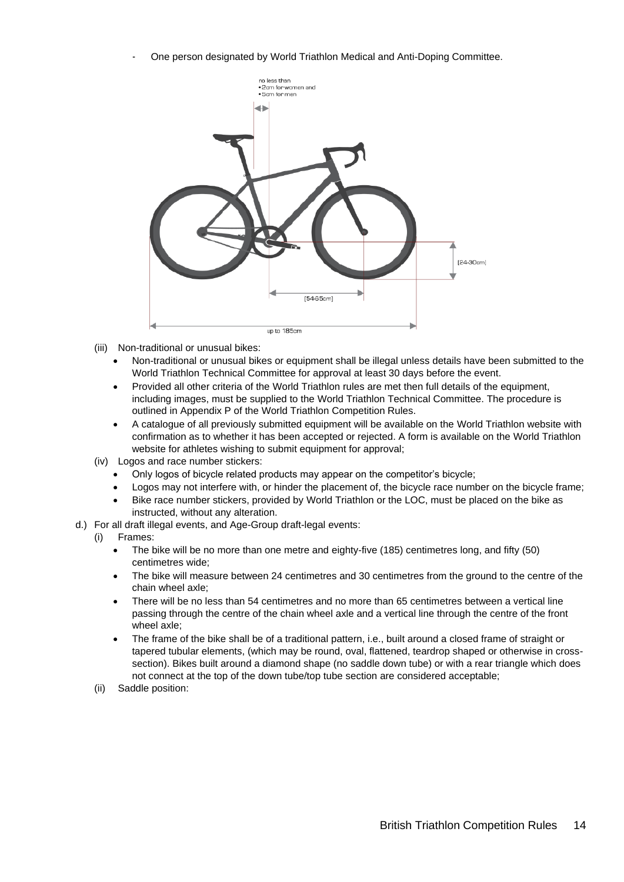- One person designated by World Triathlon Medical and Anti-Doping Committee.



- (iii) Non-traditional or unusual bikes:
	- Non-traditional or unusual bikes or equipment shall be illegal unless details have been submitted to the World Triathlon Technical Committee for approval at least 30 days before the event.
	- Provided all other criteria of the World Triathlon rules are met then full details of the equipment, including images, must be supplied to the World Triathlon Technical Committee. The procedure is outlined in Appendix P of the World Triathlon Competition Rules.
	- A catalogue of all previously submitted equipment will be available on the World Triathlon website with confirmation as to whether it has been accepted or rejected. A form is available on the World Triathlon website for athletes wishing to submit equipment for approval;
- (iv) Logos and race number stickers:
	- Only logos of bicycle related products may appear on the competitor's bicycle;
	- Logos may not interfere with, or hinder the placement of, the bicycle race number on the bicycle frame;
	- Bike race number stickers, provided by World Triathlon or the LOC, must be placed on the bike as instructed, without any alteration.
- d.) For all draft illegal events, and Age-Group draft-legal events:

#### (i) Frames:

- The bike will be no more than one metre and eighty-five (185) centimetres long, and fifty (50) centimetres wide;
- The bike will measure between 24 centimetres and 30 centimetres from the ground to the centre of the chain wheel axle;
- There will be no less than 54 centimetres and no more than 65 centimetres between a vertical line passing through the centre of the chain wheel axle and a vertical line through the centre of the front wheel axle;
- The frame of the bike shall be of a traditional pattern, i.e., built around a closed frame of straight or tapered tubular elements, (which may be round, oval, flattened, teardrop shaped or otherwise in crosssection). Bikes built around a diamond shape (no saddle down tube) or with a rear triangle which does not connect at the top of the down tube/top tube section are considered acceptable;
- (ii) Saddle position: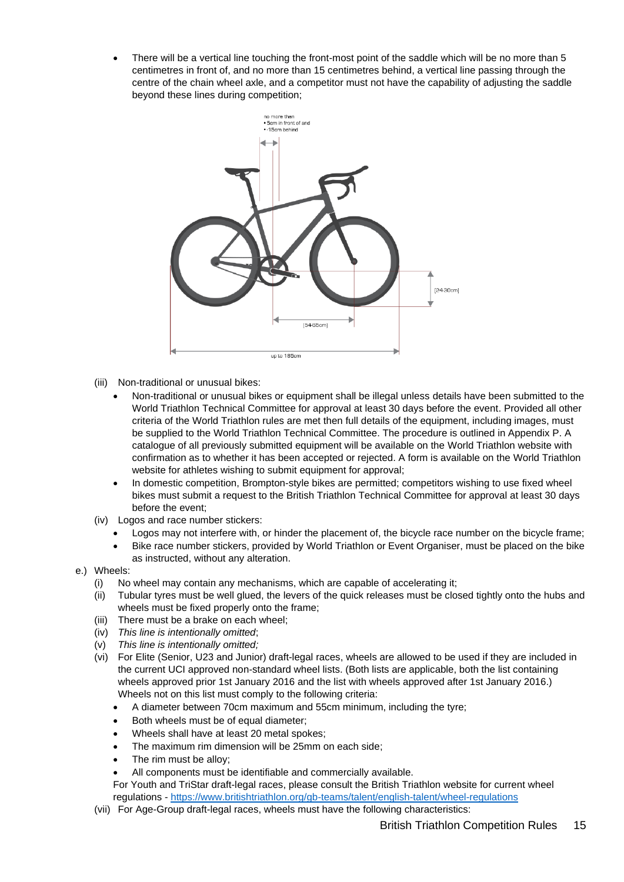There will be a vertical line touching the front-most point of the saddle which will be no more than 5 centimetres in front of, and no more than 15 centimetres behind, a vertical line passing through the centre of the chain wheel axle, and a competitor must not have the capability of adjusting the saddle beyond these lines during competition;



- (iii) Non-traditional or unusual bikes:
	- Non-traditional or unusual bikes or equipment shall be illegal unless details have been submitted to the World Triathlon Technical Committee for approval at least 30 days before the event. Provided all other criteria of the World Triathlon rules are met then full details of the equipment, including images, must be supplied to the World Triathlon Technical Committee. The procedure is outlined in Appendix P. A catalogue of all previously submitted equipment will be available on the World Triathlon website with confirmation as to whether it has been accepted or rejected. A form is available on the World Triathlon website for athletes wishing to submit equipment for approval;
	- In domestic competition, Brompton-style bikes are permitted; competitors wishing to use fixed wheel bikes must submit a request to the British Triathlon Technical Committee for approval at least 30 days before the event;
- (iv) Logos and race number stickers:
	- Logos may not interfere with, or hinder the placement of, the bicycle race number on the bicycle frame;
	- Bike race number stickers, provided by World Triathlon or Event Organiser, must be placed on the bike as instructed, without any alteration.
- e.) Wheels:
	- (i) No wheel may contain any mechanisms, which are capable of accelerating it;
	- (ii) Tubular tyres must be well glued, the levers of the quick releases must be closed tightly onto the hubs and wheels must be fixed properly onto the frame;
	- (iii) There must be a brake on each wheel;
	- (iv) *This line is intentionally omitted*;
	- (v) *This line is intentionally omitted;*
	- (vi) For Elite (Senior, U23 and Junior) draft-legal races, wheels are allowed to be used if they are included in the current UCI approved non-standard wheel lists. (Both lists are applicable, both the list containing wheels approved prior 1st January 2016 and the list with wheels approved after 1st January 2016.) Wheels not on this list must comply to the following criteria:
		- A diameter between 70cm maximum and 55cm minimum, including the tyre;
		- Both wheels must be of equal diameter;
		- Wheels shall have at least 20 metal spokes;
		- The maximum rim dimension will be 25mm on each side;
		- The rim must be alloy;
		- All components must be identifiable and commercially available.
		- For Youth and TriStar draft-legal races, please consult the British Triathlon website for current wheel regulations - <https://www.britishtriathlon.org/gb-teams/talent/english-talent/wheel-regulations>
	- (vii) For Age-Group draft-legal races, wheels must have the following characteristics: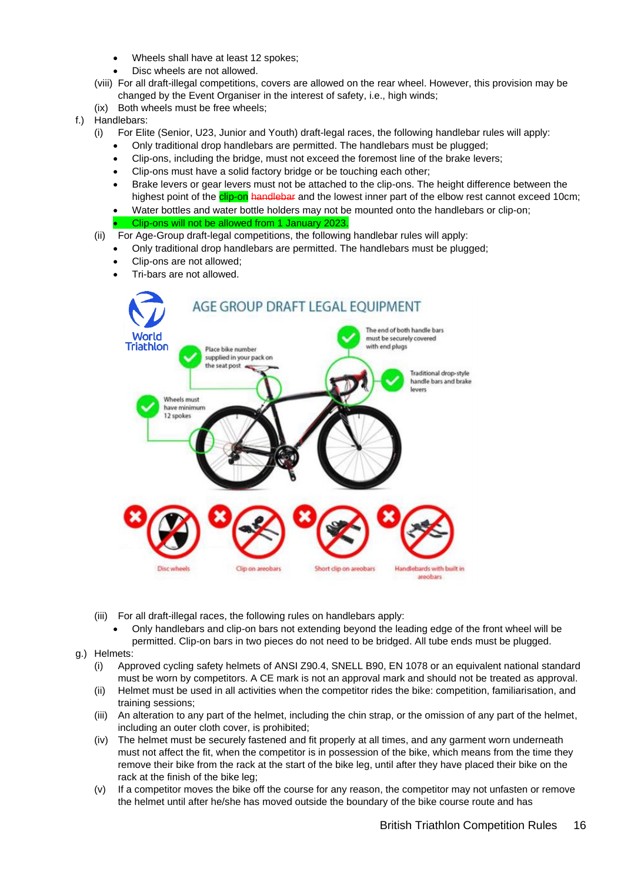- Wheels shall have at least 12 spokes;
	- Disc wheels are not allowed.
- (viii) For all draft-illegal competitions, covers are allowed on the rear wheel. However, this provision may be changed by the Event Organiser in the interest of safety, i.e., high winds;
- (ix) Both wheels must be free wheels;
- f.) Handlebars:
	- (i) For Elite (Senior, U23, Junior and Youth) draft-legal races, the following handlebar rules will apply:
		- Only traditional drop handlebars are permitted. The handlebars must be plugged;
		- Clip-ons, including the bridge, must not exceed the foremost line of the brake levers;
		- Clip-ons must have a solid factory bridge or be touching each other;
		- Brake levers or gear levers must not be attached to the clip-ons. The height difference between the highest point of the **clip-on handlebar** and the lowest inner part of the elbow rest cannot exceed 10cm;
		- Water bottles and water bottle holders may not be mounted onto the handlebars or clip-on;

#### • Clip-ons will not be allowed from 1 January 2023.

- (ii) For Age-Group draft-legal competitions, the following handlebar rules will apply:
	- Only traditional drop handlebars are permitted. The handlebars must be plugged;
		- Clip-ons are not allowed;
		- Tri-bars are not allowed.



- (iii) For all draft-illegal races, the following rules on handlebars apply:
	- Only handlebars and clip-on bars not extending beyond the leading edge of the front wheel will be permitted. Clip-on bars in two pieces do not need to be bridged. All tube ends must be plugged.
- g.) Helmets:
	- (i) Approved cycling safety helmets of ANSI Z90.4, SNELL B90, EN 1078 or an equivalent national standard must be worn by competitors. A CE mark is not an approval mark and should not be treated as approval.
	- (ii) Helmet must be used in all activities when the competitor rides the bike: competition, familiarisation, and training sessions;
	- (iii) An alteration to any part of the helmet, including the chin strap, or the omission of any part of the helmet, including an outer cloth cover, is prohibited;
	- (iv) The helmet must be securely fastened and fit properly at all times, and any garment worn underneath must not affect the fit, when the competitor is in possession of the bike, which means from the time they remove their bike from the rack at the start of the bike leg, until after they have placed their bike on the rack at the finish of the bike leg;
	- (v) If a competitor moves the bike off the course for any reason, the competitor may not unfasten or remove the helmet until after he/she has moved outside the boundary of the bike course route and has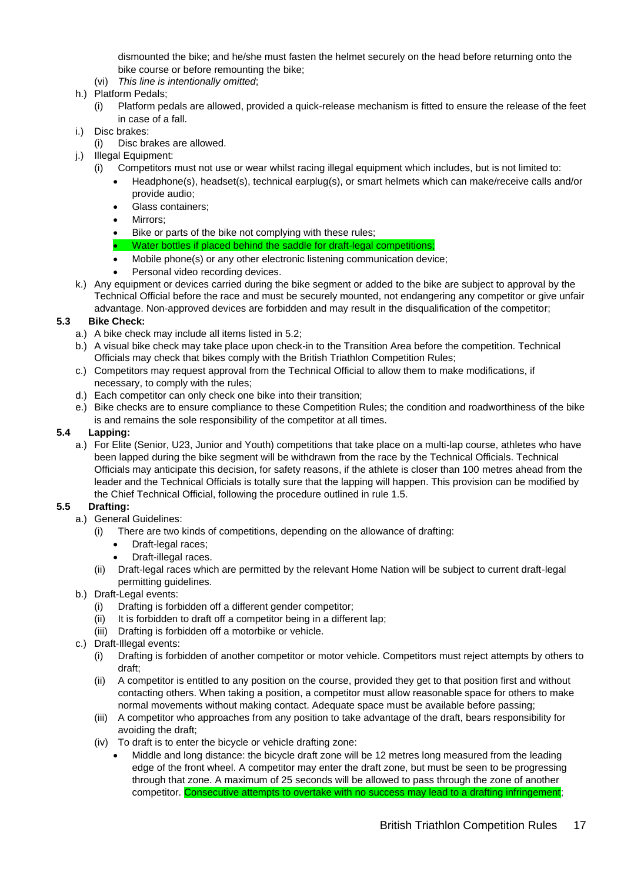dismounted the bike; and he/she must fasten the helmet securely on the head before returning onto the bike course or before remounting the bike;

- (vi) *This line is intentionally omitted*;
- h.) Platform Pedals;
	- (i) Platform pedals are allowed, provided a quick-release mechanism is fitted to ensure the release of the feet in case of a fall.
- i.) Disc brakes:
	- (i) Disc brakes are allowed.
- j.) Illegal Equipment:
	- (i) Competitors must not use or wear whilst racing illegal equipment which includes, but is not limited to:
		- Headphone(s), headset(s), technical earplug(s), or smart helmets which can make/receive calls and/or provide audio;
		- Glass containers:
		- Mirrors:
		- Bike or parts of the bike not complying with these rules;
		- Water bottles if placed behind the saddle for draft-legal competitions;
		- Mobile phone(s) or any other electronic listening communication device;
		- Personal video recording devices.
- k.) Any equipment or devices carried during the bike segment or added to the bike are subject to approval by the Technical Official before the race and must be securely mounted, not endangering any competitor or give unfair advantage. Non-approved devices are forbidden and may result in the disqualification of the competitor;

#### **5.3 Bike Check:**

- a.) A bike check may include all items listed in 5.2;
- b.) A visual bike check may take place upon check-in to the Transition Area before the competition. Technical Officials may check that bikes comply with the British Triathlon Competition Rules;
- c.) Competitors may request approval from the Technical Official to allow them to make modifications, if necessary, to comply with the rules;
- d.) Each competitor can only check one bike into their transition;
- e.) Bike checks are to ensure compliance to these Competition Rules; the condition and roadworthiness of the bike is and remains the sole responsibility of the competitor at all times.

#### **5.4 Lapping:**

a.) For Elite (Senior, U23, Junior and Youth) competitions that take place on a multi-lap course, athletes who have been lapped during the bike segment will be withdrawn from the race by the Technical Officials. Technical Officials may anticipate this decision, for safety reasons, if the athlete is closer than 100 metres ahead from the leader and the Technical Officials is totally sure that the lapping will happen. This provision can be modified by the Chief Technical Official, following the procedure outlined in rule 1.5.

#### **5.5 Drafting:**

- a.) General Guidelines:
	- (i) There are two kinds of competitions, depending on the allowance of drafting:
		- Draft-legal races:
		- Draft-illegal races.
	- (ii) Draft-legal races which are permitted by the relevant Home Nation will be subject to current draft-legal permitting guidelines.
- b.) Draft-Legal events:
	- (i) Drafting is forbidden off a different gender competitor;
	- (ii) It is forbidden to draft off a competitor being in a different lap;
	- (iii) Drafting is forbidden off a motorbike or vehicle.
- c.) Draft-Illegal events:
	- (i) Drafting is forbidden of another competitor or motor vehicle. Competitors must reject attempts by others to draft;
	- (ii) A competitor is entitled to any position on the course, provided they get to that position first and without contacting others. When taking a position, a competitor must allow reasonable space for others to make normal movements without making contact. Adequate space must be available before passing;
	- (iii) A competitor who approaches from any position to take advantage of the draft, bears responsibility for avoiding the draft;
	- (iv) To draft is to enter the bicycle or vehicle drafting zone:
		- Middle and long distance: the bicycle draft zone will be 12 metres long measured from the leading edge of the front wheel. A competitor may enter the draft zone, but must be seen to be progressing through that zone. A maximum of 25 seconds will be allowed to pass through the zone of another competitor. Consecutive attempts to overtake with no success may lead to a drafting infringement;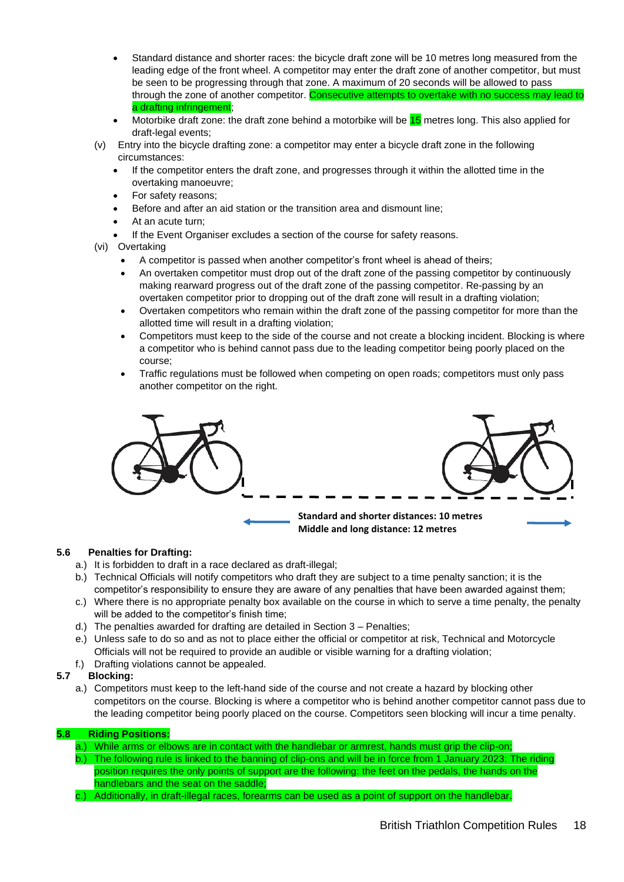- Standard distance and shorter races: the bicycle draft zone will be 10 metres long measured from the leading edge of the front wheel. A competitor may enter the draft zone of another competitor, but must be seen to be progressing through that zone. A maximum of 20 seconds will be allowed to pass through the zone of another competitor. Consecutive attempts to overtake with no success may lead to a drafting infringement;
- Motorbike draft zone: the draft zone behind a motorbike will be 15 metres long. This also applied for draft-legal events;
- (v) Entry into the bicycle drafting zone: a competitor may enter a bicycle draft zone in the following circumstances:
	- If the competitor enters the draft zone, and progresses through it within the allotted time in the overtaking manoeuvre;
	- For safety reasons;
	- Before and after an aid station or the transition area and dismount line;
	- At an acute turn:
	- If the Event Organiser excludes a section of the course for safety reasons.
- (vi) Overtaking
	- A competitor is passed when another competitor's front wheel is ahead of theirs;
	- An overtaken competitor must drop out of the draft zone of the passing competitor by continuously making rearward progress out of the draft zone of the passing competitor. Re-passing by an overtaken competitor prior to dropping out of the draft zone will result in a drafting violation;
	- Overtaken competitors who remain within the draft zone of the passing competitor for more than the allotted time will result in a drafting violation;
	- Competitors must keep to the side of the course and not create a blocking incident. Blocking is where a competitor who is behind cannot pass due to the leading competitor being poorly placed on the course;
	- Traffic regulations must be followed when competing on open roads; competitors must only pass another competitor on the right.



#### **5.6 Penalties for Drafting:**

- a.) It is forbidden to draft in a race declared as draft-illegal;
- b.) Technical Officials will notify competitors who draft they are subject to a time penalty sanction; it is the competitor's responsibility to ensure they are aware of any penalties that have been awarded against them;
- c.) Where there is no appropriate penalty box available on the course in which to serve a time penalty, the penalty will be added to the competitor's finish time:
- d.) The penalties awarded for drafting are detailed in Section 3 Penalties;
- e.) Unless safe to do so and as not to place either the official or competitor at risk, Technical and Motorcycle Officials will not be required to provide an audible or visible warning for a drafting violation;
- f.) Drafting violations cannot be appealed.

#### **5.7 Blocking:**

a.) Competitors must keep to the left-hand side of the course and not create a hazard by blocking other competitors on the course. Blocking is where a competitor who is behind another competitor cannot pass due to the leading competitor being poorly placed on the course. Competitors seen blocking will incur a time penalty.

#### **5.8 Riding Positions:**

- a.) While arms or elbows are in contact with the handlebar or armrest, hands must grip the clip-on;
- b.) The following rule is linked to the banning of clip-ons and will be in force from 1 January 2023: The riding position requires the only points of support are the following: the feet on the pedals, the hands on the handlebars and the seat on the saddle;
- c.) Additionally, in draft-illegal races, forearms can be used as a point of support on the handlebar.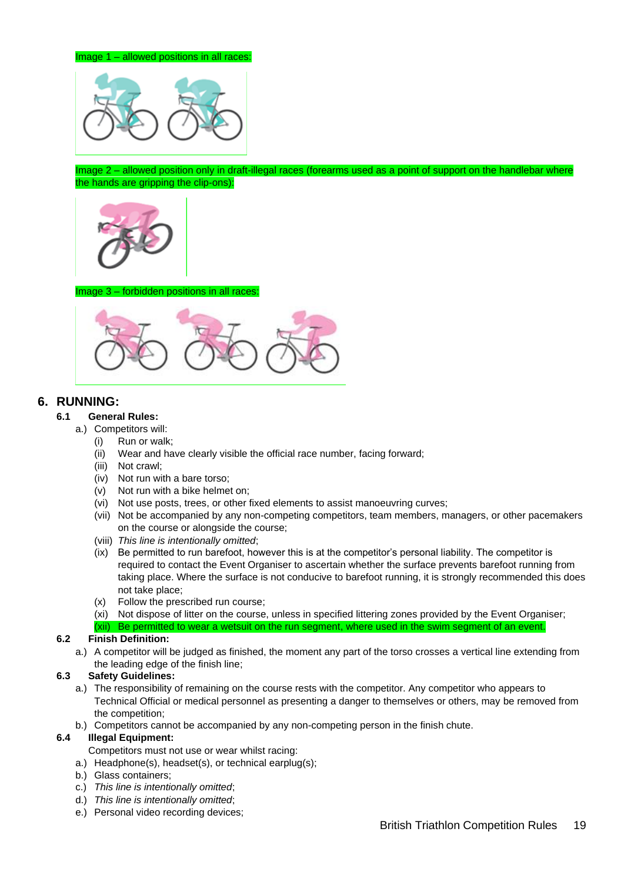

Image 2 – allowed position only in draft-illegal races (forearms used as a point of support on the handlebar where the hands are gripping the clip-ons):



#### Image 3 – forbidden positions in all races



#### <span id="page-18-0"></span>**6. RUNNING:**

#### **6.1 General Rules:**

- a.) Competitors will:
	- (i) Run or walk;
	- (ii) Wear and have clearly visible the official race number, facing forward;
	- (iii) Not crawl;
	- (iv) Not run with a bare torso;
	- (v) Not run with a bike helmet on;
	- (vi) Not use posts, trees, or other fixed elements to assist manoeuvring curves;
	- (vii) Not be accompanied by any non-competing competitors, team members, managers, or other pacemakers on the course or alongside the course;
	- (viii) *This line is intentionally omitted*;
	- (ix) Be permitted to run barefoot, however this is at the competitor's personal liability. The competitor is required to contact the Event Organiser to ascertain whether the surface prevents barefoot running from taking place. Where the surface is not conducive to barefoot running, it is strongly recommended this does not take place;
	- (x) Follow the prescribed run course;
	- (xi) Not dispose of litter on the course, unless in specified littering zones provided by the Event Organiser;
	- (xii) Be permitted to wear a wetsuit on the run segment, where used in the swim segment of an event.

#### **6.2 Finish Definition:**

a.) A competitor will be judged as finished, the moment any part of the torso crosses a vertical line extending from the leading edge of the finish line;

#### **6.3 Safety Guidelines:**

- a.) The responsibility of remaining on the course rests with the competitor. Any competitor who appears to Technical Official or medical personnel as presenting a danger to themselves or others, may be removed from the competition;
- b.) Competitors cannot be accompanied by any non-competing person in the finish chute.

#### **6.4 Illegal Equipment:**

- Competitors must not use or wear whilst racing:
- a.) Headphone(s), headset(s), or technical earplug(s);
- b.) Glass containers;
- c.) *This line is intentionally omitted*;
- d.) *This line is intentionally omitted*;
- e.) Personal video recording devices;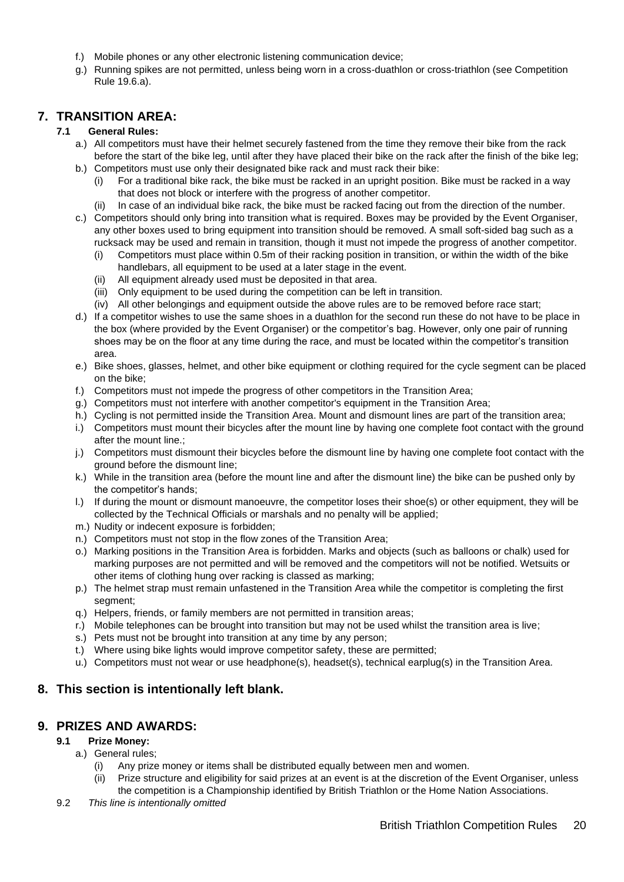- f.) Mobile phones or any other electronic listening communication device;
- g.) Running spikes are not permitted, unless being worn in a cross-duathlon or cross-triathlon (see Competition Rule 19.6.a).

### <span id="page-19-0"></span>**7. TRANSITION AREA:**

#### **7.1 General Rules:**

- a.) All competitors must have their helmet securely fastened from the time they remove their bike from the rack before the start of the bike leg, until after they have placed their bike on the rack after the finish of the bike leg;
- b.) Competitors must use only their designated bike rack and must rack their bike: (i) For a traditional bike rack, the bike must be racked in an upright position. Bike must be racked in a way
	- that does not block or interfere with the progress of another competitor.
	- In case of an individual bike rack, the bike must be racked facing out from the direction of the number.
- c.) Competitors should only bring into transition what is required. Boxes may be provided by the Event Organiser, any other boxes used to bring equipment into transition should be removed. A small soft-sided bag such as a rucksack may be used and remain in transition, though it must not impede the progress of another competitor.
	- (i) Competitors must place within 0.5m of their racking position in transition, or within the width of the bike handlebars, all equipment to be used at a later stage in the event.
	- (ii) All equipment already used must be deposited in that area.
	- (iii) Only equipment to be used during the competition can be left in transition.
	- (iv) All other belongings and equipment outside the above rules are to be removed before race start;
- d.) If a competitor wishes to use the same shoes in a duathlon for the second run these do not have to be place in the box (where provided by the Event Organiser) or the competitor's bag. However, only one pair of running shoes may be on the floor at any time during the race, and must be located within the competitor's transition area.
- e.) Bike shoes, glasses, helmet, and other bike equipment or clothing required for the cycle segment can be placed on the bike;
- f.) Competitors must not impede the progress of other competitors in the Transition Area;
- g.) Competitors must not interfere with another competitor's equipment in the Transition Area;
- h.) Cycling is not permitted inside the Transition Area. Mount and dismount lines are part of the transition area;
- i.) Competitors must mount their bicycles after the mount line by having one complete foot contact with the ground after the mount line.;
- j.) Competitors must dismount their bicycles before the dismount line by having one complete foot contact with the ground before the dismount line;
- k.) While in the transition area (before the mount line and after the dismount line) the bike can be pushed only by the competitor's hands;
- l.) If during the mount or dismount manoeuvre, the competitor loses their shoe(s) or other equipment, they will be collected by the Technical Officials or marshals and no penalty will be applied;
- m.) Nudity or indecent exposure is forbidden;
- n.) Competitors must not stop in the flow zones of the Transition Area;
- o.) Marking positions in the Transition Area is forbidden. Marks and objects (such as balloons or chalk) used for marking purposes are not permitted and will be removed and the competitors will not be notified. Wetsuits or other items of clothing hung over racking is classed as marking;
- p.) The helmet strap must remain unfastened in the Transition Area while the competitor is completing the first segment;
- q.) Helpers, friends, or family members are not permitted in transition areas;
- r.) Mobile telephones can be brought into transition but may not be used whilst the transition area is live;
- s.) Pets must not be brought into transition at any time by any person:
- t.) Where using bike lights would improve competitor safety, these are permitted;
- u.) Competitors must not wear or use headphone(s), headset(s), technical earplug(s) in the Transition Area.

#### <span id="page-19-1"></span>**8. This section is intentionally left blank.**

#### <span id="page-19-2"></span>**9. PRIZES AND AWARDS:**

#### **9.1 Prize Money:**

- a.) General rules;
	- (i) Any prize money or items shall be distributed equally between men and women.
	- (ii) Prize structure and eligibility for said prizes at an event is at the discretion of the Event Organiser, unless the competition is a Championship identified by British Triathlon or the Home Nation Associations.
- 9.2 *This line is intentionally omitted*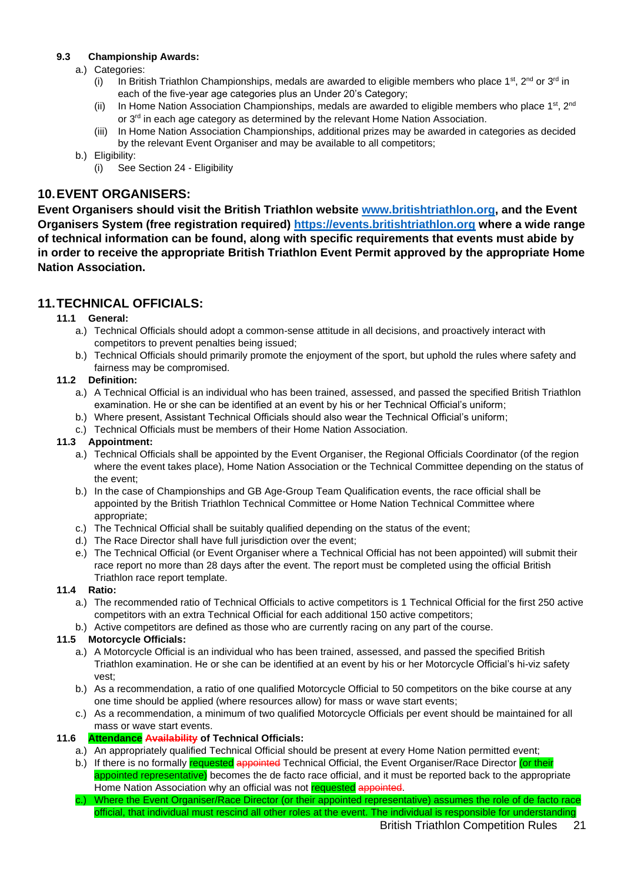#### **9.3 Championship Awards:**

- a.) Categories:
	- (i) In British Triathlon Championships, medals are awarded to eligible members who place 1<sup>st</sup>, 2<sup>nd</sup> or 3<sup>rd</sup> in each of the five-year age categories plus an Under 20's Category;
	- (ii) In Home Nation Association Championships, medals are awarded to eligible members who place 1<sup>st</sup>, 2<sup>nd</sup> or 3<sup>rd</sup> in each age category as determined by the relevant Home Nation Association.
	- (iii) In Home Nation Association Championships, additional prizes may be awarded in categories as decided by the relevant Event Organiser and may be available to all competitors;
- b.) Eligibility:
	- (i) See Section 24 Eligibility

### <span id="page-20-0"></span>**10.EVENT ORGANISERS:**

**Event Organisers should visit the British Triathlon website [www.britishtriathlon.org,](http://www.britishtriathlon.org/) and the Event Organisers System (free registration required) [https://events.britishtriathlon.org](https://events.britishtriathlon.org/) where a wide range of technical information can be found, along with specific requirements that events must abide by in order to receive the appropriate British Triathlon Event Permit approved by the appropriate Home Nation Association.**

### <span id="page-20-1"></span>**11.TECHNICAL OFFICIALS:**

#### **11.1 General:**

- a.) Technical Officials should adopt a common-sense attitude in all decisions, and proactively interact with competitors to prevent penalties being issued;
- b.) Technical Officials should primarily promote the enjoyment of the sport, but uphold the rules where safety and fairness may be compromised.

#### **11.2 Definition:**

- a.) A Technical Official is an individual who has been trained, assessed, and passed the specified British Triathlon examination. He or she can be identified at an event by his or her Technical Official's uniform;
- b.) Where present, Assistant Technical Officials should also wear the Technical Official's uniform;
- c.) Technical Officials must be members of their Home Nation Association.

#### **11.3 Appointment:**

- a.) Technical Officials shall be appointed by the Event Organiser, the Regional Officials Coordinator (of the region where the event takes place), Home Nation Association or the Technical Committee depending on the status of the event;
- b.) In the case of Championships and GB Age-Group Team Qualification events, the race official shall be appointed by the British Triathlon Technical Committee or Home Nation Technical Committee where appropriate;
- c.) The Technical Official shall be suitably qualified depending on the status of the event;
- d.) The Race Director shall have full jurisdiction over the event;
- e.) The Technical Official (or Event Organiser where a Technical Official has not been appointed) will submit their race report no more than 28 days after the event. The report must be completed using the official British Triathlon race report template.

#### **11.4 Ratio:**

- a.) The recommended ratio of Technical Officials to active competitors is 1 Technical Official for the first 250 active competitors with an extra Technical Official for each additional 150 active competitors;
- b.) Active competitors are defined as those who are currently racing on any part of the course.

#### **11.5 Motorcycle Officials:**

- a.) A Motorcycle Official is an individual who has been trained, assessed, and passed the specified British Triathlon examination. He or she can be identified at an event by his or her Motorcycle Official's hi-viz safety vest;
- b.) As a recommendation, a ratio of one qualified Motorcycle Official to 50 competitors on the bike course at any one time should be applied (where resources allow) for mass or wave start events;
- c.) As a recommendation, a minimum of two qualified Motorcycle Officials per event should be maintained for all mass or wave start events.

#### **11.6 Attendance Availability of Technical Officials:**

- a.) An appropriately qualified Technical Official should be present at every Home Nation permitted event;
- b.) If there is no formally requested appointed Technical Official, the Event Organiser/Race Director (or their appointed representative) becomes the de facto race official, and it must be reported back to the appropriate Home Nation Association why an official was not requested appointed.
- c.) Where the Event Organiser/Race Director (or their appointed representative) assumes the role of de facto race official, that individual must rescind all other roles at the event. The individual is responsible for understanding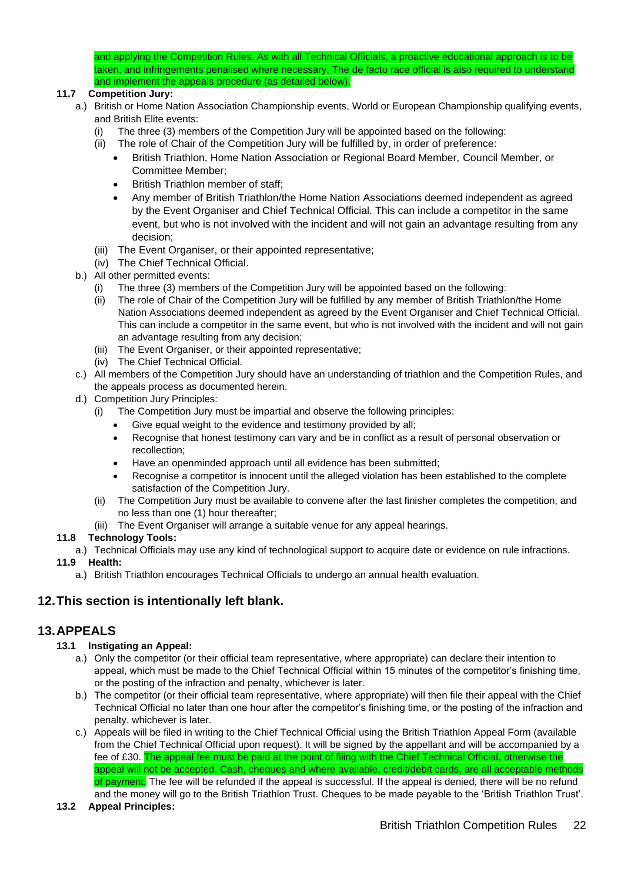and applying the Competition Rules. As with all Technical Officials, a proactive educational approach is to be taken, and infringements penalised where necessary. The de facto race official is also required to understand and implement the appeals procedure (as detailed below).

### **11.7 Competition Jury:**

- a.) British or Home Nation Association Championship events, World or European Championship qualifying events, and British Elite events:
	- (i) The three (3) members of the Competition Jury will be appointed based on the following:
	- (ii) The role of Chair of the Competition Jury will be fulfilled by, in order of preference:
		- British Triathlon, Home Nation Association or Regional Board Member, Council Member, or Committee Member;
		- British Triathlon member of staff:
		- Any member of British Triathlon/the Home Nation Associations deemed independent as agreed by the Event Organiser and Chief Technical Official. This can include a competitor in the same event, but who is not involved with the incident and will not gain an advantage resulting from any decision;
	- (iii) The Event Organiser, or their appointed representative;
	- (iv) The Chief Technical Official.
- b.) All other permitted events:
	- The three (3) members of the Competition Jury will be appointed based on the following:
	- (ii) The role of Chair of the Competition Jury will be fulfilled by any member of British Triathlon/the Home Nation Associations deemed independent as agreed by the Event Organiser and Chief Technical Official. This can include a competitor in the same event, but who is not involved with the incident and will not gain an advantage resulting from any decision;
	- (iii) The Event Organiser, or their appointed representative;
	- (iv) The Chief Technical Official.
- c.) All members of the Competition Jury should have an understanding of triathlon and the Competition Rules, and the appeals process as documented herein.
- d.) Competition Jury Principles:
	- (i) The Competition Jury must be impartial and observe the following principles:
		- Give equal weight to the evidence and testimony provided by all;
		- Recognise that honest testimony can vary and be in conflict as a result of personal observation or recollection;
		- Have an openminded approach until all evidence has been submitted;
		- Recognise a competitor is innocent until the alleged violation has been established to the complete satisfaction of the Competition Jury.
	- (ii) The Competition Jury must be available to convene after the last finisher completes the competition, and no less than one (1) hour thereafter;
	- (iii) The Event Organiser will arrange a suitable venue for any appeal hearings.

#### **11.8 Technology Tools:**

a.) Technical Officials may use any kind of technological support to acquire date or evidence on rule infractions.

#### **11.9 Health:**

a.) British Triathlon encourages Technical Officials to undergo an annual health evaluation.

### <span id="page-21-0"></span>**12.This section is intentionally left blank.**

### <span id="page-21-1"></span>**13.APPEALS**

#### **13.1 Instigating an Appeal:**

- a.) Only the competitor (or their official team representative, where appropriate) can declare their intention to appeal, which must be made to the Chief Technical Official within 15 minutes of the competitor's finishing time, or the posting of the infraction and penalty, whichever is later.
- b.) The competitor (or their official team representative, where appropriate) will then file their appeal with the Chief Technical Official no later than one hour after the competitor's finishing time, or the posting of the infraction and penalty, whichever is later.
- c.) Appeals will be filed in writing to the Chief Technical Official using the British Triathlon Appeal Form (available from the Chief Technical Official upon request). It will be signed by the appellant and will be accompanied by a fee of £30. The appeal fee must be paid at the point of filing with the Chief Technical Official, otherwise the appeal will not be accepted. Cash, cheques and where available, credit/debit cards, are all acceptable methods of payment. The fee will be refunded if the appeal is successful. If the appeal is denied, there will be no refund and the money will go to the British Triathlon Trust. Cheques to be made payable to the 'British Triathlon Trust'.
- **13.2 Appeal Principles:**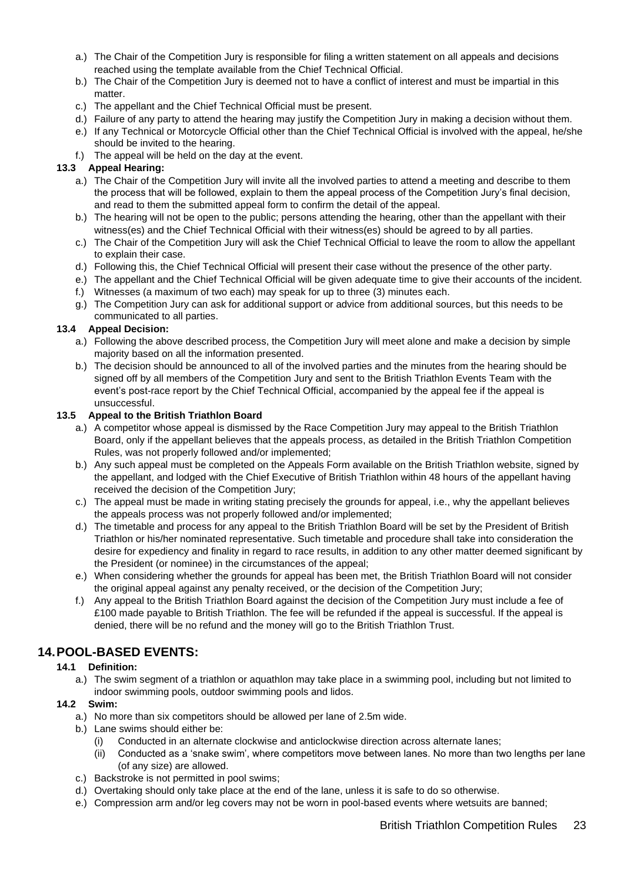- a.) The Chair of the Competition Jury is responsible for filing a written statement on all appeals and decisions reached using the template available from the Chief Technical Official.
- b.) The Chair of the Competition Jury is deemed not to have a conflict of interest and must be impartial in this matter
- c.) The appellant and the Chief Technical Official must be present.
- d.) Failure of any party to attend the hearing may justify the Competition Jury in making a decision without them.
- e.) If any Technical or Motorcycle Official other than the Chief Technical Official is involved with the appeal, he/she should be invited to the hearing.
- f.) The appeal will be held on the day at the event.

#### **13.3 Appeal Hearing:**

- a.) The Chair of the Competition Jury will invite all the involved parties to attend a meeting and describe to them the process that will be followed, explain to them the appeal process of the Competition Jury's final decision, and read to them the submitted appeal form to confirm the detail of the appeal.
- b.) The hearing will not be open to the public; persons attending the hearing, other than the appellant with their witness(es) and the Chief Technical Official with their witness(es) should be agreed to by all parties.
- c.) The Chair of the Competition Jury will ask the Chief Technical Official to leave the room to allow the appellant to explain their case.
- d.) Following this, the Chief Technical Official will present their case without the presence of the other party.
- e.) The appellant and the Chief Technical Official will be given adequate time to give their accounts of the incident.
- f.) Witnesses (a maximum of two each) may speak for up to three (3) minutes each.
- g.) The Competition Jury can ask for additional support or advice from additional sources, but this needs to be communicated to all parties.

#### **13.4 Appeal Decision:**

- a.) Following the above described process, the Competition Jury will meet alone and make a decision by simple majority based on all the information presented.
- b.) The decision should be announced to all of the involved parties and the minutes from the hearing should be signed off by all members of the Competition Jury and sent to the British Triathlon Events Team with the event's post-race report by the Chief Technical Official, accompanied by the appeal fee if the appeal is unsuccessful.

#### **13.5 Appeal to the British Triathlon Board**

- a.) A competitor whose appeal is dismissed by the Race Competition Jury may appeal to the British Triathlon Board, only if the appellant believes that the appeals process, as detailed in the British Triathlon Competition Rules, was not properly followed and/or implemented;
- b.) Any such appeal must be completed on the Appeals Form available on the British Triathlon website, signed by the appellant, and lodged with the Chief Executive of British Triathlon within 48 hours of the appellant having received the decision of the Competition Jury;
- c.) The appeal must be made in writing stating precisely the grounds for appeal, i.e., why the appellant believes the appeals process was not properly followed and/or implemented;
- d.) The timetable and process for any appeal to the British Triathlon Board will be set by the President of British Triathlon or his/her nominated representative. Such timetable and procedure shall take into consideration the desire for expediency and finality in regard to race results, in addition to any other matter deemed significant by the President (or nominee) in the circumstances of the appeal;
- e.) When considering whether the grounds for appeal has been met, the British Triathlon Board will not consider the original appeal against any penalty received, or the decision of the Competition Jury;
- f.) Any appeal to the British Triathlon Board against the decision of the Competition Jury must include a fee of £100 made payable to British Triathlon. The fee will be refunded if the appeal is successful. If the appeal is denied, there will be no refund and the money will go to the British Triathlon Trust.

### <span id="page-22-0"></span>**14.POOL-BASED EVENTS:**

#### **14.1 Definition:**

a.) The swim segment of a triathlon or aquathlon may take place in a swimming pool, including but not limited to indoor swimming pools, outdoor swimming pools and lidos.

#### **14.2 Swim:**

- a.) No more than six competitors should be allowed per lane of 2.5m wide.
- b.) Lane swims should either be:
	- (i) Conducted in an alternate clockwise and anticlockwise direction across alternate lanes;
	- (ii) Conducted as a 'snake swim', where competitors move between lanes. No more than two lengths per lane (of any size) are allowed.
- c.) Backstroke is not permitted in pool swims;
- d.) Overtaking should only take place at the end of the lane, unless it is safe to do so otherwise.
- e.) Compression arm and/or leg covers may not be worn in pool-based events where wetsuits are banned;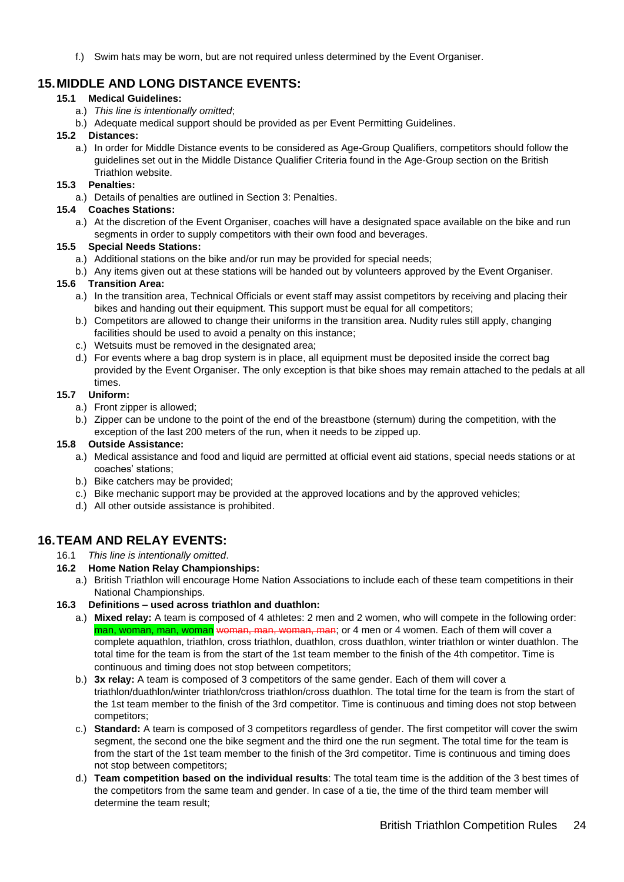f.) Swim hats may be worn, but are not required unless determined by the Event Organiser.

### <span id="page-23-0"></span>**15.MIDDLE AND LONG DISTANCE EVENTS:**

#### **15.1 Medical Guidelines:**

- a.) *This line is intentionally omitted*;
- b.) Adequate medical support should be provided as per Event Permitting Guidelines.

#### **15.2 Distances:**

a.) In order for Middle Distance events to be considered as Age-Group Qualifiers, competitors should follow the guidelines set out in the Middle Distance Qualifier Criteria found in the Age-Group section on the British Triathlon website.

#### **15.3 Penalties:**

a.) Details of penalties are outlined in Section 3: Penalties.

#### **15.4 Coaches Stations:**

a.) At the discretion of the Event Organiser, coaches will have a designated space available on the bike and run segments in order to supply competitors with their own food and beverages.

#### **15.5 Special Needs Stations:**

- a.) Additional stations on the bike and/or run may be provided for special needs;
- b.) Any items given out at these stations will be handed out by volunteers approved by the Event Organiser.

#### **15.6 Transition Area:**

- a.) In the transition area, Technical Officials or event staff may assist competitors by receiving and placing their bikes and handing out their equipment. This support must be equal for all competitors;
- b.) Competitors are allowed to change their uniforms in the transition area. Nudity rules still apply, changing facilities should be used to avoid a penalty on this instance;
- c.) Wetsuits must be removed in the designated area;
- d.) For events where a bag drop system is in place, all equipment must be deposited inside the correct bag provided by the Event Organiser. The only exception is that bike shoes may remain attached to the pedals at all times.

#### **15.7 Uniform:**

- a.) Front zipper is allowed;
- b.) Zipper can be undone to the point of the end of the breastbone (sternum) during the competition, with the exception of the last 200 meters of the run, when it needs to be zipped up.

#### **15.8 Outside Assistance:**

- a.) Medical assistance and food and liquid are permitted at official event aid stations, special needs stations or at coaches' stations;
- b.) Bike catchers may be provided;
- c.) Bike mechanic support may be provided at the approved locations and by the approved vehicles;
- d.) All other outside assistance is prohibited.

### <span id="page-23-1"></span>**16.TEAM AND RELAY EVENTS:**

16.1 *This line is intentionally omitted*.

#### **16.2 Home Nation Relay Championships:**

a.) British Triathlon will encourage Home Nation Associations to include each of these team competitions in their National Championships.

#### **16.3 Definitions – used across triathlon and duathlon:**

- a.) **Mixed relay:** A team is composed of 4 athletes: 2 men and 2 women, who will compete in the following order: man, woman, man, woman woman, man, woman, man; or 4 men or 4 women. Each of them will cover a complete aquathlon, triathlon, cross triathlon, duathlon, cross duathlon, winter triathlon or winter duathlon. The total time for the team is from the start of the 1st team member to the finish of the 4th competitor. Time is continuous and timing does not stop between competitors;
- b.) **3x relay:** A team is composed of 3 competitors of the same gender. Each of them will cover a triathlon/duathlon/winter triathlon/cross triathlon/cross duathlon. The total time for the team is from the start of the 1st team member to the finish of the 3rd competitor. Time is continuous and timing does not stop between competitors;
- c.) **Standard:** A team is composed of 3 competitors regardless of gender. The first competitor will cover the swim segment, the second one the bike segment and the third one the run segment. The total time for the team is from the start of the 1st team member to the finish of the 3rd competitor. Time is continuous and timing does not stop between competitors;
- d.) **Team competition based on the individual results**: The total team time is the addition of the 3 best times of the competitors from the same team and gender. In case of a tie, the time of the third team member will determine the team result;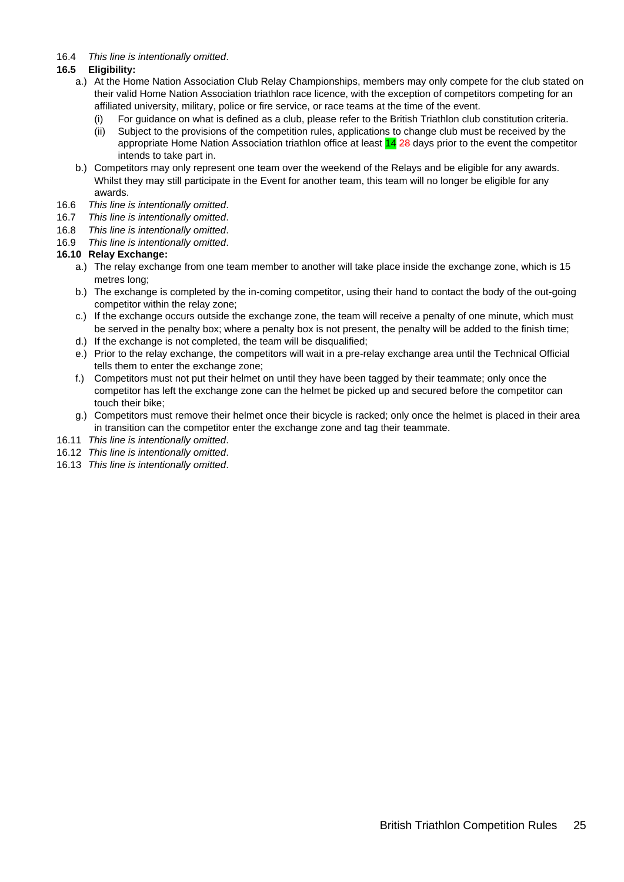#### 16.4 *This line is intentionally omitted*.

#### **16.5 Eligibility:**

- a.) At the Home Nation Association Club Relay Championships, members may only compete for the club stated on their valid Home Nation Association triathlon race licence, with the exception of competitors competing for an affiliated university, military, police or fire service, or race teams at the time of the event.
	- (i) For guidance on what is defined as a club, please refer to the British Triathlon club constitution criteria.
	- (ii) Subject to the provisions of the competition rules, applications to change club must be received by the appropriate Home Nation Association triathlon office at least 14 28 days prior to the event the competitor intends to take part in.
- b.) Competitors may only represent one team over the weekend of the Relays and be eligible for any awards. Whilst they may still participate in the Event for another team, this team will no longer be eligible for any awards.
- 16.6 *This line is intentionally omitted*.
- 16.7 *This line is intentionally omitted*.
- 16.8 *This line is intentionally omitted*.
- 16.9 *This line is intentionally omitted*.

#### **16.10 Relay Exchange:**

- a.) The relay exchange from one team member to another will take place inside the exchange zone, which is 15 metres long;
- b.) The exchange is completed by the in-coming competitor, using their hand to contact the body of the out-going competitor within the relay zone;
- c.) If the exchange occurs outside the exchange zone, the team will receive a penalty of one minute, which must be served in the penalty box; where a penalty box is not present, the penalty will be added to the finish time;
- d.) If the exchange is not completed, the team will be disqualified;
- e.) Prior to the relay exchange, the competitors will wait in a pre-relay exchange area until the Technical Official tells them to enter the exchange zone;
- f.) Competitors must not put their helmet on until they have been tagged by their teammate; only once the competitor has left the exchange zone can the helmet be picked up and secured before the competitor can touch their bike;
- g.) Competitors must remove their helmet once their bicycle is racked; only once the helmet is placed in their area in transition can the competitor enter the exchange zone and tag their teammate.
- 16.11 *This line is intentionally omitted*.
- 16.12 *This line is intentionally omitted*.
- 16.13 *This line is intentionally omitted*.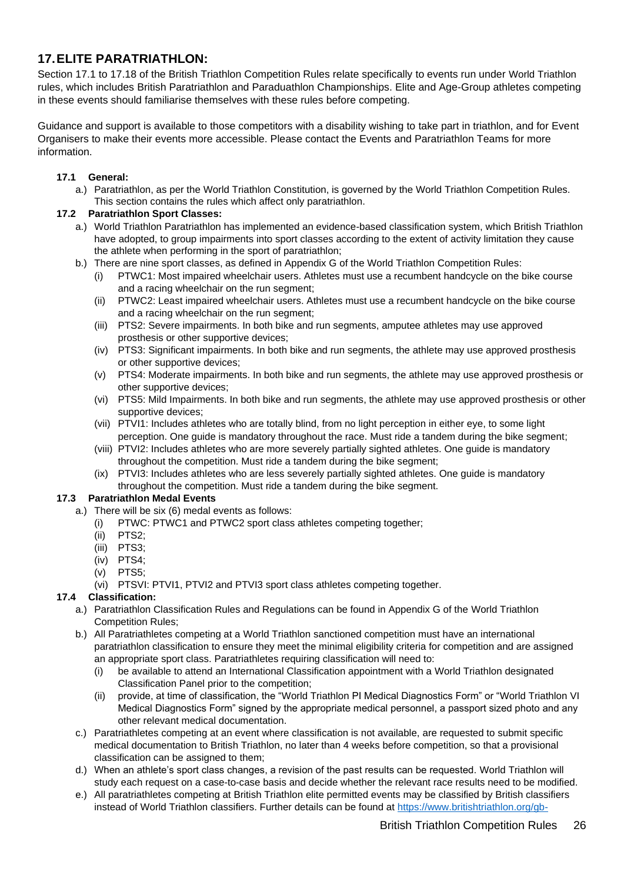### <span id="page-25-0"></span>**17.ELITE PARATRIATHLON:**

Section 17.1 to 17.18 of the British Triathlon Competition Rules relate specifically to events run under World Triathlon rules, which includes British Paratriathlon and Paraduathlon Championships. Elite and Age-Group athletes competing in these events should familiarise themselves with these rules before competing.

Guidance and support is available to those competitors with a disability wishing to take part in triathlon, and for Event Organisers to make their events more accessible. Please contact the Events and Paratriathlon Teams for more information.

#### **17.1 General:**

a.) Paratriathlon, as per the World Triathlon Constitution, is governed by the World Triathlon Competition Rules. This section contains the rules which affect only paratriathlon.

#### **17.2 Paratriathlon Sport Classes:**

- a.) World Triathlon Paratriathlon has implemented an evidence-based classification system, which British Triathlon have adopted, to group impairments into sport classes according to the extent of activity limitation they cause the athlete when performing in the sport of paratriathlon;
- b.) There are nine sport classes, as defined in Appendix G of the World Triathlon Competition Rules:
	- (i) PTWC1: Most impaired wheelchair users. Athletes must use a recumbent handcycle on the bike course and a racing wheelchair on the run segment;
	- (ii) PTWC2: Least impaired wheelchair users. Athletes must use a recumbent handcycle on the bike course and a racing wheelchair on the run segment;
	- (iii) PTS2: Severe impairments. In both bike and run segments, amputee athletes may use approved prosthesis or other supportive devices;
	- (iv) PTS3: Significant impairments. In both bike and run segments, the athlete may use approved prosthesis or other supportive devices;
	- (v) PTS4: Moderate impairments. In both bike and run segments, the athlete may use approved prosthesis or other supportive devices;
	- (vi) PTS5: Mild Impairments. In both bike and run segments, the athlete may use approved prosthesis or other supportive devices;
	- (vii) PTVI1: Includes athletes who are totally blind, from no light perception in either eye, to some light perception. One guide is mandatory throughout the race. Must ride a tandem during the bike segment;
	- (viii) PTVI2: Includes athletes who are more severely partially sighted athletes. One guide is mandatory throughout the competition. Must ride a tandem during the bike segment;
	- (ix) PTVI3: Includes athletes who are less severely partially sighted athletes. One guide is mandatory throughout the competition. Must ride a tandem during the bike segment.

#### **17.3 Paratriathlon Medal Events**

- a.) There will be six (6) medal events as follows:
	- (i) PTWC: PTWC1 and PTWC2 sport class athletes competing together;
	- (ii) PTS2;
	- (iii) PTS3;
	- (iv) PTS4;
	- (v) PTS5;
	- (vi) PTSVI: PTVI1, PTVI2 and PTVI3 sport class athletes competing together.

#### **17.4 Classification:**

- a.) Paratriathlon Classification Rules and Regulations can be found in Appendix G of the World Triathlon Competition Rules;
- b.) All Paratriathletes competing at a World Triathlon sanctioned competition must have an international paratriathlon classification to ensure they meet the minimal eligibility criteria for competition and are assigned an appropriate sport class. Paratriathletes requiring classification will need to:
	- (i) be available to attend an International Classification appointment with a World Triathlon designated Classification Panel prior to the competition;
	- (ii) provide, at time of classification, the "World Triathlon PI Medical Diagnostics Form" or "World Triathlon VI Medical Diagnostics Form" signed by the appropriate medical personnel, a passport sized photo and any other relevant medical documentation.
- c.) Paratriathletes competing at an event where classification is not available, are requested to submit specific medical documentation to British Triathlon, no later than 4 weeks before competition, so that a provisional classification can be assigned to them;
- d.) When an athlete's sport class changes, a revision of the past results can be requested. World Triathlon will study each request on a case-to-case basis and decide whether the relevant race results need to be modified.
- e.) All paratriathletes competing at British Triathlon elite permitted events may be classified by British classifiers instead of World Triathlon classifiers. Further details can be found at [https://www.britishtriathlon.org/gb-](https://www.britishtriathlon.org/gb-teams/performance/paratriathlon/classification)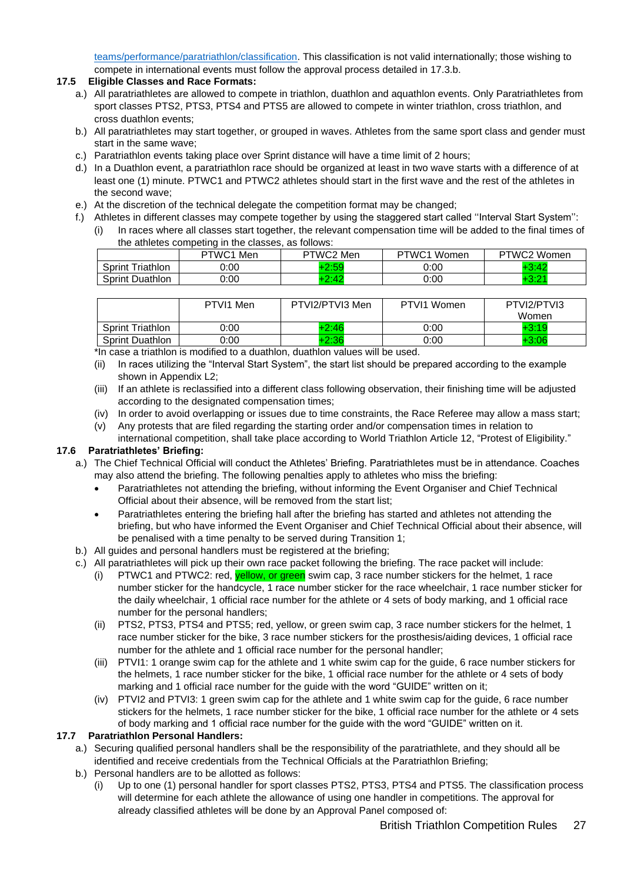[teams/performance/paratriathlon/classification.](https://www.britishtriathlon.org/gb-teams/performance/paratriathlon/classification) This classification is not valid internationally; those wishing to compete in international events must follow the approval process detailed in 17.3.b.

#### **17.5 Eligible Classes and Race Formats:**

- a.) All paratriathletes are allowed to compete in triathlon, duathlon and aquathlon events. Only Paratriathletes from sport classes PTS2, PTS3, PTS4 and PTS5 are allowed to compete in winter triathlon, cross triathlon, and cross duathlon events;
- b.) All paratriathletes may start together, or grouped in waves. Athletes from the same sport class and gender must start in the same wave;
- c.) Paratriathlon events taking place over Sprint distance will have a time limit of 2 hours;
- d.) In a Duathlon event, a paratriathlon race should be organized at least in two wave starts with a difference of at least one (1) minute. PTWC1 and PTWC2 athletes should start in the first wave and the rest of the athletes in the second wave;
- e.) At the discretion of the technical delegate the competition format may be changed;
- f.) Athletes in different classes may compete together by using the staggered start called ''Interval Start System'': (i) In races where all classes start together, the relevant compensation time will be added to the final times of

| the athletes competing in the classes, as follows: |           |           |             |             |  |  |  |
|----------------------------------------------------|-----------|-----------|-------------|-------------|--|--|--|
|                                                    | PTWC1 Men | PTWC2 Men | PTWC1 Women | PTWC2 Women |  |  |  |
| <b>Sprint Triathlon</b>                            | 0:00      | $+2:59$   | 0:00        | $+3:42$     |  |  |  |
| <b>Sprint Duathlon</b>                             | ງ:00      | $+2:42$   | 0:00        |             |  |  |  |

|                         | PTVI1 Men | PTVI2/PTVI3 Men | PTVI1 Women | PTVI2/PTVI3<br>Women |
|-------------------------|-----------|-----------------|-------------|----------------------|
| <b>Sprint Triathlon</b> | 0:00      | $+2:46$         | 0:00        | +3:19                |
| <b>Sprint Duathlon</b>  | 0:00      | $+2:36$         | 0:00        | $+3:06$              |

\*In case a triathlon is modified to a duathlon, duathlon values will be used.

- (ii) In races utilizing the "Interval Start System", the start list should be prepared according to the example shown in Appendix L2;
- (iii) If an athlete is reclassified into a different class following observation, their finishing time will be adjusted according to the designated compensation times;
- (iv) In order to avoid overlapping or issues due to time constraints, the Race Referee may allow a mass start;
- (v) Any protests that are filed regarding the starting order and/or compensation times in relation to international competition, shall take place according to World Triathlon Article 12, "Protest of Eligibility."

#### **17.6 Paratriathletes' Briefing:**

- a.) The Chief Technical Official will conduct the Athletes' Briefing. Paratriathletes must be in attendance. Coaches may also attend the briefing. The following penalties apply to athletes who miss the briefing:
	- Paratriathletes not attending the briefing, without informing the Event Organiser and Chief Technical Official about their absence, will be removed from the start list;
	- Paratriathletes entering the briefing hall after the briefing has started and athletes not attending the briefing, but who have informed the Event Organiser and Chief Technical Official about their absence, will be penalised with a time penalty to be served during Transition 1;
- b.) All guides and personal handlers must be registered at the briefing;
- c.) All paratriathletes will pick up their own race packet following the briefing. The race packet will include:
	- (i) PTWC1 and PTWC2: red,  $yellow$ , or green swim cap, 3 race number stickers for the helmet, 1 race number sticker for the handcycle, 1 race number sticker for the race wheelchair, 1 race number sticker for the daily wheelchair, 1 official race number for the athlete or 4 sets of body marking, and 1 official race number for the personal handlers;
	- (ii) PTS2, PTS3, PTS4 and PTS5; red, yellow, or green swim cap, 3 race number stickers for the helmet, 1 race number sticker for the bike, 3 race number stickers for the prosthesis/aiding devices, 1 official race number for the athlete and 1 official race number for the personal handler;
	- (iii) PTVI1: 1 orange swim cap for the athlete and 1 white swim cap for the guide, 6 race number stickers for the helmets, 1 race number sticker for the bike, 1 official race number for the athlete or 4 sets of body marking and 1 official race number for the guide with the word "GUIDE" written on it;
	- (iv) PTVI2 and PTVI3: 1 green swim cap for the athlete and 1 white swim cap for the guide, 6 race number stickers for the helmets, 1 race number sticker for the bike, 1 official race number for the athlete or 4 sets of body marking and 1 official race number for the guide with the word "GUIDE" written on it.

#### **17.7 Paratriathlon Personal Handlers:**

- a.) Securing qualified personal handlers shall be the responsibility of the paratriathlete, and they should all be identified and receive credentials from the Technical Officials at the Paratriathlon Briefing;
- b.) Personal handlers are to be allotted as follows:
	- (i) Up to one (1) personal handler for sport classes PTS2, PTS3, PTS4 and PTS5. The classification process will determine for each athlete the allowance of using one handler in competitions. The approval for already classified athletes will be done by an Approval Panel composed of: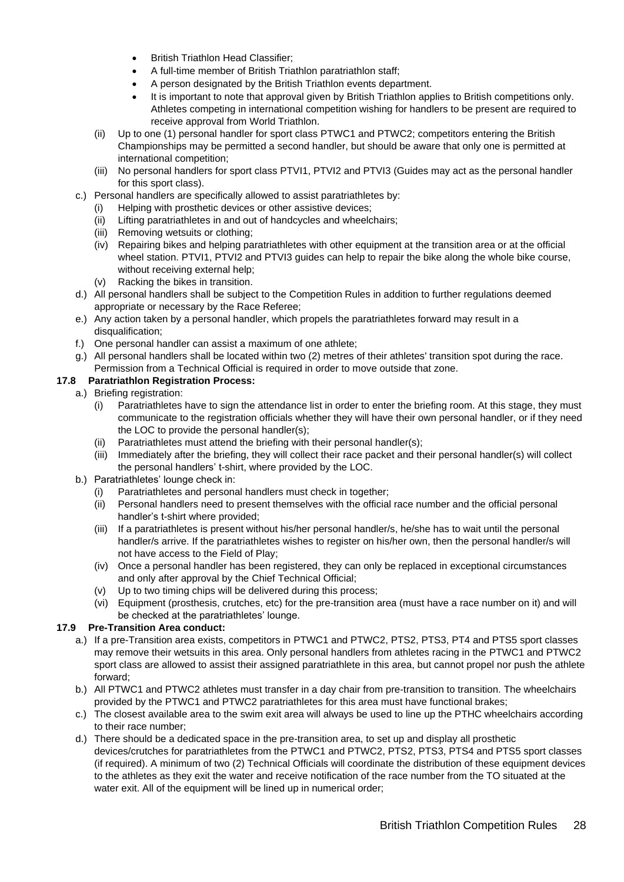- British Triathlon Head Classifier;
- A full-time member of British Triathlon paratriathlon staff;
- A person designated by the British Triathlon events department.
- It is important to note that approval given by British Triathlon applies to British competitions only. Athletes competing in international competition wishing for handlers to be present are required to receive approval from World Triathlon.
- (ii) Up to one (1) personal handler for sport class PTWC1 and PTWC2; competitors entering the British Championships may be permitted a second handler, but should be aware that only one is permitted at international competition;
- (iii) No personal handlers for sport class PTVI1, PTVI2 and PTVI3 (Guides may act as the personal handler for this sport class).
- c.) Personal handlers are specifically allowed to assist paratriathletes by:
	- Helping with prosthetic devices or other assistive devices:
	- (ii) Lifting paratriathletes in and out of handcycles and wheelchairs;
	- (iii) Removing wetsuits or clothing;
	- (iv) Repairing bikes and helping paratriathletes with other equipment at the transition area or at the official wheel station. PTVI1, PTVI2 and PTVI3 guides can help to repair the bike along the whole bike course, without receiving external help;
	- (v) Racking the bikes in transition.
- d.) All personal handlers shall be subject to the Competition Rules in addition to further regulations deemed appropriate or necessary by the Race Referee;
- e.) Any action taken by a personal handler, which propels the paratriathletes forward may result in a disqualification:
- f.) One personal handler can assist a maximum of one athlete;
- g.) All personal handlers shall be located within two (2) metres of their athletes' transition spot during the race. Permission from a Technical Official is required in order to move outside that zone.

#### **17.8 Paratriathlon Registration Process:**

- a.) Briefing registration:
	- (i) Paratriathletes have to sign the attendance list in order to enter the briefing room. At this stage, they must communicate to the registration officials whether they will have their own personal handler, or if they need the LOC to provide the personal handler(s);
	- (ii) Paratriathletes must attend the briefing with their personal handler(s);
	- (iii) Immediately after the briefing, they will collect their race packet and their personal handler(s) will collect the personal handlers' t-shirt, where provided by the LOC.
- b.) Paratriathletes' lounge check in:
	- Paratriathletes and personal handlers must check in together;
	- (ii) Personal handlers need to present themselves with the official race number and the official personal handler's t-shirt where provided;
	- (iii) If a paratriathletes is present without his/her personal handler/s, he/she has to wait until the personal handler/s arrive. If the paratriathletes wishes to register on his/her own, then the personal handler/s will not have access to the Field of Play;
	- (iv) Once a personal handler has been registered, they can only be replaced in exceptional circumstances and only after approval by the Chief Technical Official;
	- (v) Up to two timing chips will be delivered during this process;
	- (vi) Equipment (prosthesis, crutches, etc) for the pre-transition area (must have a race number on it) and will be checked at the paratriathletes' lounge.

#### **17.9 Pre-Transition Area conduct:**

- a.) If a pre-Transition area exists, competitors in PTWC1 and PTWC2, PTS2, PTS3, PT4 and PTS5 sport classes may remove their wetsuits in this area. Only personal handlers from athletes racing in the PTWC1 and PTWC2 sport class are allowed to assist their assigned paratriathlete in this area, but cannot propel nor push the athlete forward;
- b.) All PTWC1 and PTWC2 athletes must transfer in a day chair from pre-transition to transition. The wheelchairs provided by the PTWC1 and PTWC2 paratriathletes for this area must have functional brakes;
- c.) The closest available area to the swim exit area will always be used to line up the PTHC wheelchairs according to their race number;
- d.) There should be a dedicated space in the pre-transition area, to set up and display all prosthetic devices/crutches for paratriathletes from the PTWC1 and PTWC2, PTS2, PTS3, PTS4 and PTS5 sport classes (if required). A minimum of two (2) Technical Officials will coordinate the distribution of these equipment devices to the athletes as they exit the water and receive notification of the race number from the TO situated at the water exit. All of the equipment will be lined up in numerical order: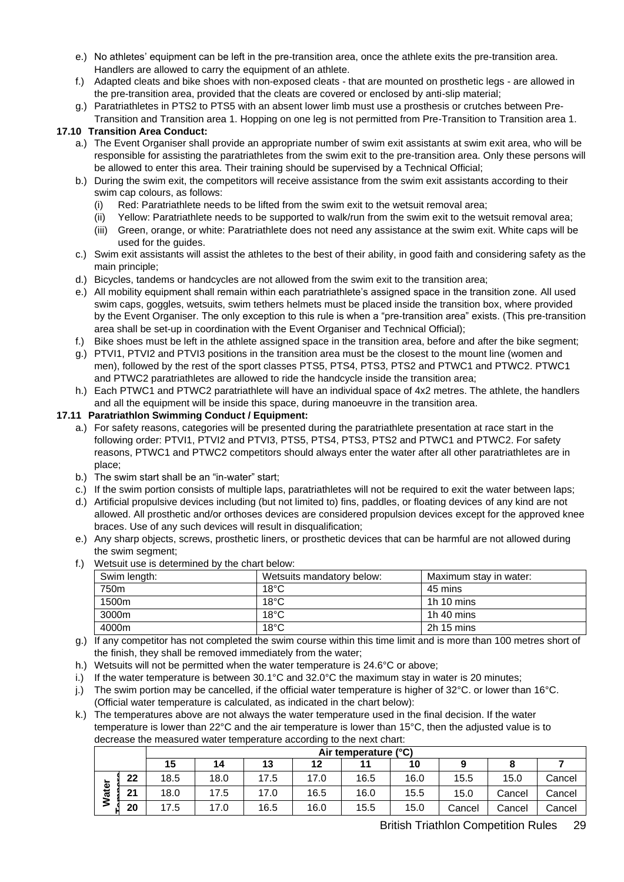- e.) No athletes' equipment can be left in the pre-transition area, once the athlete exits the pre-transition area. Handlers are allowed to carry the equipment of an athlete.
- f.) Adapted cleats and bike shoes with non-exposed cleats that are mounted on prosthetic legs are allowed in the pre-transition area, provided that the cleats are covered or enclosed by anti-slip material;
- g.) Paratriathletes in PTS2 to PTS5 with an absent lower limb must use a prosthesis or crutches between Pre-
- Transition and Transition area 1. Hopping on one leg is not permitted from Pre-Transition to Transition area 1. **17.10 Transition Area Conduct:**

- a.) The Event Organiser shall provide an appropriate number of swim exit assistants at swim exit area, who will be responsible for assisting the paratriathletes from the swim exit to the pre-transition area. Only these persons will be allowed to enter this area. Their training should be supervised by a Technical Official;
- b.) During the swim exit, the competitors will receive assistance from the swim exit assistants according to their swim cap colours, as follows:
	- (i) Red: Paratriathlete needs to be lifted from the swim exit to the wetsuit removal area;
	- (ii) Yellow: Paratriathlete needs to be supported to walk/run from the swim exit to the wetsuit removal area;
	- (iii) Green, orange, or white: Paratriathlete does not need any assistance at the swim exit. White caps will be used for the guides.
- c.) Swim exit assistants will assist the athletes to the best of their ability, in good faith and considering safety as the main principle;
- d.) Bicycles, tandems or handcycles are not allowed from the swim exit to the transition area;
- e.) All mobility equipment shall remain within each paratriathlete's assigned space in the transition zone. All used swim caps, goggles, wetsuits, swim tethers helmets must be placed inside the transition box, where provided by the Event Organiser. The only exception to this rule is when a "pre-transition area" exists. (This pre-transition area shall be set-up in coordination with the Event Organiser and Technical Official);
- f.) Bike shoes must be left in the athlete assigned space in the transition area, before and after the bike segment;
- g.) PTVI1, PTVI2 and PTVI3 positions in the transition area must be the closest to the mount line (women and men), followed by the rest of the sport classes PTS5, PTS4, PTS3, PTS2 and PTWC1 and PTWC2. PTWC1 and PTWC2 paratriathletes are allowed to ride the handcycle inside the transition area;
- h.) Each PTWC1 and PTWC2 paratriathlete will have an individual space of 4x2 metres. The athlete, the handlers and all the equipment will be inside this space, during manoeuvre in the transition area.

#### **17.11 Paratriathlon Swimming Conduct / Equipment:**

- a.) For safety reasons, categories will be presented during the paratriathlete presentation at race start in the following order: PTVI1, PTVI2 and PTVI3, PTS5, PTS4, PTS3, PTS2 and PTWC1 and PTWC2. For safety reasons, PTWC1 and PTWC2 competitors should always enter the water after all other paratriathletes are in place;
- b.) The swim start shall be an "in-water" start;
- c.) If the swim portion consists of multiple laps, paratriathletes will not be required to exit the water between laps;
- d.) Artificial propulsive devices including (but not limited to) fins, paddles, or floating devices of any kind are not allowed. All prosthetic and/or orthoses devices are considered propulsion devices except for the approved knee braces. Use of any such devices will result in disqualification;
- e.) Any sharp objects, screws, prosthetic liners, or prosthetic devices that can be harmful are not allowed during the swim segment;
- f.) Wetsuit use is determined by the chart below:

| Swim length: | Wetsuits mandatory below: | Maximum stay in water: |
|--------------|---------------------------|------------------------|
| 750m         | $18^{\circ}$ C            | 45 mins                |
| 1500m        | $18^{\circ}$ C            | 1 $h$ 10 mins          |
| 3000m        | $18^{\circ}$ C            | 1h 40 mins             |
| 4000m        | $18^{\circ}$ C            | 2h 15 mins             |

- g.) If any competitor has not completed the swim course within this time limit and is more than 100 metres short of the finish, they shall be removed immediately from the water;
- h.) Wetsuits will not be permitted when the water temperature is 24.6°C or above;
- i.) If the water temperature is between  $30.1^{\circ}$ C and  $32.0^{\circ}$ C the maximum stay in water is 20 minutes;
- j.) The swim portion may be cancelled, if the official water temperature is higher of  $32^{\circ}$ C. or lower than  $16^{\circ}$ C. (Official water temperature is calculated, as indicated in the chart below):
- k.) The temperatures above are not always the water temperature used in the final decision. If the water temperature is lower than 22°C and the air temperature is lower than 15°C, then the adjusted value is to decrease the measured water temperature according to the next chart:

|                         |    | Air temperature (°C) |      |      |      |      |      |        |        |        |
|-------------------------|----|----------------------|------|------|------|------|------|--------|--------|--------|
|                         |    | 15                   | 14   | 13   | 12   |      | 10   |        |        |        |
| $\overline{\mathbf{v}}$ | 22 | 18.5                 | 18.0 | 17.5 | 17.0 | 16.5 | 16.0 | 15.5   | 15.0   | Cancel |
| నే                      | 24 | 18.0                 | 17.5 | 17.0 | 16.5 | 16.0 | 15.5 | 15.0   | Cancel | Cancel |
|                         | 20 | 7.5                  | 17.0 | 16.5 | 16.0 | 15.5 | 15.0 | Cancel | Cancel | Cancel |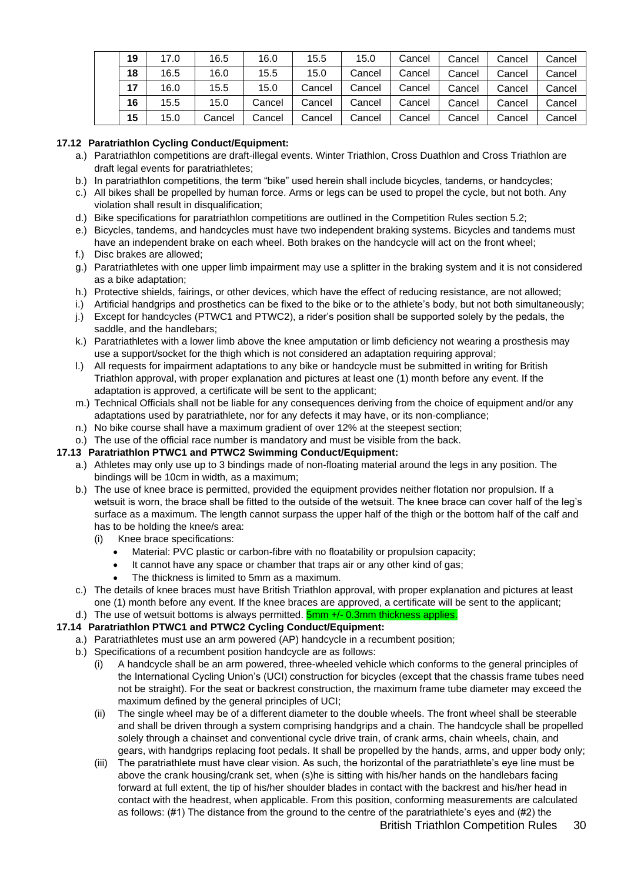| 19 | 17.0 | 16.5   | 16.0   | 15.5   | 15.0   | Cancel | Cancel | Cancel | Cancel |
|----|------|--------|--------|--------|--------|--------|--------|--------|--------|
| 18 | 16.5 | 16.0   | 15.5   | 15.0   | Cancel | Cancel | Cancel | Cancel | Cancel |
| 17 | 16.0 | 15.5   | 15.0   | Cancel | Cancel | Cancel | Cancel | Cancel | Cancel |
| 16 | 15.5 | 15.0   | Cancel | Cancel | Cancel | Cancel | Cancel | Cancel | Cancel |
| 15 | 15.0 | Cancel | Cancel | Cancel | Cancel | Cancel | Cancel | Cancel | Cancel |

#### **17.12 Paratriathlon Cycling Conduct/Equipment:**

- a.) Paratriathlon competitions are draft-illegal events. Winter Triathlon, Cross Duathlon and Cross Triathlon are draft legal events for paratriathletes;
- b.) In paratriathlon competitions, the term "bike" used herein shall include bicycles, tandems, or handcycles;
- c.) All bikes shall be propelled by human force. Arms or legs can be used to propel the cycle, but not both. Any violation shall result in disqualification;
- d.) Bike specifications for paratriathlon competitions are outlined in the Competition Rules section 5.2;
- e.) Bicycles, tandems, and handcycles must have two independent braking systems. Bicycles and tandems must have an independent brake on each wheel. Both brakes on the handcycle will act on the front wheel;
- f.) Disc brakes are allowed;
- g.) Paratriathletes with one upper limb impairment may use a splitter in the braking system and it is not considered as a bike adaptation;
- h.) Protective shields, fairings, or other devices, which have the effect of reducing resistance, are not allowed;
- i.) Artificial handgrips and prosthetics can be fixed to the bike or to the athlete's body, but not both simultaneously;
- j.) Except for handcycles (PTWC1 and PTWC2), a rider's position shall be supported solely by the pedals, the saddle, and the handlebars;
- k.) Paratriathletes with a lower limb above the knee amputation or limb deficiency not wearing a prosthesis may use a support/socket for the thigh which is not considered an adaptation requiring approval;
- l.) All requests for impairment adaptations to any bike or handcycle must be submitted in writing for British Triathlon approval, with proper explanation and pictures at least one (1) month before any event. If the adaptation is approved, a certificate will be sent to the applicant;
- m.) Technical Officials shall not be liable for any consequences deriving from the choice of equipment and/or any adaptations used by paratriathlete, nor for any defects it may have, or its non-compliance;
- n.) No bike course shall have a maximum gradient of over 12% at the steepest section;
- o.) The use of the official race number is mandatory and must be visible from the back.

#### **17.13 Paratriathlon PTWC1 and PTWC2 Swimming Conduct/Equipment:**

- a.) Athletes may only use up to 3 bindings made of non-floating material around the legs in any position. The bindings will be 10cm in width, as a maximum;
- b.) The use of knee brace is permitted, provided the equipment provides neither flotation nor propulsion. If a wetsuit is worn, the brace shall be fitted to the outside of the wetsuit. The knee brace can cover half of the leg's surface as a maximum. The length cannot surpass the upper half of the thigh or the bottom half of the calf and has to be holding the knee/s area:
	- (i) Knee brace specifications:
		- Material: PVC plastic or carbon-fibre with no floatability or propulsion capacity;
		- It cannot have any space or chamber that traps air or any other kind of gas;
		- The thickness is limited to 5mm as a maximum.
- c.) The details of knee braces must have British Triathlon approval, with proper explanation and pictures at least one (1) month before any event. If the knee braces are approved, a certificate will be sent to the applicant;
- d.) The use of wetsuit bottoms is always permitted. **5mm +/- 0.3mm thickness applies.**

#### **17.14 Paratriathlon PTWC1 and PTWC2 Cycling Conduct/Equipment:**

- a.) Paratriathletes must use an arm powered (AP) handcycle in a recumbent position;
- b.) Specifications of a recumbent position handcycle are as follows:
	- (i) A handcycle shall be an arm powered, three-wheeled vehicle which conforms to the general principles of the International Cycling Union's (UCI) construction for bicycles (except that the chassis frame tubes need not be straight). For the seat or backrest construction, the maximum frame tube diameter may exceed the maximum defined by the general principles of UCI;
	- (ii) The single wheel may be of a different diameter to the double wheels. The front wheel shall be steerable and shall be driven through a system comprising handgrips and a chain. The handcycle shall be propelled solely through a chainset and conventional cycle drive train, of crank arms, chain wheels, chain, and gears, with handgrips replacing foot pedals. It shall be propelled by the hands, arms, and upper body only;
	- (iii) The paratriathlete must have clear vision. As such, the horizontal of the paratriathlete's eye line must be above the crank housing/crank set, when (s)he is sitting with his/her hands on the handlebars facing forward at full extent, the tip of his/her shoulder blades in contact with the backrest and his/her head in contact with the headrest, when applicable. From this position, conforming measurements are calculated as follows: (#1) The distance from the ground to the centre of the paratriathlete's eyes and (#2) the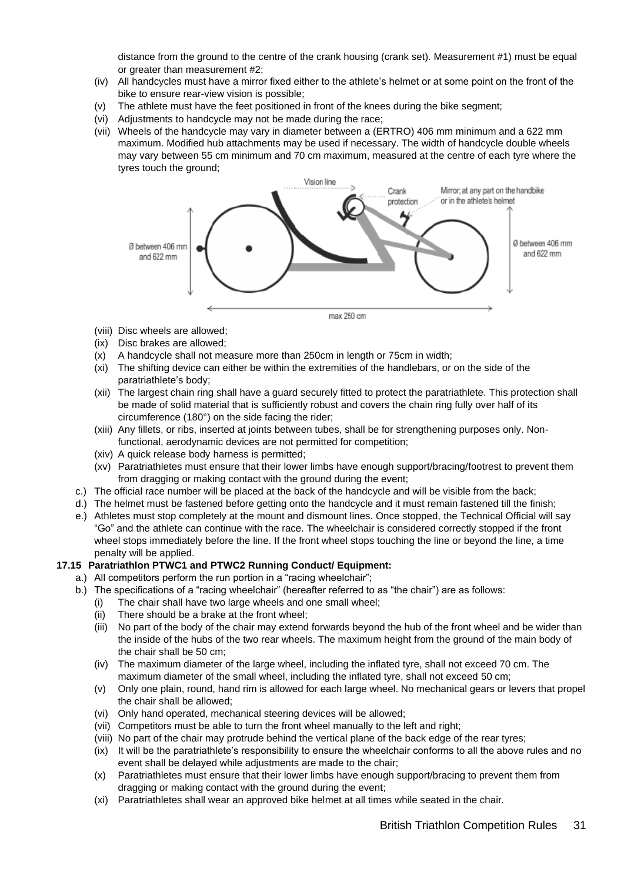distance from the ground to the centre of the crank housing (crank set). Measurement #1) must be equal or greater than measurement #2;

- (iv) All handcycles must have a mirror fixed either to the athlete's helmet or at some point on the front of the bike to ensure rear-view vision is possible;
- (v) The athlete must have the feet positioned in front of the knees during the bike segment;
- (vi) Adjustments to handcycle may not be made during the race;
- (vii) Wheels of the handcycle may vary in diameter between a (ERTRO) 406 mm minimum and a 622 mm maximum. Modified hub attachments may be used if necessary. The width of handcycle double wheels may vary between 55 cm minimum and 70 cm maximum, measured at the centre of each tyre where the tyres touch the ground;



max 250 cm

- (viii) Disc wheels are allowed;
- (ix) Disc brakes are allowed;
- (x) A handcycle shall not measure more than 250cm in length or 75cm in width;
- (xi) The shifting device can either be within the extremities of the handlebars, or on the side of the paratriathlete's body;
- (xii) The largest chain ring shall have a guard securely fitted to protect the paratriathlete. This protection shall be made of solid material that is sufficiently robust and covers the chain ring fully over half of its circumference (180°) on the side facing the rider;
- (xiii) Any fillets, or ribs, inserted at joints between tubes, shall be for strengthening purposes only. Nonfunctional, aerodynamic devices are not permitted for competition;
- (xiv) A quick release body harness is permitted;
- (xv) Paratriathletes must ensure that their lower limbs have enough support/bracing/footrest to prevent them from dragging or making contact with the ground during the event;
- c.) The official race number will be placed at the back of the handcycle and will be visible from the back;
- d.) The helmet must be fastened before getting onto the handcycle and it must remain fastened till the finish;
- e.) Athletes must stop completely at the mount and dismount lines. Once stopped, the Technical Official will say "Go" and the athlete can continue with the race. The wheelchair is considered correctly stopped if the front wheel stops immediately before the line. If the front wheel stops touching the line or beyond the line, a time penalty will be applied.

#### **17.15 Paratriathlon PTWC1 and PTWC2 Running Conduct/ Equipment:**

- a.) All competitors perform the run portion in a "racing wheelchair";
	- b.) The specifications of a "racing wheelchair" (hereafter referred to as "the chair") are as follows:
		- (i) The chair shall have two large wheels and one small wheel;
		- (ii) There should be a brake at the front wheel;
		- (iii) No part of the body of the chair may extend forwards beyond the hub of the front wheel and be wider than the inside of the hubs of the two rear wheels. The maximum height from the ground of the main body of the chair shall be 50 cm;
		- (iv) The maximum diameter of the large wheel, including the inflated tyre, shall not exceed 70 cm. The maximum diameter of the small wheel, including the inflated tyre, shall not exceed 50 cm;
		- (v) Only one plain, round, hand rim is allowed for each large wheel. No mechanical gears or levers that propel the chair shall be allowed;
		- (vi) Only hand operated, mechanical steering devices will be allowed;
		- (vii) Competitors must be able to turn the front wheel manually to the left and right;
		- (viii) No part of the chair may protrude behind the vertical plane of the back edge of the rear tyres;
		- (ix) It will be the paratriathlete's responsibility to ensure the wheelchair conforms to all the above rules and no event shall be delayed while adjustments are made to the chair;
		- (x) Paratriathletes must ensure that their lower limbs have enough support/bracing to prevent them from dragging or making contact with the ground during the event;
		- (xi) Paratriathletes shall wear an approved bike helmet at all times while seated in the chair.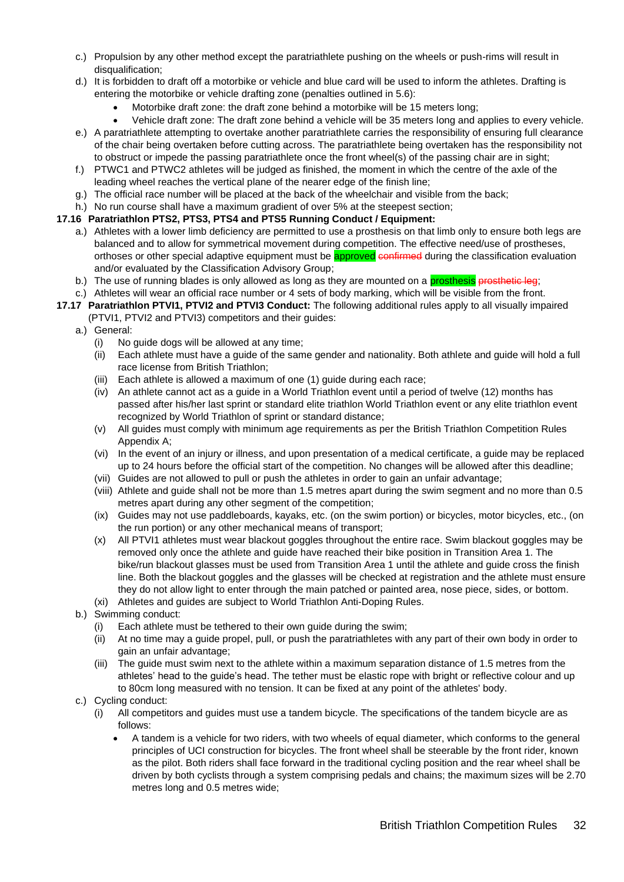- c.) Propulsion by any other method except the paratriathlete pushing on the wheels or push-rims will result in disqualification;
- d.) It is forbidden to draft off a motorbike or vehicle and blue card will be used to inform the athletes. Drafting is entering the motorbike or vehicle drafting zone (penalties outlined in 5.6):
	- Motorbike draft zone: the draft zone behind a motorbike will be 15 meters long;
- Vehicle draft zone: The draft zone behind a vehicle will be 35 meters long and applies to every vehicle. e.) A paratriathlete attempting to overtake another paratriathlete carries the responsibility of ensuring full clearance of the chair being overtaken before cutting across. The paratriathlete being overtaken has the responsibility not to obstruct or impede the passing paratriathlete once the front wheel(s) of the passing chair are in sight;
- f.) PTWC1 and PTWC2 athletes will be judged as finished, the moment in which the centre of the axle of the leading wheel reaches the vertical plane of the nearer edge of the finish line;
- g.) The official race number will be placed at the back of the wheelchair and visible from the back;
- h.) No run course shall have a maximum gradient of over 5% at the steepest section;

#### **17.16 Paratriathlon PTS2, PTS3, PTS4 and PTS5 Running Conduct / Equipment:**

- a.) Athletes with a lower limb deficiency are permitted to use a prosthesis on that limb only to ensure both legs are balanced and to allow for symmetrical movement during competition. The effective need/use of prostheses, orthoses or other special adaptive equipment must be **approved** confirmed during the classification evaluation and/or evaluated by the Classification Advisory Group;
- b.) The use of running blades is only allowed as long as they are mounted on a prosthesis prosthetic leg;
- c.) Athletes will wear an official race number or 4 sets of body marking, which will be visible from the front.
- **17.17 Paratriathlon PTVI1, PTVI2 and PTVI3 Conduct:** The following additional rules apply to all visually impaired (PTVI1, PTVI2 and PTVI3) competitors and their guides:
	- a.) General:
		- (i) No guide dogs will be allowed at any time;
		- (ii) Each athlete must have a guide of the same gender and nationality. Both athlete and guide will hold a full race license from British Triathlon;
		- (iii) Each athlete is allowed a maximum of one (1) guide during each race;
		- (iv) An athlete cannot act as a guide in a World Triathlon event until a period of twelve (12) months has passed after his/her last sprint or standard elite triathlon World Triathlon event or any elite triathlon event recognized by World Triathlon of sprint or standard distance;
		- (v) All guides must comply with minimum age requirements as per the British Triathlon Competition Rules Appendix A;
		- (vi) In the event of an injury or illness, and upon presentation of a medical certificate, a guide may be replaced up to 24 hours before the official start of the competition. No changes will be allowed after this deadline;
		- (vii) Guides are not allowed to pull or push the athletes in order to gain an unfair advantage;
		- (viii) Athlete and guide shall not be more than 1.5 metres apart during the swim segment and no more than 0.5 metres apart during any other segment of the competition;
		- (ix) Guides may not use paddleboards, kayaks, etc. (on the swim portion) or bicycles, motor bicycles, etc., (on the run portion) or any other mechanical means of transport;
		- (x) All PTVI1 athletes must wear blackout goggles throughout the entire race. Swim blackout goggles may be removed only once the athlete and guide have reached their bike position in Transition Area 1. The bike/run blackout glasses must be used from Transition Area 1 until the athlete and guide cross the finish line. Both the blackout goggles and the glasses will be checked at registration and the athlete must ensure they do not allow light to enter through the main patched or painted area, nose piece, sides, or bottom.
		- (xi) Athletes and guides are subject to World Triathlon Anti-Doping Rules.
	- b.) Swimming conduct:
		- (i) Each athlete must be tethered to their own guide during the swim;
		- (ii) At no time may a guide propel, pull, or push the paratriathletes with any part of their own body in order to gain an unfair advantage;
		- (iii) The guide must swim next to the athlete within a maximum separation distance of 1.5 metres from the athletes' head to the guide's head. The tether must be elastic rope with bright or reflective colour and up to 80cm long measured with no tension. It can be fixed at any point of the athletes' body.
	- c.) Cycling conduct:
		- (i) All competitors and guides must use a tandem bicycle. The specifications of the tandem bicycle are as follows:
			- A tandem is a vehicle for two riders, with two wheels of equal diameter, which conforms to the general principles of UCI construction for bicycles. The front wheel shall be steerable by the front rider, known as the pilot. Both riders shall face forward in the traditional cycling position and the rear wheel shall be driven by both cyclists through a system comprising pedals and chains; the maximum sizes will be 2.70 metres long and 0.5 metres wide;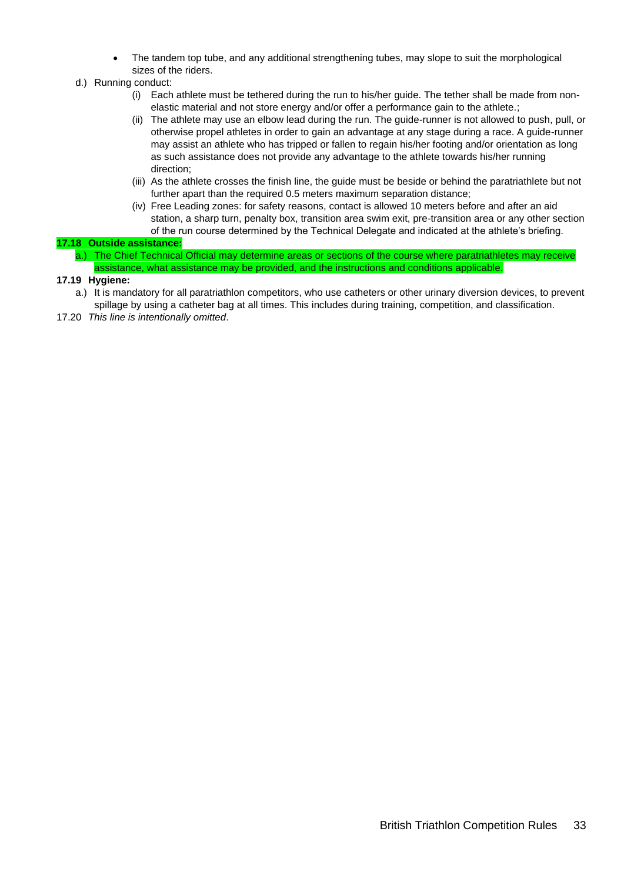- The tandem top tube, and any additional strengthening tubes, may slope to suit the morphological sizes of the riders.
- d.) Running conduct:
	- (i) Each athlete must be tethered during the run to his/her guide. The tether shall be made from nonelastic material and not store energy and/or offer a performance gain to the athlete.;
	- (ii) The athlete may use an elbow lead during the run. The guide-runner is not allowed to push, pull, or otherwise propel athletes in order to gain an advantage at any stage during a race. A guide-runner may assist an athlete who has tripped or fallen to regain his/her footing and/or orientation as long as such assistance does not provide any advantage to the athlete towards his/her running direction;
	- (iii) As the athlete crosses the finish line, the guide must be beside or behind the paratriathlete but not further apart than the required 0.5 meters maximum separation distance;
	- (iv) Free Leading zones: for safety reasons, contact is allowed 10 meters before and after an aid station, a sharp turn, penalty box, transition area swim exit, pre-transition area or any other section of the run course determined by the Technical Delegate and indicated at the athlete's briefing.

#### **17.18 Outside assistance:**

a.) The Chief Technical Official may determine areas or sections of the course where paratriathletes may receive assistance, what assistance may be provided, and the instructions and conditions applicable.

#### **17.19 Hygiene:**

- a.) It is mandatory for all paratriathlon competitors, who use catheters or other urinary diversion devices, to prevent spillage by using a catheter bag at all times. This includes during training, competition, and classification.
- 17.20 *This line is intentionally omitted*.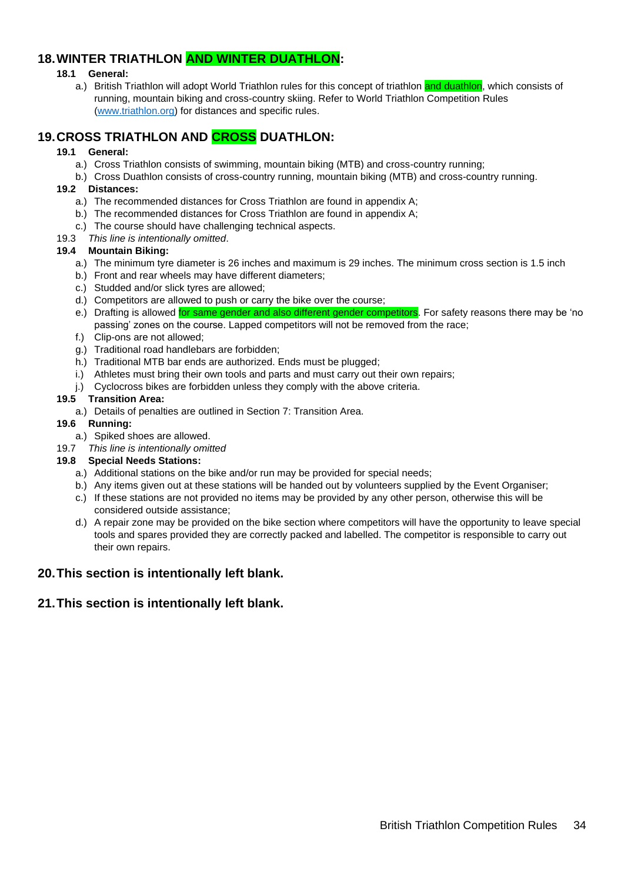### <span id="page-33-0"></span>**18.WINTER TRIATHLON AND WINTER DUATHLON:**

#### **18.1 General:**

a.) British Triathlon will adopt World Triathlon rules for this concept of triathlon and duathlon, which consists of running, mountain biking and cross-country skiing. Refer to World Triathlon Competition Rules [\(www.triathlon.org\)](http://www.triathlon.org/) for distances and specific rules.

### <span id="page-33-1"></span>**19.CROSS TRIATHLON AND CROSS DUATHLON:**

#### **19.1 General:**

- a.) Cross Triathlon consists of swimming, mountain biking (MTB) and cross-country running;
- b.) Cross Duathlon consists of cross-country running, mountain biking (MTB) and cross-country running. **19.2 Distances:**
- - a.) The recommended distances for Cross Triathlon are found in appendix A;
	- b.) The recommended distances for Cross Triathlon are found in appendix A;
	- c.) The course should have challenging technical aspects.
- 19.3 *This line is intentionally omitted*.

#### **19.4 Mountain Biking:**

- a.) The minimum tyre diameter is 26 inches and maximum is 29 inches. The minimum cross section is 1.5 inch
- b.) Front and rear wheels may have different diameters;
- c.) Studded and/or slick tyres are allowed;
- d.) Competitors are allowed to push or carry the bike over the course;
- e.) Drafting is allowed for same gender and also different gender competitors. For safety reasons there may be 'no passing' zones on the course. Lapped competitors will not be removed from the race;
- f.) Clip-ons are not allowed;
- g.) Traditional road handlebars are forbidden;
- h.) Traditional MTB bar ends are authorized. Ends must be plugged:
- i.) Athletes must bring their own tools and parts and must carry out their own repairs;
- j.) Cyclocross bikes are forbidden unless they comply with the above criteria.

#### **19.5 Transition Area:**

a.) Details of penalties are outlined in Section 7: Transition Area.

#### **19.6 Running:**

- a.) Spiked shoes are allowed.
- 19.7 *This line is intentionally omitted*

#### **19.8 Special Needs Stations:**

- a.) Additional stations on the bike and/or run may be provided for special needs;
- b.) Any items given out at these stations will be handed out by volunteers supplied by the Event Organiser;
- c.) If these stations are not provided no items may be provided by any other person, otherwise this will be considered outside assistance;
- d.) A repair zone may be provided on the bike section where competitors will have the opportunity to leave special tools and spares provided they are correctly packed and labelled. The competitor is responsible to carry out their own repairs.

### <span id="page-33-2"></span>**20.This section is intentionally left blank.**

#### <span id="page-33-3"></span>**21.This section is intentionally left blank.**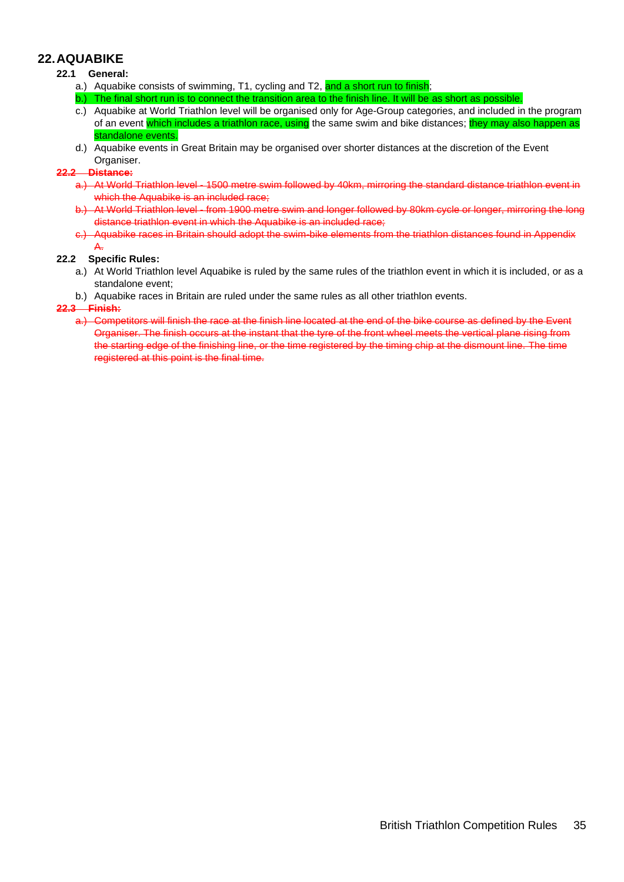### <span id="page-34-0"></span>**22.AQUABIKE**

#### **22.1 General:**

- a.) Aquabike consists of swimming, T1, cycling and T2, and a short run to finish;
- The final short run is to connect the transition area to the finish line. It will be as short as possible.
- c.) Aquabike at World Triathlon level will be organised only for Age-Group categories, and included in the program of an event which includes a triathlon race, using the same swim and bike distances; they may also happen as standalone events.
- d.) Aquabike events in Great Britain may be organised over shorter distances at the discretion of the Event Organiser.

#### **22.2 Distance:**

- a.) At World Triathlon level 1500 metre swim followed by 40km, mirroring the standard distance triathlon event in which the Aquabike is an included race:
- b.) At World Triathlon level from 1900 metre swim and longer followed by 80km cycle or longer, mirroring the long distance triathlon event in which the Aquabike is an included race;
- c.) Aquabike races in Britain should adopt the swim-bike elements from the triathlon distances found in Appendix A.

#### **22.2 Specific Rules:**

- a.) At World Triathlon level Aquabike is ruled by the same rules of the triathlon event in which it is included, or as a standalone event;
- b.) Aquabike races in Britain are ruled under the same rules as all other triathlon events.

#### **22.3 Finish:**

a.) Competitors will finish the race at the finish line located at the end of the bike course as defined by the Event Organiser. The finish occurs at the instant that the tyre of the front wheel meets the vertical plane rising from the starting edge of the finishing line, or the time registered by the timing chip at the dismount line. The time registered at this point is the final time.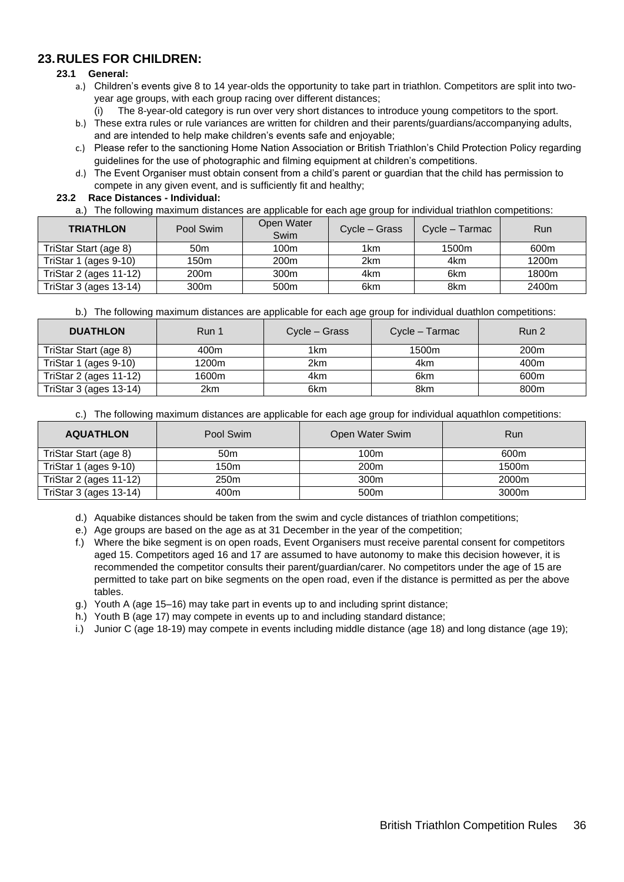### <span id="page-35-0"></span>**23.RULES FOR CHILDREN:**

#### **23.1 General:**

- a.) Children's events give 8 to 14 year-olds the opportunity to take part in triathlon. Competitors are split into twoyear age groups, with each group racing over different distances;
	- (i) The 8-year-old category is run over very short distances to introduce young competitors to the sport.
- b.) These extra rules or rule variances are written for children and their parents/guardians/accompanying adults, and are intended to help make children's events safe and enjoyable;
- c.) Please refer to the sanctioning Home Nation Association or British Triathlon's Child Protection Policy regarding guidelines for the use of photographic and filming equipment at children's competitions.
- d.) The Event Organiser must obtain consent from a child's parent or guardian that the child has permission to compete in any given event, and is sufficiently fit and healthy;

#### **23.2 Race Distances - Individual:**

a.) The following maximum distances are applicable for each age group for individual triathlon competitions:

| <b>TRIATHLON</b>       | Pool Swim        | Open Water<br>Swim | Cycle – Grass | Cycle – Tarmac | Run               |
|------------------------|------------------|--------------------|---------------|----------------|-------------------|
| TriStar Start (age 8)  | 50 <sub>m</sub>  | 100m               | 1km           | 1500m          | 600 <sub>m</sub>  |
| TriStar 1 (ages 9-10)  | 150m             | 200 <sub>m</sub>   | 2km           | 4km            | 1200 <sub>m</sub> |
| TriStar 2 (ages 11-12) | 200 <sub>m</sub> | 300m               | 4km           | 6km            | 1800 <sub>m</sub> |
| TriStar 3 (ages 13-14) | 300 <sub>m</sub> | 500 <sub>m</sub>   | 6km           | 8km            | 2400m             |

b.) The following maximum distances are applicable for each age group for individual duathlon competitions:

| <b>DUATHLON</b>        | Run 1 | Cycle – Grass | Cycle – Tarmac | Run 2            |
|------------------------|-------|---------------|----------------|------------------|
| TriStar Start (age 8)  | 400m  | 1km           | 1500m          | 200 <sub>m</sub> |
| TriStar 1 (ages 9-10)  | 1200m | 2km           | 4km            | 400m             |
| TriStar 2 (ages 11-12) | 1600m | 4km           | 6km            | 600m             |
| TriStar 3 (ages 13-14) | 2km   | 6km           | 8km            | 800m             |

c.) The following maximum distances are applicable for each age group for individual aquathlon competitions:

| <b>AQUATHLON</b>       | Pool Swim        | Open Water Swim  | Run   |
|------------------------|------------------|------------------|-------|
| TriStar Start (age 8)  | 50 <sub>m</sub>  | 100m             | 600m  |
| TriStar 1 (ages 9-10)  | 150m             | 200 <sub>m</sub> | 1500m |
| TriStar 2 (ages 11-12) | 250 <sub>m</sub> | 300 <sub>m</sub> | 2000m |
| TriStar 3 (ages 13-14) | 400m             | 500 <sub>m</sub> | 3000m |

d.) Aquabike distances should be taken from the swim and cycle distances of triathlon competitions;

- e.) Age groups are based on the age as at 31 December in the year of the competition;
- f.) Where the bike segment is on open roads, Event Organisers must receive parental consent for competitors aged 15. Competitors aged 16 and 17 are assumed to have autonomy to make this decision however, it is recommended the competitor consults their parent/guardian/carer. No competitors under the age of 15 are permitted to take part on bike segments on the open road, even if the distance is permitted as per the above tables.
- g.) Youth A (age 15–16) may take part in events up to and including sprint distance;
- h.) Youth B (age 17) may compete in events up to and including standard distance;
- i.) Junior C (age 18-19) may compete in events including middle distance (age 18) and long distance (age 19);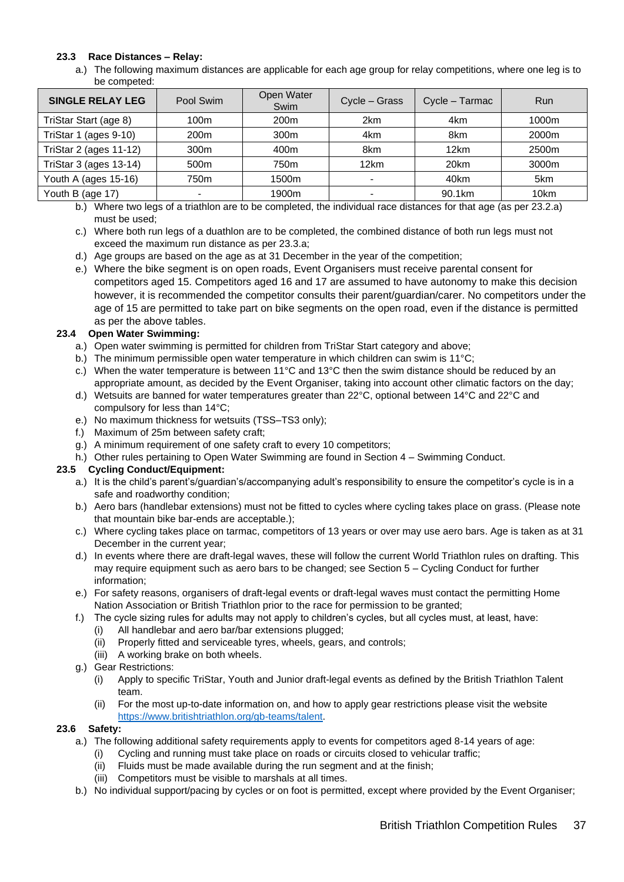#### **23.3 Race Distances – Relay:**

a.) The following maximum distances are applicable for each age group for relay competitions, where one leg is to be competed:

|          | 1000m    |
|----------|----------|
| 8km      | 2000m    |
| 12km     | 2500m    |
| 20km     | 3000m    |
| 40km     | 5km      |
| 90.1km   | 10km     |
| $\cdots$ | 4km<br>. |

b.) Where two legs of a triathlon are to be completed, the individual race distances for that age (as per 23.2.a) must be used;

- c.) Where both run legs of a duathlon are to be completed, the combined distance of both run legs must not exceed the maximum run distance as per 23.3.a;
- d.) Age groups are based on the age as at 31 December in the year of the competition;
- e.) Where the bike segment is on open roads, Event Organisers must receive parental consent for competitors aged 15. Competitors aged 16 and 17 are assumed to have autonomy to make this decision however, it is recommended the competitor consults their parent/guardian/carer. No competitors under the age of 15 are permitted to take part on bike segments on the open road, even if the distance is permitted as per the above tables.

#### **23.4 Open Water Swimming:**

- a.) Open water swimming is permitted for children from TriStar Start category and above;
- b.) The minimum permissible open water temperature in which children can swim is 11°C;
- c.) When the water temperature is between 11°C and 13°C then the swim distance should be reduced by an appropriate amount, as decided by the Event Organiser, taking into account other climatic factors on the day;
- d.) Wetsuits are banned for water temperatures greater than 22°C, optional between 14°C and 22°C and compulsory for less than 14°C;
- e.) No maximum thickness for wetsuits (TSS–TS3 only);
- f.) Maximum of 25m between safety craft;
- g.) A minimum requirement of one safety craft to every 10 competitors;
- h.) Other rules pertaining to Open Water Swimming are found in Section 4 Swimming Conduct.

#### **23.5 Cycling Conduct/Equipment:**

- a.) It is the child's parent's/guardian's/accompanying adult's responsibility to ensure the competitor's cycle is in a safe and roadworthy condition;
- b.) Aero bars (handlebar extensions) must not be fitted to cycles where cycling takes place on grass. (Please note that mountain bike bar-ends are acceptable.);
- c.) Where cycling takes place on tarmac, competitors of 13 years or over may use aero bars. Age is taken as at 31 December in the current year;
- d.) In events where there are draft-legal waves, these will follow the current World Triathlon rules on drafting. This may require equipment such as aero bars to be changed; see Section 5 – Cycling Conduct for further information;
- e.) For safety reasons, organisers of draft-legal events or draft-legal waves must contact the permitting Home Nation Association or British Triathlon prior to the race for permission to be granted;
- f.) The cycle sizing rules for adults may not apply to children's cycles, but all cycles must, at least, have:
	- (i) All handlebar and aero bar/bar extensions plugged;
	- (ii) Properly fitted and serviceable tyres, wheels, gears, and controls;
	- (iii) A working brake on both wheels.
- g.) Gear Restrictions:
	- (i) Apply to specific TriStar, Youth and Junior draft-legal events as defined by the British Triathlon Talent team.
	- (ii) For the most up-to-date information on, and how to apply gear restrictions please visit the website [https://www.britishtriathlon.org/gb-teams/talent.](https://www.britishtriathlon.org/gb-teams/talent)

#### **23.6 Safety:**

- a.) The following additional safety requirements apply to events for competitors aged 8-14 years of age:
	- (i) Cycling and running must take place on roads or circuits closed to vehicular traffic;
	- (ii) Fluids must be made available during the run segment and at the finish;
	- (iii) Competitors must be visible to marshals at all times.
- b.) No individual support/pacing by cycles or on foot is permitted, except where provided by the Event Organiser;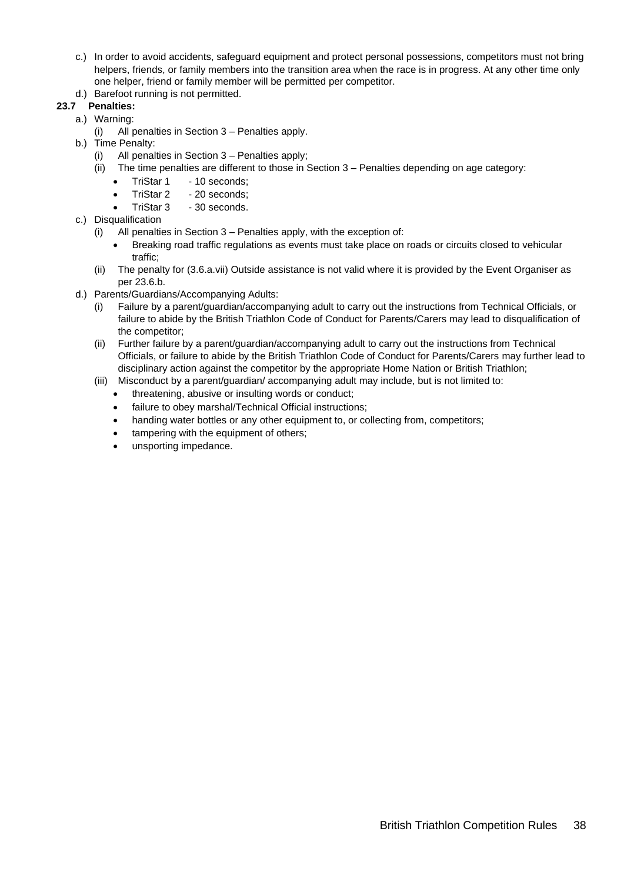c.) In order to avoid accidents, safeguard equipment and protect personal possessions, competitors must not bring helpers, friends, or family members into the transition area when the race is in progress. At any other time only one helper, friend or family member will be permitted per competitor. d.) Barefoot running is not permitted.

### **23.7 Penalties:**

- a.) Warning:
	- (i) All penalties in Section 3 Penalties apply.
- b.) Time Penalty:
	- (i) All penalties in Section 3 Penalties apply;
	- (ii) The time penalties are different to those in Section 3 Penalties depending on age category:
		- TriStar 1 10 seconds:
		- TriStar 2 20 seconds:
		- TriStar 3 30 seconds.
- c.) Disqualification
	- (i) All penalties in Section 3 Penalties apply, with the exception of:
		- Breaking road traffic regulations as events must take place on roads or circuits closed to vehicular traffic;
	- (ii) The penalty for (3.6.a.vii) Outside assistance is not valid where it is provided by the Event Organiser as per 23.6.b.
- d.) Parents/Guardians/Accompanying Adults:
	- (i) Failure by a parent/guardian/accompanying adult to carry out the instructions from Technical Officials, or failure to abide by the British Triathlon Code of Conduct for Parents/Carers may lead to disqualification of the competitor;
	- (ii) Further failure by a parent/guardian/accompanying adult to carry out the instructions from Technical Officials, or failure to abide by the British Triathlon Code of Conduct for Parents/Carers may further lead to disciplinary action against the competitor by the appropriate Home Nation or British Triathlon;
	- (iii) Misconduct by a parent/guardian/ accompanying adult may include, but is not limited to:
		- threatening, abusive or insulting words or conduct;
		- failure to obey marshal/Technical Official instructions;
		- handing water bottles or any other equipment to, or collecting from, competitors;
		- tampering with the equipment of others;
		- unsporting impedance.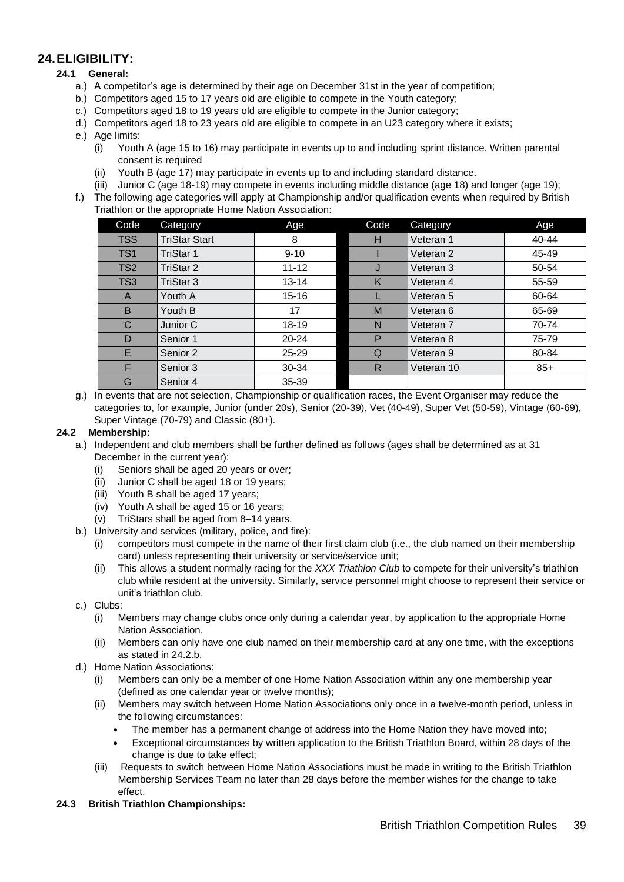### <span id="page-38-0"></span>**24.ELIGIBILITY:**

#### **24.1 General:**

- a.) A competitor's age is determined by their age on December 31st in the year of competition;
- b.) Competitors aged 15 to 17 years old are eligible to compete in the Youth category;
- c.) Competitors aged 18 to 19 years old are eligible to compete in the Junior category;
- d.) Competitors aged 18 to 23 years old are eligible to compete in an U23 category where it exists;
- e.) Age limits:
	- (i) Youth A (age 15 to 16) may participate in events up to and including sprint distance. Written parental consent is required
	- (ii) Youth B (age 17) may participate in events up to and including standard distance.
	- (iii) Junior C (age 18-19) may compete in events including middle distance (age 18) and longer (age 19);
- f.) The following age categories will apply at Championship and/or qualification events when required by British Triathlon or the appropriate Home Nation Association:

| Code            | Category             | Age       | Code | Category             | Age       |
|-----------------|----------------------|-----------|------|----------------------|-----------|
| <b>TSS</b>      | <b>TriStar Start</b> | 8         | н    | Veteran 1            | $40 - 44$ |
| TS <sub>1</sub> | TriStar 1            | $9 - 10$  |      | Veteran 2            | 45-49     |
| TS <sub>2</sub> | TriStar 2            | $11 - 12$ | J    | Veteran 3            | 50-54     |
| TS <sub>3</sub> | TriStar 3            | $13 - 14$ | K    | Veteran 4            | 55-59     |
| A               | Youth A              | $15 - 16$ |      | Veteran 5            | 60-64     |
| B               | Youth B              | 17        | M    | Veteran 6            | 65-69     |
| C               | Junior C             | 18-19     | N    | Veteran <sub>7</sub> | 70-74     |
| D               | Senior 1             | $20 - 24$ | P    | Veteran 8            | 75-79     |
| E.              | Senior 2             | $25 - 29$ | Q    | Veteran 9            | 80-84     |
| F               | Senior 3             | 30-34     | R    | Veteran 10           | $85+$     |
| G               | Senior 4             | 35-39     |      |                      |           |

g.) In events that are not selection, Championship or qualification races, the Event Organiser may reduce the categories to, for example, Junior (under 20s), Senior (20-39), Vet (40-49), Super Vet (50-59), Vintage (60-69), Super Vintage (70-79) and Classic (80+).

#### **24.2 Membership:**

- a.) Independent and club members shall be further defined as follows (ages shall be determined as at 31 December in the current year):
	- (i) Seniors shall be aged 20 years or over;
	- (ii) Junior C shall be aged 18 or 19 years;
	- (iii) Youth B shall be aged 17 years;
	- (iv) Youth A shall be aged 15 or 16 years;
	- (v) TriStars shall be aged from 8–14 years.
- b.) University and services (military, police, and fire):
	- (i) competitors must compete in the name of their first claim club (i.e., the club named on their membership card) unless representing their university or service/service unit;
	- (ii) This allows a student normally racing for the *XXX Triathlon Club* to compete for their university's triathlon club while resident at the university. Similarly, service personnel might choose to represent their service or unit's triathlon club.
- c.) Clubs:
	- (i) Members may change clubs once only during a calendar year, by application to the appropriate Home Nation Association.
	- (ii) Members can only have one club named on their membership card at any one time, with the exceptions as stated in 24.2.b.
- d.) Home Nation Associations:
	- (i) Members can only be a member of one Home Nation Association within any one membership year (defined as one calendar year or twelve months);
	- (ii) Members may switch between Home Nation Associations only once in a twelve-month period, unless in the following circumstances:
		- The member has a permanent change of address into the Home Nation they have moved into;
		- Exceptional circumstances by written application to the British Triathlon Board, within 28 days of the change is due to take effect;
	- (iii) Requests to switch between Home Nation Associations must be made in writing to the British Triathlon Membership Services Team no later than 28 days before the member wishes for the change to take effect.
- **24.3 British Triathlon Championships:**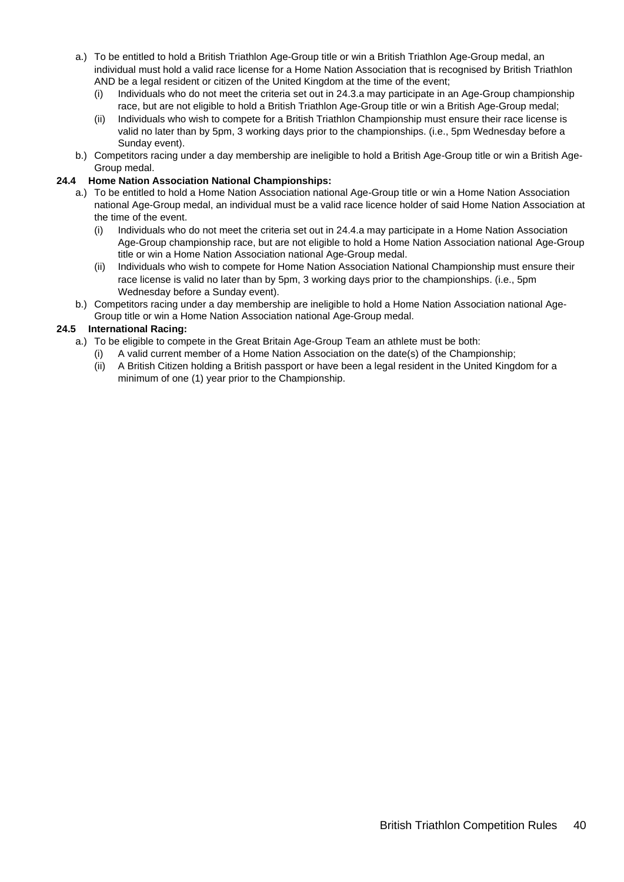- a.) To be entitled to hold a British Triathlon Age-Group title or win a British Triathlon Age-Group medal, an individual must hold a valid race license for a Home Nation Association that is recognised by British Triathlon AND be a legal resident or citizen of the United Kingdom at the time of the event;
	- (i) Individuals who do not meet the criteria set out in 24.3.a may participate in an Age-Group championship race, but are not eligible to hold a British Triathlon Age-Group title or win a British Age-Group medal;
	- (ii) Individuals who wish to compete for a British Triathlon Championship must ensure their race license is valid no later than by 5pm, 3 working days prior to the championships. (i.e., 5pm Wednesday before a Sunday event).
- b.) Competitors racing under a day membership are ineligible to hold a British Age-Group title or win a British Age-Group medal.

#### **24.4 Home Nation Association National Championships:**

- a.) To be entitled to hold a Home Nation Association national Age-Group title or win a Home Nation Association national Age-Group medal, an individual must be a valid race licence holder of said Home Nation Association at the time of the event.
	- (i) Individuals who do not meet the criteria set out in 24.4.a may participate in a Home Nation Association Age-Group championship race, but are not eligible to hold a Home Nation Association national Age-Group title or win a Home Nation Association national Age-Group medal.
	- (ii) Individuals who wish to compete for Home Nation Association National Championship must ensure their race license is valid no later than by 5pm, 3 working days prior to the championships. (i.e., 5pm Wednesday before a Sunday event).
- b.) Competitors racing under a day membership are ineligible to hold a Home Nation Association national Age-Group title or win a Home Nation Association national Age-Group medal.

#### **24.5 International Racing:**

- a.) To be eligible to compete in the Great Britain Age-Group Team an athlete must be both:
	- (i) A valid current member of a Home Nation Association on the date(s) of the Championship;
	- (ii) A British Citizen holding a British passport or have been a legal resident in the United Kingdom for a minimum of one (1) year prior to the Championship.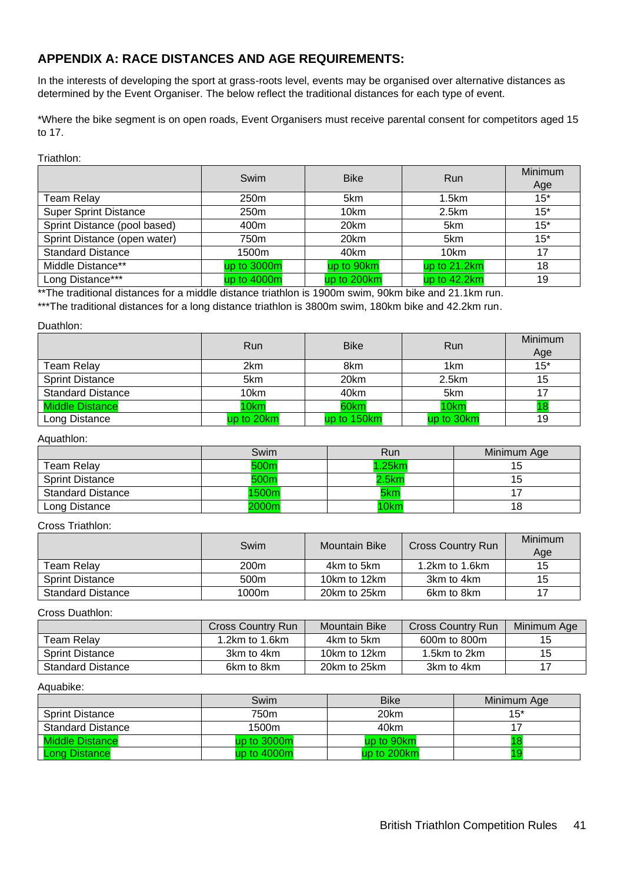### <span id="page-40-0"></span>**APPENDIX A: RACE DISTANCES AND AGE REQUIREMENTS:**

In the interests of developing the sport at grass-roots level, events may be organised over alternative distances as determined by the Event Organiser. The below reflect the traditional distances for each type of event.

\*Where the bike segment is on open roads, Event Organisers must receive parental consent for competitors aged 15 to 17.

#### Triathlon:

|                              | Swim             | <b>Bike</b> | Run          | <b>Minimum</b><br>Age |
|------------------------------|------------------|-------------|--------------|-----------------------|
| Team Relay                   | 250 <sub>m</sub> | 5km         | 1.5km        | $15*$                 |
| <b>Super Sprint Distance</b> | 250m             | 10km        | 2.5km        | $15*$                 |
| Sprint Distance (pool based) | 400m             | 20km        | 5km          | $15*$                 |
| Sprint Distance (open water) | 750m             | 20km        | 5km          | $15*$                 |
| <b>Standard Distance</b>     | 1500m            | 40km        | 10km         | 17                    |
| Middle Distance**            | up to 3000m      | up to 90km  | up to 21.2km | 18                    |
| Long Distance***             | up to 4000m      | up to 200km | up to 42.2km | 19                    |

\*\*The traditional distances for a middle distance triathlon is 1900m swim, 90km bike and 21.1km run.

\*\*\*The traditional distances for a long distance triathlon is 3800m swim, 180km bike and 42.2km run.

#### Duathlon:

|                          | <b>Run</b> | <b>Bike</b> | Run             | Minimum<br>Age |
|--------------------------|------------|-------------|-----------------|----------------|
| Team Relay               | 2km        | 8km         | 1 <sub>km</sub> | $15*$          |
| <b>Sprint Distance</b>   | 5km        | 20km        | 2.5km           | 15             |
| <b>Standard Distance</b> | 10km       | 40km        | 5km             |                |
| <b>Middle Distance</b>   | 10km       | 60km        | 10km            |                |
| Long Distance            | up to 20km | up to 150km | up to 30km      | 19             |

#### Aquathlon:

|                          | Swim  | Run   | Minimum Age |
|--------------------------|-------|-------|-------------|
| Team Relay               | 500m  | .25km | 15          |
| <b>Sprint Distance</b>   | 500m  | .5km  | 15          |
| <b>Standard Distance</b> | 1500m | 5km   |             |
| Long Distance            | 2000m | 10km  | 18          |

#### Cross Triathlon:

|                          | Swim             | Mountain Bike | <b>Cross Country Run</b> | <b>Minimum</b><br>Age |
|--------------------------|------------------|---------------|--------------------------|-----------------------|
| Team Relav               | 200 <sub>m</sub> | 4km to 5km    | 1.2 $km$ to 1.6 $km$     | 15                    |
| <b>Sprint Distance</b>   | 500 <sub>m</sub> | 10km to 12km  | 3km to 4km               | 15                    |
| <b>Standard Distance</b> | 1000m            | 20km to 25km  | 6km to 8km               |                       |

#### Cross Duathlon:

|                          | Cross Country Run    | <b>Mountain Bike</b> | <b>Cross Country Run</b> | Minimum Age |
|--------------------------|----------------------|----------------------|--------------------------|-------------|
| Team Relay               | 1.2 $km$ to 1.6 $km$ | 4km to 5km           | 600m to 800m             | 15          |
| <b>Sprint Distance</b>   | 3km to 4km           | 10km to 12km         | 1.5km to 2km             | 15          |
| <b>Standard Distance</b> | 6km to 8km           | 20km to 25km         | 3km to 4km               |             |

#### Aquabike:

|                          | Swim          | <b>Bike</b> | Minimum Age |
|--------------------------|---------------|-------------|-------------|
| <b>Sprint Distance</b>   | 750m          | 20km        | $15*$       |
| <b>Standard Distance</b> | 1500m         | 40km        |             |
| <b>Middle Distance</b>   | up to $3000m$ | up to 90km  |             |
| Long Distance            | up to $4000m$ | up to 200km |             |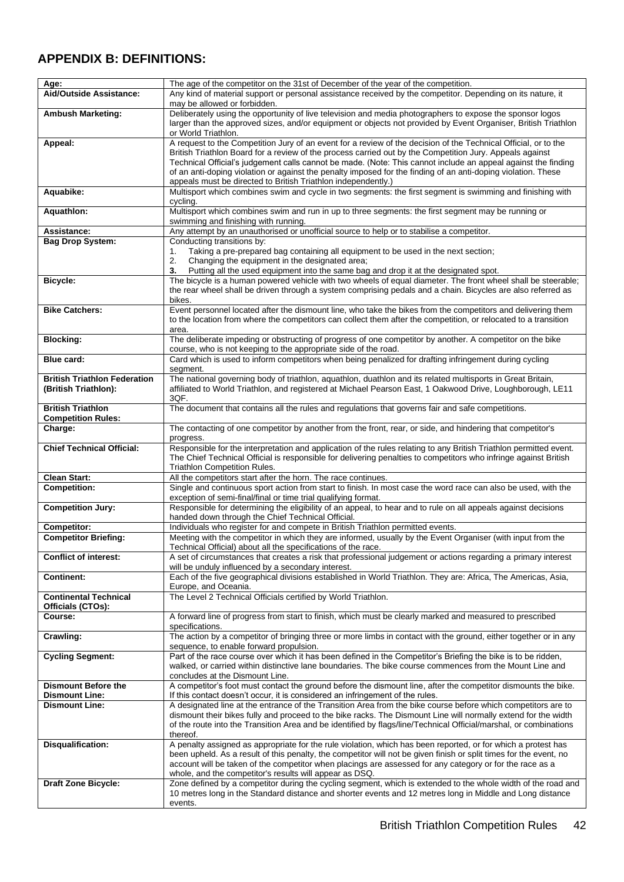### <span id="page-41-0"></span>**APPENDIX B: DEFINITIONS:**

| Age:                                                        | The age of the competitor on the 31st of December of the year of the competition.                                                                                                                                                                                                                                                                                                                                                                                                                                              |
|-------------------------------------------------------------|--------------------------------------------------------------------------------------------------------------------------------------------------------------------------------------------------------------------------------------------------------------------------------------------------------------------------------------------------------------------------------------------------------------------------------------------------------------------------------------------------------------------------------|
| Aid/Outside Assistance:                                     | Any kind of material support or personal assistance received by the competitor. Depending on its nature, it<br>may be allowed or forbidden.                                                                                                                                                                                                                                                                                                                                                                                    |
| <b>Ambush Marketing:</b>                                    | Deliberately using the opportunity of live television and media photographers to expose the sponsor logos<br>larger than the approved sizes, and/or equipment or objects not provided by Event Organiser, British Triathlon<br>or World Triathlon.                                                                                                                                                                                                                                                                             |
| Appeal:                                                     | A request to the Competition Jury of an event for a review of the decision of the Technical Official, or to the<br>British Triathlon Board for a review of the process carried out by the Competition Jury. Appeals against<br>Technical Official's judgement calls cannot be made. (Note: This cannot include an appeal against the finding<br>of an anti-doping violation or against the penalty imposed for the finding of an anti-doping violation. These<br>appeals must be directed to British Triathlon independently.) |
| Aquabike:                                                   | Multisport which combines swim and cycle in two segments: the first segment is swimming and finishing with<br>cycling.                                                                                                                                                                                                                                                                                                                                                                                                         |
| <b>Aquathlon:</b>                                           | Multisport which combines swim and run in up to three segments: the first segment may be running or<br>swimming and finishing with running.                                                                                                                                                                                                                                                                                                                                                                                    |
| Assistance:                                                 | Any attempt by an unauthorised or unofficial source to help or to stabilise a competitor.                                                                                                                                                                                                                                                                                                                                                                                                                                      |
| <b>Bag Drop System:</b>                                     | Conducting transitions by:<br>Taking a pre-prepared bag containing all equipment to be used in the next section;<br>1.<br>Changing the equipment in the designated area;<br>2.<br>Putting all the used equipment into the same bag and drop it at the designated spot.<br>3.                                                                                                                                                                                                                                                   |
| <b>Bicycle:</b>                                             | The bicycle is a human powered vehicle with two wheels of equal diameter. The front wheel shall be steerable;<br>the rear wheel shall be driven through a system comprising pedals and a chain. Bicycles are also referred as<br>bikes.                                                                                                                                                                                                                                                                                        |
| <b>Bike Catchers:</b>                                       | Event personnel located after the dismount line, who take the bikes from the competitors and delivering them<br>to the location from where the competitors can collect them after the competition, or relocated to a transition<br>area.                                                                                                                                                                                                                                                                                       |
| <b>Blocking:</b>                                            | The deliberate impeding or obstructing of progress of one competitor by another. A competitor on the bike<br>course, who is not keeping to the appropriate side of the road.                                                                                                                                                                                                                                                                                                                                                   |
| Blue card:                                                  | Card which is used to inform competitors when being penalized for drafting infringement during cycling<br>segment.                                                                                                                                                                                                                                                                                                                                                                                                             |
| <b>British Triathlon Federation</b><br>(British Triathlon): | The national governing body of triathlon, aquathlon, duathlon and its related multisports in Great Britain,<br>affiliated to World Triathlon, and registered at Michael Pearson East, 1 Oakwood Drive, Loughborough, LE11<br>3QF.                                                                                                                                                                                                                                                                                              |
| <b>British Triathlon</b><br><b>Competition Rules:</b>       | The document that contains all the rules and regulations that governs fair and safe competitions.                                                                                                                                                                                                                                                                                                                                                                                                                              |
| Charge:                                                     | The contacting of one competitor by another from the front, rear, or side, and hindering that competitor's<br>progress.                                                                                                                                                                                                                                                                                                                                                                                                        |
| <b>Chief Technical Official:</b>                            | Responsible for the interpretation and application of the rules relating to any British Triathlon permitted event.<br>The Chief Technical Official is responsible for delivering penalties to competitors who infringe against British<br><b>Triathlon Competition Rules.</b>                                                                                                                                                                                                                                                  |
| <b>Clean Start:</b>                                         | All the competitors start after the horn. The race continues.                                                                                                                                                                                                                                                                                                                                                                                                                                                                  |
| <b>Competition:</b>                                         | Single and continuous sport action from start to finish. In most case the word race can also be used, with the<br>exception of semi-final/final or time trial qualifying format.                                                                                                                                                                                                                                                                                                                                               |
| <b>Competition Jury:</b>                                    | Responsible for determining the eligibility of an appeal, to hear and to rule on all appeals against decisions<br>handed down through the Chief Technical Official.                                                                                                                                                                                                                                                                                                                                                            |
| <b>Competitor:</b>                                          | Individuals who register for and compete in British Triathlon permitted events.                                                                                                                                                                                                                                                                                                                                                                                                                                                |
| <b>Competitor Briefing:</b>                                 | Meeting with the competitor in which they are informed, usually by the Event Organiser (with input from the<br>Technical Official) about all the specifications of the race.                                                                                                                                                                                                                                                                                                                                                   |
| <b>Conflict of interest:</b>                                | A set of circumstances that creates a risk that professional judgement or actions regarding a primary interest<br>will be unduly influenced by a secondary interest.                                                                                                                                                                                                                                                                                                                                                           |
| <b>Continent:</b>                                           | Each of the five geographical divisions established in World Triathlon. They are: Africa, The Americas, Asia,<br>Europe, and Oceania.                                                                                                                                                                                                                                                                                                                                                                                          |
| <b>Continental Technical</b><br>Officials (CTOs):           | The Level 2 Technical Officials certified by World Triathlon.                                                                                                                                                                                                                                                                                                                                                                                                                                                                  |
| Course:                                                     | A forward line of progress from start to finish, which must be clearly marked and measured to prescribed<br>specifications.                                                                                                                                                                                                                                                                                                                                                                                                    |
| Crawling:                                                   | The action by a competitor of bringing three or more limbs in contact with the ground, either together or in any<br>sequence, to enable forward propulsion.                                                                                                                                                                                                                                                                                                                                                                    |
| <b>Cycling Segment:</b>                                     | Part of the race course over which it has been defined in the Competitor's Briefing the bike is to be ridden,<br>walked, or carried within distinctive lane boundaries. The bike course commences from the Mount Line and<br>concludes at the Dismount Line.                                                                                                                                                                                                                                                                   |
| <b>Dismount Before the</b><br><b>Dismount Line:</b>         | A competitor's foot must contact the ground before the dismount line, after the competitor dismounts the bike.<br>If this contact doesn't occur, it is considered an infringement of the rules.                                                                                                                                                                                                                                                                                                                                |
| <b>Dismount Line:</b>                                       | A designated line at the entrance of the Transition Area from the bike course before which competitors are to<br>dismount their bikes fully and proceed to the bike racks. The Dismount Line will normally extend for the width<br>of the route into the Transition Area and be identified by flags/line/Technical Official/marshal, or combinations<br>thereof.                                                                                                                                                               |
| Disqualification:                                           | A penalty assigned as appropriate for the rule violation, which has been reported, or for which a protest has<br>been upheld. As a result of this penalty, the competitor will not be given finish or split times for the event, no<br>account will be taken of the competitor when placings are assessed for any category or for the race as a<br>whole, and the competitor's results will appear as DSQ.                                                                                                                     |
| Draft Zone Bicycle:                                         | Zone defined by a competitor during the cycling segment, which is extended to the whole width of the road and<br>10 metres long in the Standard distance and shorter events and 12 metres long in Middle and Long distance<br>events.                                                                                                                                                                                                                                                                                          |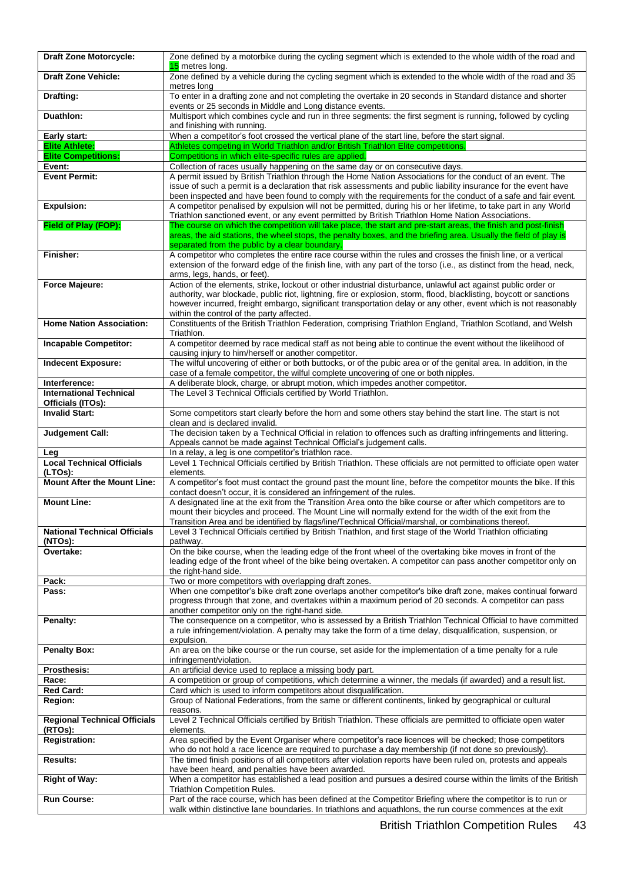| <b>Draft Zone Motorcycle:</b>                                   | Zone defined by a motorbike during the cycling segment which is extended to the whole width of the road and<br>15 metres long.                                                                                                                                                                                                                                                                        |
|-----------------------------------------------------------------|-------------------------------------------------------------------------------------------------------------------------------------------------------------------------------------------------------------------------------------------------------------------------------------------------------------------------------------------------------------------------------------------------------|
| <b>Draft Zone Vehicle:</b>                                      | Zone defined by a vehicle during the cycling segment which is extended to the whole width of the road and 35<br>metres long                                                                                                                                                                                                                                                                           |
| Drafting:                                                       | To enter in a drafting zone and not completing the overtake in 20 seconds in Standard distance and shorter<br>events or 25 seconds in Middle and Long distance events.                                                                                                                                                                                                                                |
| Duathlon:                                                       | Multisport which combines cycle and run in three segments: the first segment is running, followed by cycling<br>and finishing with running.                                                                                                                                                                                                                                                           |
| Early start:                                                    | When a competitor's foot crossed the vertical plane of the start line, before the start signal.                                                                                                                                                                                                                                                                                                       |
| <b>Elite Athlete:</b>                                           | Athletes competing in World Triathlon and/or British Triathlon Elite competitions.                                                                                                                                                                                                                                                                                                                    |
| <b>Elite Competitions:</b>                                      | Competitions in which elite-specific rules are applied.                                                                                                                                                                                                                                                                                                                                               |
| Event:                                                          | Collection of races usually happening on the same day or on consecutive days.                                                                                                                                                                                                                                                                                                                         |
| <b>Event Permit:</b>                                            | A permit issued by British Triathlon through the Home Nation Associations for the conduct of an event. The<br>issue of such a permit is a declaration that risk assessments and public liability insurance for the event have<br>been inspected and have been found to comply with the requirements for the conduct of a safe and fair event.                                                         |
| <b>Expulsion:</b>                                               | A competitor penalised by expulsion will not be permitted, during his or her lifetime, to take part in any World<br>Triathlon sanctioned event, or any event permitted by British Triathlon Home Nation Associations.                                                                                                                                                                                 |
| Field of Play (FOP):                                            | The course on which the competition will take place, the start and pre-start areas, the finish and post-finish<br>areas, the aid stations, the wheel stops, the penalty boxes, and the briefing area. Usually the field of play is<br>separated from the public by a clear boundary.                                                                                                                  |
| Finisher:                                                       | A competitor who completes the entire race course within the rules and crosses the finish line, or a vertical<br>extension of the forward edge of the finish line, with any part of the torso (i.e., as distinct from the head, neck,<br>arms, legs, hands, or feet).                                                                                                                                 |
| <b>Force Majeure:</b>                                           | Action of the elements, strike, lockout or other industrial disturbance, unlawful act against public order or<br>authority, war blockade, public riot, lightning, fire or explosion, storm, flood, blacklisting, boycott or sanctions<br>however incurred, freight embargo, significant transportation delay or any other, event which is not reasonably<br>within the control of the party affected. |
| <b>Home Nation Association:</b>                                 | Constituents of the British Triathlon Federation, comprising Triathlon England, Triathlon Scotland, and Welsh<br>Triathlon.                                                                                                                                                                                                                                                                           |
| <b>Incapable Competitor:</b>                                    | A competitor deemed by race medical staff as not being able to continue the event without the likelihood of<br>causing injury to him/herself or another competitor.                                                                                                                                                                                                                                   |
| <b>Indecent Exposure:</b>                                       | The wilful uncovering of either or both buttocks, or of the pubic area or of the genital area. In addition, in the<br>case of a female competitor, the wilful complete uncovering of one or both nipples.                                                                                                                                                                                             |
| Interference:                                                   | A deliberate block, charge, or abrupt motion, which impedes another competitor.                                                                                                                                                                                                                                                                                                                       |
| <b>International Technical</b><br>Officials (ITOs):             | The Level 3 Technical Officials certified by World Triathlon.                                                                                                                                                                                                                                                                                                                                         |
| <b>Invalid Start:</b>                                           | Some competitors start clearly before the horn and some others stay behind the start line. The start is not                                                                                                                                                                                                                                                                                           |
|                                                                 | clean and is declared invalid.                                                                                                                                                                                                                                                                                                                                                                        |
| <b>Judgement Call:</b>                                          | The decision taken by a Technical Official in relation to offences such as drafting infringements and littering.<br>Appeals cannot be made against Technical Official's judgement calls.                                                                                                                                                                                                              |
| Leg                                                             | In a relay, a leg is one competitor's triathlon race.                                                                                                                                                                                                                                                                                                                                                 |
| <b>Local Technical Officials</b><br>(LTOs):                     | Level 1 Technical Officials certified by British Triathlon. These officials are not permitted to officiate open water<br>elements.                                                                                                                                                                                                                                                                    |
| <b>Mount After the Mount Line:</b>                              | A competitor's foot must contact the ground past the mount line, before the competitor mounts the bike. If this<br>contact doesn't occur, it is considered an infringement of the rules.                                                                                                                                                                                                              |
| <b>Mount Line:</b>                                              | A designated line at the exit from the Transition Area onto the bike course or after which competitors are to<br>mount their bicycles and proceed. The Mount Line will normally extend for the width of the exit from the<br>Transition Area and be identified by flags/line/Technical Official/marshal, or combinations thereof.                                                                     |
| <b>National Technical Officials</b><br>(NTOs):                  | Level 3 Technical Officials certified by British Triathlon, and first stage of the World Triathlon officiating<br>pathway.                                                                                                                                                                                                                                                                            |
| Overtake:                                                       | On the bike course, when the leading edge of the front wheel of the overtaking bike moves in front of the<br>leading edge of the front wheel of the bike being overtaken. A competitor can pass another competitor only on<br>the right-hand side.                                                                                                                                                    |
| Pack:                                                           | Two or more competitors with overlapping draft zones.                                                                                                                                                                                                                                                                                                                                                 |
| Pass:                                                           | When one competitor's bike draft zone overlaps another competitor's bike draft zone, makes continual forward<br>progress through that zone, and overtakes within a maximum period of 20 seconds. A competitor can pass<br>another competitor only on the right-hand side.                                                                                                                             |
| Penalty:                                                        | The consequence on a competitor, who is assessed by a British Triathlon Technical Official to have committed<br>a rule infringement/violation. A penalty may take the form of a time delay, disqualification, suspension, or<br>expulsion.                                                                                                                                                            |
| <b>Penalty Box:</b>                                             | An area on the bike course or the run course, set aside for the implementation of a time penalty for a rule<br>infringement/violation.                                                                                                                                                                                                                                                                |
| <b>Prosthesis:</b>                                              | An artificial device used to replace a missing body part.                                                                                                                                                                                                                                                                                                                                             |
| Race:                                                           | A competition or group of competitions, which determine a winner, the medals (if awarded) and a result list.                                                                                                                                                                                                                                                                                          |
| <b>Red Card:</b>                                                | Card which is used to inform competitors about disqualification.                                                                                                                                                                                                                                                                                                                                      |
| Region:                                                         | Group of National Federations, from the same or different continents, linked by geographical or cultural<br>reasons.                                                                                                                                                                                                                                                                                  |
| <b>Regional Technical Officials</b><br>(RTOs):<br>Registration: | Level 2 Technical Officials certified by British Triathlon. These officials are permitted to officiate open water<br>elements.<br>Area specified by the Event Organiser where competitor's race licences will be checked; those competitors                                                                                                                                                           |
| <b>Results:</b>                                                 | who do not hold a race licence are required to purchase a day membership (if not done so previously).<br>The timed finish positions of all competitors after violation reports have been ruled on, protests and appeals                                                                                                                                                                               |
|                                                                 | have been heard, and penalties have been awarded.<br>When a competitor has established a lead position and pursues a desired course within the limits of the British                                                                                                                                                                                                                                  |
| <b>Right of Way:</b>                                            | Triathlon Competition Rules.                                                                                                                                                                                                                                                                                                                                                                          |
| <b>Run Course:</b>                                              | Part of the race course, which has been defined at the Competitor Briefing where the competitor is to run or<br>walk within distinctive lane boundaries. In triathlons and aquathlons, the run course commences at the exit                                                                                                                                                                           |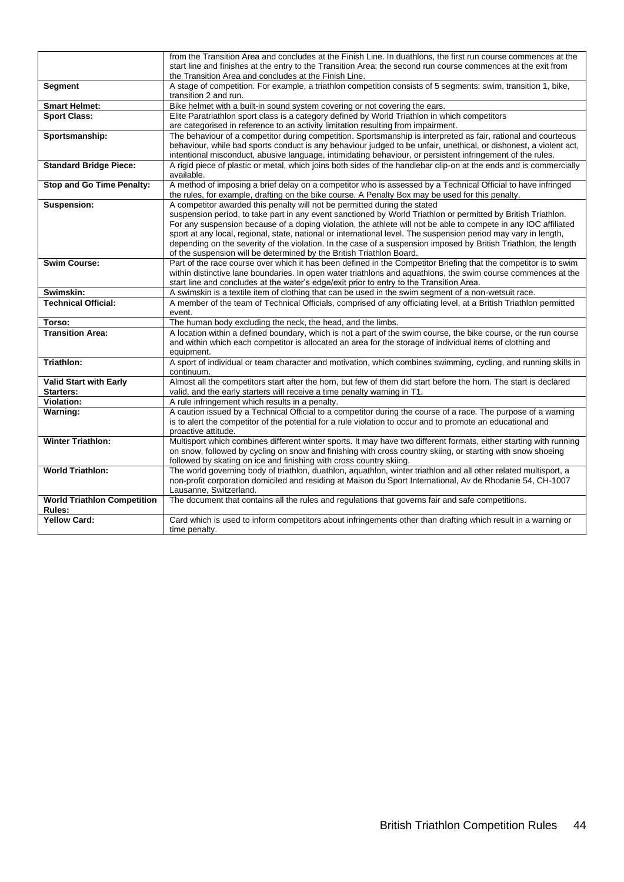|                                    | from the Transition Area and concludes at the Finish Line. In duathlons, the first run course commences at the<br>start line and finishes at the entry to the Transition Area; the second run course commences at the exit from |
|------------------------------------|---------------------------------------------------------------------------------------------------------------------------------------------------------------------------------------------------------------------------------|
|                                    | the Transition Area and concludes at the Finish Line.                                                                                                                                                                           |
| Segment                            | A stage of competition. For example, a triathlon competition consists of 5 segments: swim, transition 1, bike,                                                                                                                  |
|                                    | transition 2 and run.                                                                                                                                                                                                           |
| <b>Smart Helmet:</b>               | Bike helmet with a built-in sound system covering or not covering the ears.                                                                                                                                                     |
| <b>Sport Class:</b>                | Elite Paratriathlon sport class is a category defined by World Triathlon in which competitors                                                                                                                                   |
|                                    | are categorised in reference to an activity limitation resulting from impairment.                                                                                                                                               |
| Sportsmanship:                     | The behaviour of a competitor during competition. Sportsmanship is interpreted as fair, rational and courteous                                                                                                                  |
|                                    | behaviour, while bad sports conduct is any behaviour judged to be unfair, unethical, or dishonest, a violent act,                                                                                                               |
|                                    | intentional misconduct, abusive language, intimidating behaviour, or persistent infringement of the rules.                                                                                                                      |
| <b>Standard Bridge Piece:</b>      | A rigid piece of plastic or metal, which joins both sides of the handlebar clip-on at the ends and is commercially<br>available.                                                                                                |
| <b>Stop and Go Time Penalty:</b>   | A method of imposing a brief delay on a competitor who is assessed by a Technical Official to have infringed                                                                                                                    |
|                                    | the rules, for example, drafting on the bike course. A Penalty Box may be used for this penalty.                                                                                                                                |
| <b>Suspension:</b>                 | A competitor awarded this penalty will not be permitted during the stated                                                                                                                                                       |
|                                    | suspension period, to take part in any event sanctioned by World Triathlon or permitted by British Triathlon.                                                                                                                   |
|                                    | For any suspension because of a doping violation, the athlete will not be able to compete in any IOC affiliated                                                                                                                 |
|                                    | sport at any local, regional, state, national or international level. The suspension period may vary in length,                                                                                                                 |
|                                    | depending on the severity of the violation. In the case of a suspension imposed by British Triathlon, the length<br>of the suspension will be determined by the British Triathlon Board.                                        |
| <b>Swim Course:</b>                | Part of the race course over which it has been defined in the Competitor Briefing that the competitor is to swim                                                                                                                |
|                                    | within distinctive lane boundaries. In open water triathlons and aquathlons, the swim course commences at the                                                                                                                   |
|                                    | start line and concludes at the water's edge/exit prior to entry to the Transition Area.                                                                                                                                        |
| Swimskin:                          | A swimskin is a textile item of clothing that can be used in the swim segment of a non-wetsuit race.                                                                                                                            |
| <b>Technical Official:</b>         | A member of the team of Technical Officials, comprised of any officiating level, at a British Triathlon permitted                                                                                                               |
|                                    | event.                                                                                                                                                                                                                          |
| Torso:                             | The human body excluding the neck, the head, and the limbs.                                                                                                                                                                     |
| <b>Transition Area:</b>            | A location within a defined boundary, which is not a part of the swim course, the bike course, or the run course                                                                                                                |
|                                    | and within which each competitor is allocated an area for the storage of individual items of clothing and                                                                                                                       |
|                                    | equipment.                                                                                                                                                                                                                      |
| Triathlon:                         | A sport of individual or team character and motivation, which combines swimming, cycling, and running skills in                                                                                                                 |
|                                    | continuum.                                                                                                                                                                                                                      |
| <b>Valid Start with Early</b>      | Almost all the competitors start after the horn, but few of them did start before the horn. The start is declared                                                                                                               |
| Starters:                          | valid, and the early starters will receive a time penalty warning in T1.                                                                                                                                                        |
| Violation:                         | A rule infringement which results in a penalty.                                                                                                                                                                                 |
| Warning:                           | A caution issued by a Technical Official to a competitor during the course of a race. The purpose of a warning<br>is to alert the competitor of the potential for a rule violation to occur and to promote an educational and   |
|                                    | proactive attitude.                                                                                                                                                                                                             |
| <b>Winter Triathlon:</b>           | Multisport which combines different winter sports. It may have two different formats, either starting with running                                                                                                              |
|                                    | on snow, followed by cycling on snow and finishing with cross country skiing, or starting with snow shoeing                                                                                                                     |
|                                    | followed by skating on ice and finishing with cross country skiing.                                                                                                                                                             |
| <b>World Triathlon:</b>            | The world governing body of triathlon, duathlon, aquathlon, winter triathlon and all other related multisport, a                                                                                                                |
|                                    | non-profit corporation domiciled and residing at Maison du Sport International, Av de Rhodanie 54, CH-1007                                                                                                                      |
|                                    | Lausanne, Switzerland.                                                                                                                                                                                                          |
| <b>World Triathlon Competition</b> | The document that contains all the rules and regulations that governs fair and safe competitions.                                                                                                                               |
| Rules:                             |                                                                                                                                                                                                                                 |
| <b>Yellow Card:</b>                | Card which is used to inform competitors about infringements other than drafting which result in a warning or                                                                                                                   |
|                                    | time penalty.                                                                                                                                                                                                                   |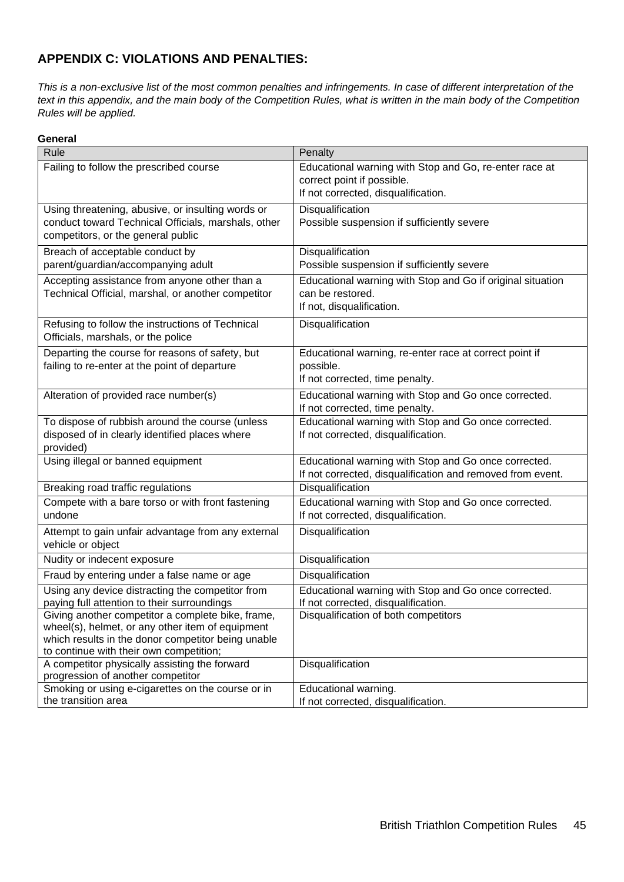### <span id="page-44-0"></span>**APPENDIX C: VIOLATIONS AND PENALTIES:**

*This is a non-exclusive list of the most common penalties and infringements. In case of different interpretation of the text in this appendix, and the main body of the Competition Rules, what is written in the main body of the Competition Rules will be applied.*

### **General**

| Rule                                                                                                  | Penalty                                                                                 |
|-------------------------------------------------------------------------------------------------------|-----------------------------------------------------------------------------------------|
| Failing to follow the prescribed course                                                               | Educational warning with Stop and Go, re-enter race at                                  |
|                                                                                                       | correct point if possible.                                                              |
|                                                                                                       | If not corrected, disqualification.                                                     |
| Using threatening, abusive, or insulting words or                                                     | Disqualification                                                                        |
| conduct toward Technical Officials, marshals, other                                                   | Possible suspension if sufficiently severe                                              |
| competitors, or the general public                                                                    |                                                                                         |
| Breach of acceptable conduct by                                                                       | Disqualification                                                                        |
| parent/guardian/accompanying adult                                                                    | Possible suspension if sufficiently severe                                              |
| Accepting assistance from anyone other than a                                                         | Educational warning with Stop and Go if original situation                              |
| Technical Official, marshal, or another competitor                                                    | can be restored.                                                                        |
|                                                                                                       | If not, disqualification.                                                               |
| Refusing to follow the instructions of Technical                                                      | Disqualification                                                                        |
| Officials, marshals, or the police                                                                    |                                                                                         |
| Departing the course for reasons of safety, but                                                       | Educational warning, re-enter race at correct point if                                  |
| failing to re-enter at the point of departure                                                         | possible.<br>If not corrected, time penalty.                                            |
|                                                                                                       |                                                                                         |
| Alteration of provided race number(s)                                                                 | Educational warning with Stop and Go once corrected.<br>If not corrected, time penalty. |
| To dispose of rubbish around the course (unless                                                       | Educational warning with Stop and Go once corrected.                                    |
| disposed of in clearly identified places where                                                        | If not corrected, disqualification.                                                     |
| provided)                                                                                             |                                                                                         |
| Using illegal or banned equipment                                                                     | Educational warning with Stop and Go once corrected.                                    |
|                                                                                                       | If not corrected, disqualification and removed from event.                              |
| Breaking road traffic regulations                                                                     | <b>Disqualification</b>                                                                 |
| Compete with a bare torso or with front fastening                                                     | Educational warning with Stop and Go once corrected.                                    |
| undone                                                                                                | If not corrected, disqualification.                                                     |
| Attempt to gain unfair advantage from any external                                                    | Disqualification                                                                        |
| vehicle or object                                                                                     |                                                                                         |
| Nudity or indecent exposure                                                                           | Disqualification                                                                        |
| Fraud by entering under a false name or age                                                           | Disqualification                                                                        |
| Using any device distracting the competitor from                                                      | Educational warning with Stop and Go once corrected.                                    |
| paying full attention to their surroundings                                                           | If not corrected, disqualification.                                                     |
| Giving another competitor a complete bike, frame,<br>wheel(s), helmet, or any other item of equipment | Disqualification of both competitors                                                    |
| which results in the donor competitor being unable                                                    |                                                                                         |
| to continue with their own competition;                                                               |                                                                                         |
| A competitor physically assisting the forward                                                         | Disqualification                                                                        |
| progression of another competitor<br>Smoking or using e-cigarettes on the course or in                | Educational warning.                                                                    |
| the transition area                                                                                   | If not corrected, disqualification.                                                     |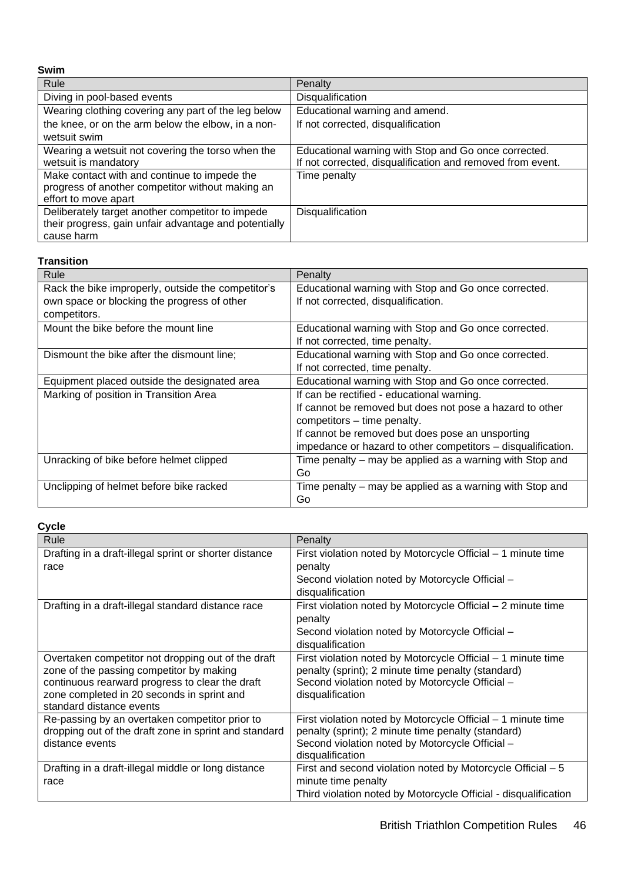| <b>Swim</b>                                           |                                                            |
|-------------------------------------------------------|------------------------------------------------------------|
| Rule                                                  | Penalty                                                    |
| Diving in pool-based events                           | Disqualification                                           |
| Wearing clothing covering any part of the leg below   | Educational warning and amend.                             |
| the knee, or on the arm below the elbow, in a non-    | If not corrected, disqualification                         |
| wetsuit swim                                          |                                                            |
| Wearing a wetsuit not covering the torso when the     | Educational warning with Stop and Go once corrected.       |
| wetsuit is mandatory                                  | If not corrected, disqualification and removed from event. |
| Make contact with and continue to impede the          | Time penalty                                               |
| progress of another competitor without making an      |                                                            |
| effort to move apart                                  |                                                            |
| Deliberately target another competitor to impede      | Disqualification                                           |
| their progress, gain unfair advantage and potentially |                                                            |
| cause harm                                            |                                                            |

#### **Transition**

| Rule                                               | Penalty                                                      |
|----------------------------------------------------|--------------------------------------------------------------|
| Rack the bike improperly, outside the competitor's | Educational warning with Stop and Go once corrected.         |
| own space or blocking the progress of other        | If not corrected, disqualification.                          |
| competitors.                                       |                                                              |
| Mount the bike before the mount line               | Educational warning with Stop and Go once corrected.         |
|                                                    | If not corrected, time penalty.                              |
| Dismount the bike after the dismount line;         | Educational warning with Stop and Go once corrected.         |
|                                                    | If not corrected, time penalty.                              |
| Equipment placed outside the designated area       | Educational warning with Stop and Go once corrected.         |
| Marking of position in Transition Area             | If can be rectified - educational warning.                   |
|                                                    | If cannot be removed but does not pose a hazard to other     |
|                                                    | competitors - time penalty.                                  |
|                                                    | If cannot be removed but does pose an unsporting             |
|                                                    | impedance or hazard to other competitors - disqualification. |
| Unracking of bike before helmet clipped            | Time penalty – may be applied as a warning with Stop and     |
|                                                    | Go                                                           |
| Unclipping of helmet before bike racked            | Time penalty – may be applied as a warning with Stop and     |
|                                                    | Go                                                           |

### **Cycle**

| Penalty                                                             |
|---------------------------------------------------------------------|
| First violation noted by Motorcycle Official - 1 minute time        |
| penalty                                                             |
| Second violation noted by Motorcycle Official -                     |
| disqualification                                                    |
| First violation noted by Motorcycle Official - 2 minute time        |
| penalty                                                             |
| Second violation noted by Motorcycle Official -                     |
| disqualification                                                    |
| First violation noted by Motorcycle Official - 1 minute time        |
| penalty (sprint); 2 minute time penalty (standard)                  |
| Second violation noted by Motorcycle Official -                     |
| disqualification                                                    |
|                                                                     |
| First violation noted by Motorcycle Official - 1 minute time        |
| penalty (sprint); 2 minute time penalty (standard)                  |
| Second violation noted by Motorcycle Official -<br>disqualification |
| First and second violation noted by Motorcycle Official - 5         |
| minute time penalty                                                 |
| Third violation noted by Motorcycle Official - disqualification     |
|                                                                     |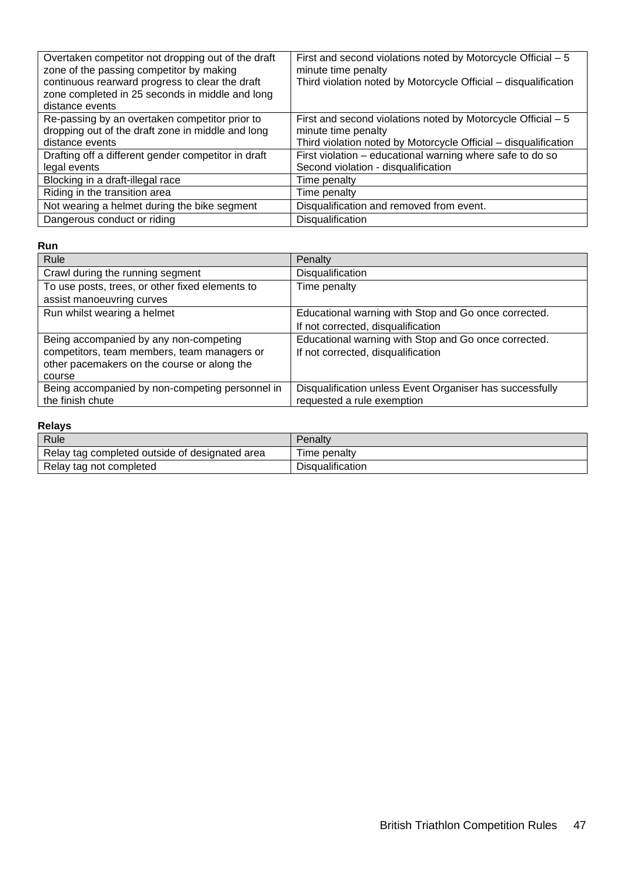| Overtaken competitor not dropping out of the draft<br>zone of the passing competitor by making<br>continuous rearward progress to clear the draft<br>zone completed in 25 seconds in middle and long<br>distance events | First and second violations noted by Motorcycle Official – 5<br>minute time penalty<br>Third violation noted by Motorcycle Official - disqualification |
|-------------------------------------------------------------------------------------------------------------------------------------------------------------------------------------------------------------------------|--------------------------------------------------------------------------------------------------------------------------------------------------------|
| Re-passing by an overtaken competitor prior to<br>dropping out of the draft zone in middle and long                                                                                                                     | First and second violations noted by Motorcycle Official – 5<br>minute time penalty                                                                    |
| distance events                                                                                                                                                                                                         | Third violation noted by Motorcycle Official - disqualification                                                                                        |
| Drafting off a different gender competitor in draft                                                                                                                                                                     | First violation – educational warning where safe to do so                                                                                              |
| legal events                                                                                                                                                                                                            | Second violation - disqualification                                                                                                                    |
| Blocking in a draft-illegal race                                                                                                                                                                                        | Time penalty                                                                                                                                           |
| Riding in the transition area                                                                                                                                                                                           | Time penalty                                                                                                                                           |
| Not wearing a helmet during the bike segment                                                                                                                                                                            | Disqualification and removed from event.                                                                                                               |
| Dangerous conduct or riding                                                                                                                                                                                             | Disqualification                                                                                                                                       |

#### **Run**

| Rule                                            | Penalty                                                  |
|-------------------------------------------------|----------------------------------------------------------|
| Crawl during the running segment                | Disqualification                                         |
| To use posts, trees, or other fixed elements to | Time penalty                                             |
| assist manoeuvring curves                       |                                                          |
| Run whilst wearing a helmet                     | Educational warning with Stop and Go once corrected.     |
|                                                 | If not corrected, disqualification                       |
| Being accompanied by any non-competing          | Educational warning with Stop and Go once corrected.     |
| competitors, team members, team managers or     | If not corrected, disqualification                       |
| other pacemakers on the course or along the     |                                                          |
| course                                          |                                                          |
| Being accompanied by non-competing personnel in | Disqualification unless Event Organiser has successfully |
| the finish chute                                | requested a rule exemption                               |

### **Relays**

| <b>Rule</b>                                    | Penaltv                 |
|------------------------------------------------|-------------------------|
| Relay tag completed outside of designated area | Time penaltv            |
| Relay tag not completed                        | <b>Disqualification</b> |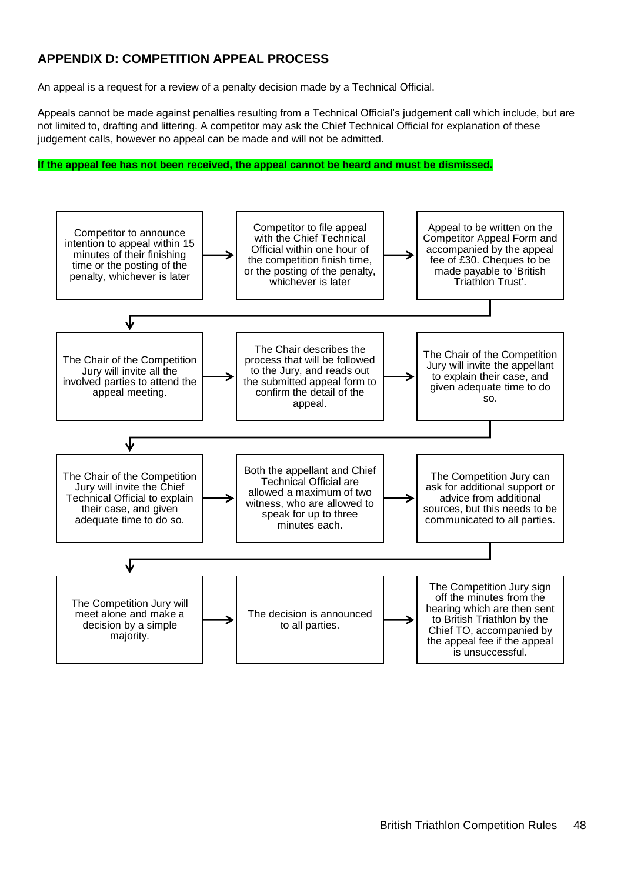### <span id="page-47-0"></span>**APPENDIX D: COMPETITION APPEAL PROCESS**

An appeal is a request for a review of a penalty decision made by a Technical Official.

Appeals cannot be made against penalties resulting from a Technical Official's judgement call which include, but are not limited to, drafting and littering. A competitor may ask the Chief Technical Official for explanation of these judgement calls, however no appeal can be made and will not be admitted.

#### **If the appeal fee has not been received, the appeal cannot be heard and must be dismissed.**

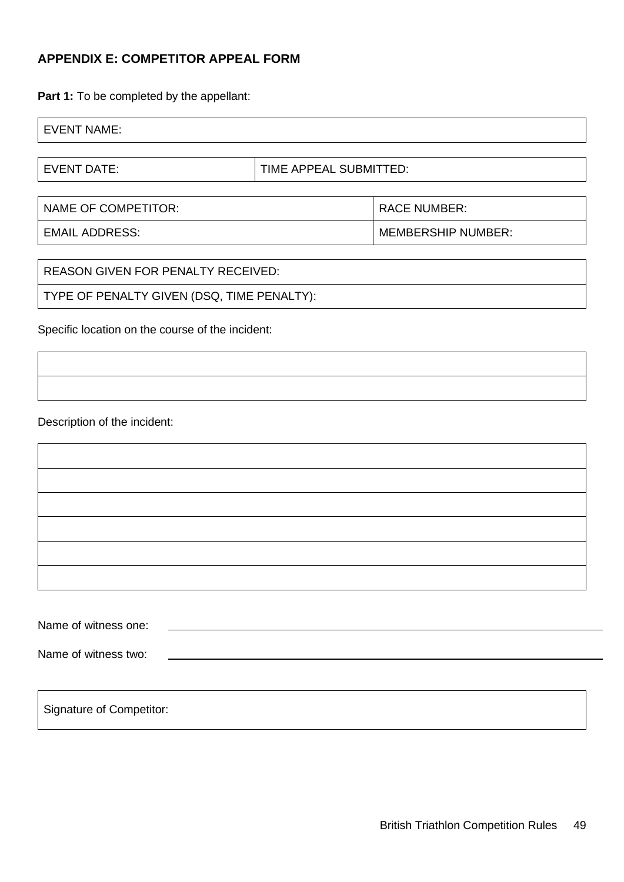### <span id="page-48-0"></span>**APPENDIX E: COMPETITOR APPEAL FORM**

Part 1: To be completed by the appellant:

| <b>EVENT NAME:</b> |  |  |
|--------------------|--|--|
|                    |  |  |

EVENT DATE:  $\vert$  TIME APPEAL SUBMITTED:

| NAME OF COMPETITOR: | <b>RACE NUMBER:</b>       |
|---------------------|---------------------------|
| EMAIL ADDRESS:      | <b>MEMBERSHIP NUMBER:</b> |

| TYPE OF PENALTY GIVEN (DSQ, TIME PENALTY): | REASON GIVEN FOR PENALTY RECEIVED: |  |
|--------------------------------------------|------------------------------------|--|
|                                            |                                    |  |

Specific location on the course of the incident:

Description of the incident:

| Name of witness one: |  |
|----------------------|--|
|                      |  |
| Name of witness two: |  |

Signature of Competitor: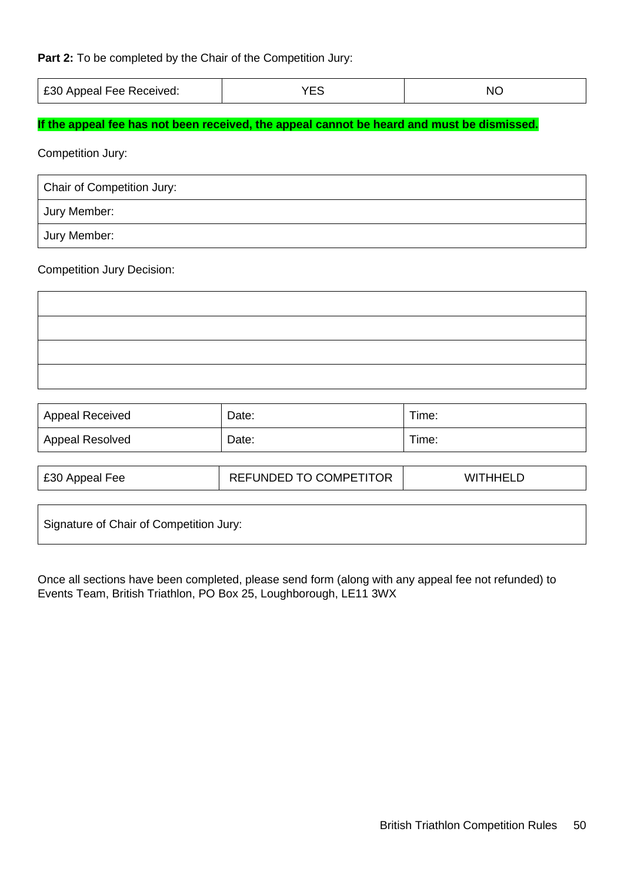#### **Part 2:** To be completed by the Chair of the Competition Jury:

| £30 Appeal Fee Received: | VES<br>` ∟ ⊾ | NC |
|--------------------------|--------------|----|
|--------------------------|--------------|----|

### **If the appeal fee has not been received, the appeal cannot be heard and must be dismissed.**

Competition Jury:

| Chair of Competition Jury: |  |
|----------------------------|--|
| <b>Jury Member:</b>        |  |
| Jury Member:               |  |

#### Competition Jury Decision:

| <b>Appeal Received</b> | Date: | Time: |
|------------------------|-------|-------|
| Appeal Resolved        | Date: | Time: |

| £30 Appeal Fee | <b>REFUNDED TO COMPETITOR</b> | <b>WITHHELD</b> |
|----------------|-------------------------------|-----------------|
|----------------|-------------------------------|-----------------|

Signature of Chair of Competition Jury:

Once all sections have been completed, please send form (along with any appeal fee not refunded) to Events Team, British Triathlon, PO Box 25, Loughborough, LE11 3WX